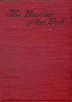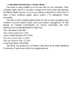## **\* A Distributed Proofreaders Canada eBook \***

This ebook is made available at no cost and with very few restrictions. These restrictions apply only if (1) you make a change in the ebook (other than alteration for different display devices), or (2) you are making commercial use of the ebook. If either of these conditions applies, please contact a FP administrator before proceeding.

This work is in the Canadian public domain, but may be under copyright in some countries. If you live outside Canada, check your country's copyright laws. IF THE BOOK IS UNDER COPYRIGHT IN YOUR COUNTRY, DO NOT DOWNLOAD OR REDISTRIBUTE THIS FILE.

*Title:* The Banner of the Bull

*Date of first publication:* 1923

*Author:* Rafael Sabatini(1875-1950)

*Date first posted:* Sep. 12, 2016

*Date last updated:* Sep. 12, 2016

Faded Page eBook #20160909

This ebook was produced by: Al Haines, Cindy Beyer & the online Distributed Proofreaders Canada team at http://www.pgdpcanada.net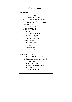By the same Author ——————

ROMANCES

THE TAVERN KNIGHT THE SHAME OF MOTLEY BARDELYS THE MAGNIFICENT THE TRAMPLING OF THE LILIES LOVE AT ARMS ST. MARTIN'S SUMMER ANTHONYWILDING THE LION'S SKIN THE JUSTICE OF THE DUKE THE GATES OF DOOM THE STROLLING SAINT THE SEA-HAWK THE BANNER OF THE BULL THE SNARE **SCARAMOUCHE** CAPTAIN BLOOD

HISTORICALESSAYS THE LIFE OF CESARE BORGIA TORQUEMADA AND THE SPANISH INQUISITION THE HISTORICALNIGHTS' ENTERTAINMENT—Series I THE HISTORICALNIGHTS' ENTERTAINMENT—Series II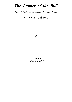## *The Banner of the Bull*

*Three Episodes in the Career of Cesare Borgia*

*By Rafael Sabatini*



*TORONTO THOMAS ALLEN*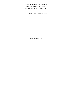*E per pigliare i suoi nemici al vischio Fischió soavemente, e per ridurli Nella sua tana, questo basalischio.*

DECENNALI, I. MACCHIAVELLI.

*Printed in Great Britain*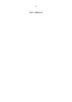*THE URBINIAN*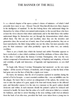## THE BANNER OF THE BULL

I

IN THAT shrewd chapter of his upon a prince's choice of ministers—of which I shall presently have more to say—Messer Niccoló Macchiavelli discovers three degrees in the intelligence of mankind. To the first belong those who understand things for themselves by virtue of their own natural endowments; to the second those who have at least the wit to discern what others understand; and to the third those who neither understand things for themselves nor yet through the demonstrations which others afford them. The first are rare and excellent, since they are the inventive and generative class; the second are of merit, since if not actually productive, they are at least reproductive; the third, being neither one nor the other, but mere parasites who prey for their existence—and often profitably—upon the other two, are entirely worthless.

There is yet a fourth class which the learned and subtle Florentine appears to have overlooked, a class which combines in itself the attributes of those other three. In this class I would place the famous Corvinus Trismegistus, who was the very oddest compound of inventiveness and stupidity, of duplicity and simplicity, of deceit and credulity, of guile and innocence, of ingenuity and ingenuousness, as you shall judge.

To begin with, Messer Corvinus Trismegistus had mastered—as his very name implies—all the secrets of Nature, of medicine, and of magic; so that the fame of him had gone out over the face of Italy like a ripple over water.

He knew, for instance, that the oil of scorpions captured in sunshine during the period of Sol in Scorpio—a most essential condition this—was an infallible cure for the plague. He knew that to correct an enlargement of the spleen, the certain way was to take the spleen of a goat, apply it for four-and-twenty hours to the affected part, and thereafter expose it to the sun; in a measure as the goat's spleen should desiccate and wither, in such measure should the patient's spleen be reduced and restored to health. He knew that the ashes of a wolf's skin never failed as a remedy for baldness, and that to arrest bleeding at the nose nothing could rival an infusion from the bark of an olive-tree, provided the bark were taken from a young tree in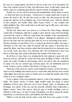the case of a young patient, and from an old tree in the case of an old patient. He knew that serpents stewed in wine, and afterwards eaten, would make sound and whole a leper, by conferring upon him the serpent's faculty of changing its skin.

Deeply, too, was he versed in poisons and enchantments, and he made no secret —so frank and open was his nature—of his power to conjure spirits and, at need, to restore the dead to life. He had discovered an elixir vitæ that preserved him still young and vigorous at the prodigious age of two thousand years, which he claimed to have attained; and another elixir, called Acqua Celeste—a very complex and subtle distillation this—that would reduce an old man's age by fifty years, and restore to him his lost youth.

All this and much more was known to Corvinus the Thrice-Mage, although certain folk of Sadducaic mind have sought to show that the sum of his knowledge concerned the extent to which he could abuse the credulity of his contemporaries and render them his dupes. Similarly it was alleged—although his adherents set it down to the spite and envy that the great must for ever be provoking in the mean that his real name was just Pietro Corvo, a name he got from his mother, who kept a wineshop in Forli, and who could not herself with any degree of precision have named his father. And these deriders added that his having lived two thousand years was an idle vaunt, since there were still many alive who remembered to have seen him as an ill-kempt, dirty urchin wallowing in the kennels of his native town.

Be all that as it may, there is no denying that he had achieved a great and welldeserved renown, and that he waxed rich in his mean dwelling in Urbino—that Itala Atene, the cradle of Italian art and learning. And to wax rich is, after all, considered by many to be the one outward sign of inward grace, the one indubitable proof of worth. To them, at least, it follows that Messer Corvinus was worthy.

This house of his stood in a narrow street behind the Oratory of San Giovanni, a street of crazy buildings that leaned across to each other until, had they been carried a little higher, they must have met in a Gothic arch, to exclude the slender strip ofsky which, as it was, remained visible.

It was a quarter of the town admirably suited to a man of the magician's studious habits. The greater streets of Urbino might tremble under the tramp of armed multitudes in those days when the Lord Cesare Borgia, Duke of Valentinois and Romagna, was master of the city, and the peaceful, scholarly Duke Guidobaldo a fugitive outcast. Down that narrow, ill-paved gap of sordid dwellings came no disturbers of the peace. So that Corvinus Trismegistus was left to pursue his studies unmolested, to crush his powders, and distill his marvellous elixirs.

Thither to seek his help and his advice came folk from every quarter of Italy.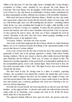Thither in the first hour of a fair June night, about a fortnight after Cesare Borgia's occupation of Urbino, came, attended by two grooms, the Lady Bianca de' Fioravanti. This Lady Bianca was the daughter of that famous Fioravanti who was Lord of San Leo, the only fortress in Guidobaldo's territory which, emboldened by its almost impregnable position, still held out in defiance of the irresistible Valentinois.

With much had heaven blessed Madonna Bianca. Wealth was hers and youth, and a great name; culture and a beauty that has been the subject of some songs. And yet, with all these gifts, there was still something that she lacked—something without which all else was vain; something that brought her by night, a little fearfully, to the grim house of Messer Corvinus as a suppliant. To attract the less attention she came on foot and masked, and with no more attendance than just that of her two grooms. As they entered the narrow street, she bade one of these extinguish the torch he carried. Thereafter, in the dark, they had come, almost groping, stumbling on the rough kidney stones, to the magician's door.

"Go knock, Taddeo," she bade one of her servants.

And on her words there happened the first of those miracles by which Madonna Bianca was to be convinced beyond all doubting of the supernatural quality of the powers that Messer Corvinus wielded.

Even as the servant took his first step towards the door, this opened suddenly, apparently of itself, and in the passage appeared a stately, white-robed Nubian bearing a lanthorn. This he now raised, so that its yellow shafts showered their light upon Madonna and her followers. There was, of course, no miracle in that. The miracle lay in another apparition. In the porch itself, as if materialized suddenly out of the circumambient gloom, stood a tall, cloaked figure, black from head to foot, the face itself concealed under a black vizor. This figure bowed, and waved Madonna onward into the house.

She drew back in fear; for, having come to a place of wonders, expecting wonders, she accounted it but natural that wonders she should find, and it never entered her mind to suppose that here was but another who sought Corvinus, one who had arrived ahead of her, and in response to whose earlier knock it was that the door had opened, just a courteous gentleman who stood now deferring to her sex and very obvious importance.

Devoutly she crossed herself, and observing that the act did not cause this black famulus—as she supposed him—to dissolve and vanish, she reflected that at least his origin could not be dæmoniac, took courage and went in, for all that her knees shook under her as she passed him.

The supposed famulus followed close upon her heels, the grooms came last,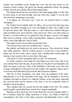together and something cowed, though they were men she had chosen for the stoutness of their courage. The gloom, the uncanny gentleman in black, the grinning Nubian, all teeth and eyeballs, affected them unpleasantly.

The Nubian closed the door and barred it, the metal ringing shrilly as it fell. Then he faced about to ask them formally what and whom they sought. It was the lady who answered, unmasking as she spoke.

"I am Bianca de' Fioravanti, and I seek the very learned Messer Corvinus Trismegistus."

The Nubian bowed silently, bade her follow, and moved down the long stone passage, his lanthorn swinging as he went, and flinging its yellow disc of light to and fro upon the grimy walls. Thus they came to a stout oaken door studded with great nails of polished steel, and by this into a bare ante-room. There were dried rushes on the floor, a wooden bench was set against the wall, and upon a massive, four-legged table stood an oil-lamp, whose ruddy, quivering flame, ending in a pennon of black smoke, shed a little light and a deal of smell.

Their guide waved a brown hand towards the bench.

"Your lackeys may await your excellency here," said he.

She nodded, and briefly gave her order to the grooms. They obeyed her, though with visible reluctance. Then the Nubian opened a second door, at the chamber's farther end. He drew aside a heavy curtain, with a startling clash of metal rings, and disclosed what seemed at first no more than a black gap.

"The dread Corvinus Trismegistus bids you enter," he announced.

For all the stoutness of her spirit the Lady Bianca now drew back. But as her eyes remained fixed upon the gap, she presently saw the gloom in part dispelled, and dimly she began to perceive some of the furnishings of that inner room. She took courage, bethought her of the great boon she sought at the magician's hands, and so crossed the dread threshold and passed into that mysterious chamber.

After her, in close attendance, ever silent, came the gentleman of the mask. Believing him to be of the household of the mage, and his attendance a necessary condition, she made no demur to it; whilst the Nubian, on the other hand, supposing him, from his mask and the richness of his cloak, to be her companion, made no attempt to check his ingress.

Thus, together, these two passed into the dim twilight of the room. The curtains rasped together again behind them, and the door clanged sepulchrally.

Madonna peered about her, her breath shortened, her heart beating unduly. A line of radiance along the ceiling, mysterious of source, very faintly revealed her surroundings to her: three or four chairs, capacious and fantastically carved, a table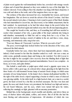of plain wood against the wall immediately before her, crowded with strange vessels of glass and of metal that gleamed as they were smitten by rays of the faint light. No window showed. From ceiling to floor the chamber was hung with black draperies; it was cold and silent as the tomb, and of the magician there was no sign.

The eeriness of the place increased her awe, trammelled her reason, and loosed her imagination. She sat down to await the advent of the dread Corvinus. And then the second miracle took place. Chancing to look round in quest of that black famulus who had materialized to escort her, she discovered, to her infinite amazement, that he had vanished. As mysteriously as he had first taken shape in the porch before her eyes, had he now dissolved again and melted away into the all-encompassing gloom.

She caught her breath at this, and then, as if something had still been needed to scatter what remained of her wits, a great pillar of fire leapt suddenly into being in mid-chamber, momentarily to blind her and to wring from her a cry of fear. As suddenly it vanished, leaving a stench of sulphur in the air; and then a voice, deep, booming, and immensely calm, rang in her ears.

"Fear not, Bianca de' Fioravanti. I am here. What do you seek of me?"

The poor, overwrought lady looked before her in the direction of the voice, and witnessed the third miracle.

Gradually before her eyes, where there had been impenetrable gloom—where, indeed, it had seemed to her that the chamber ended in a wall—she saw a man, an entire scene, gradually assume shape and being as she watched. Nor did it occur to her that it might be her eyesight's slow recovery from the blinding flash of light that conveyed to her this impression of gradual materialization. Soon it was complete—in focus, as it were, and quite distinct.

She beheld a small table or pulpit upon which stood a gigantic open tome, its leaves yellow with a great age, its colossalsilver clasps gleaming in the light from the three beaks of a tall-stemmed bronze lamp of ancient Greek design, in which some aromatic oil was being burned. At the lamp's foot a human skull grinned horribly. To the right of the table stood a tripod supporting a brazier in which a mass of charcoal was glowing ruddily. At the table itself, in a high-backed chair, sat a man in a scarlet gown, his head covered by a hat like an inverted saucepan. His face was lean and gaunt, the nose and cheek-bones very prominent; his forehead was high and narrow, his red beard bifurcate, and his eyes, which were turned full upon his visitor, reflecting the cunningly set light, gleamed with an uncanny penetration.

Behind him, in the background, stood crucible and alembic, and above these an array of shelves laden with phials, coffers, and retorts. But of all this she had the most fleeting and subconscious of impressions. All attention of which she was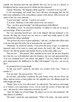capable was focussed upon the man himself. She was, too as one in a dream, so bewildered had her senses grown by all that she had witnessed.

"Speak, Madonna," the magician calmly urged her. "I am here to do your will."

It was encouraging, and would have been still more encouraging had she but held some explanation of the extraordinary manner of his advent. Still overawed, she spoke at last, her voice unsteady.

"I need your help," said she. "I need it very sorely."

"It is yours, Madonna, to the entire extent of my vast science."

"You—you have great learning?" she half-questioned, half-affirmed.

"The limitless ocean," he answered modestly, "is neither so wide nor so deep as my knowledge. What is your need?"

She was mastering herself now; and if she faltered still and hesitated it was because the thing she craved was not such as a maid may boldly speak of. She approached her subject gradually.

"You possess the secret of great medicines," said she, "of elixirs that will do their work not only upon the body, but at need upon the very spirit?"

"Madonna," he answered soberly, "I can arrest the decay of age, or compel the departed spirit of the dead to return and restore the body's life. And since it is Nature's law that the greater must include the less, let that reply suffice you."

"But can you—" She paused. Then, impelled by her need, her last fear forgotten now that she was well embarked upon the business, she rose and approached him. "Can you command love?" she asked, and gulped. "Can you compel the cold to grow impassioned, the indifferent to be filled with longings? Can you—can you do this?"

He pondered her at some length.

"Is this your need?" quoth he, and there was wonder in his voice. "Yours or another's?"

"It is my need," she answered low. "My own."

He sat back, and further considered the pale beauty of her, the low brow, the black, lustrous tresses in their golden net, the splendid eyes, the alluring mouth, the noble height and shape.

"Magic I have to do your will at need," he said slowly; "but surely no such magic as is Nature's own endowment of you. Can he resist the sorcery of those lips and eyes—this man for whose subjection you desire my aid?"

"Alas! He thinks not of such things. His mind is set on war and armaments. His only mistress is ambition."

"His name," quoth the sage imperiously. "What is his name—his name and his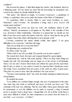condition?"

She lowered her glance. A faint flush tinged her cheeks. She hesitated, taken by a fluttering panic. Yet she dared not deny him the knowledge he demanded, lest, vexed by her refusal, he should withhold his aid.

"His name," she faltered at length, "is Lorenzo Castrocaro—a gentleman of Urbino, a condottiero who serves under the banner of the Duke of Valentinois."

"A condottiero blind to beauty, blind to such warm loveliness as yours, Madonna?" cried Corvinus. "So anomalous a being, such a *lusus naturæ* will require great medicine."

"Opportunity has served me none too well," she explained, almost in selfdefence. "Indeed, circumstance is all against us. My father is the castellan of San Leo, devoted to Duke Guidobaldo, wherefore it is natural that we should see but little of one who serves under the banner of the foe. And so I fear that he may go his ways unless I have that which will bring him to me in despite of all."

Corvinus considered the matter silently awhile, then sighed. "I see great difficulties to be overcome," said that wily mage.

"But you can help me to overcome them?"

His gleaming eyes considered her.

"It will be costly," he said.

"What's that to me? Do you think I'll count the cost in such a matter?"

The wizard drew back, frowned, and wrapped himself in a great dignity.

"Understand me," said he with some asperity. "This is no shop where things are bought and sold. My knowledge and my magic are at the service of all humanity. These I do not sell. I bestow them freely and without fee upon all who need them. But if I give so much, so very much, it cannot be expected that I should give more. The drugs I have assembled from all corners of the earth are often of great price. That price it is yours to bear, since the medicine is for your service."

"You have such medicine, then!" she cried, her hands clasping in sudden increase of hopefulness.

He nodded his assent.

"Love philtres are common things enough, and easy of preparation in the main. Any rustic hag who deals in witchcraft and preys on fools can brew one." The contempt of his tone was withering. "But for your affair, where great obstacles must be surmounted, or ever the affinities can be made to respond, a drug of unusual power is needed. Such a drug I have—though little of it, for in all the world there is none more difficult to obtain. Its chief component is an extract from the brain of a rare bird—*avis rarissima*—of Africa."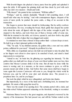With feverish fingers she plucked a heavy purse from her girdle and splashed it upon the table. It fell against the grinning skull, and thus cheek by jowl with each other, lay Life's two masters—Death and Gold.

"Fifty ducats!" she panted in her excitement. "Will that suffice?"

"Perhaps," said he, entirely disdainful. "Should it fall something short, I will myself add what may be lacking." And with contemptuous fingers, eloquent of his scorn of mere profit, he pushed the purse aside, a thing of no account in this transaction.

She began to protest that more should be forthcoming. But he nobly overbore her protestations. He rose, revealing the broad, black girdle that clasped his scarlet robe about his waist, all figured with the signs of the zodiac wrought in gold. He stepped to the shelves, and took from one of them a bronze coffer of some size. With this he returned to the table, set it down, opened it, and drew forth a tiny phial —a slender little tube of glass that was plugged and sealed.

It contained no more than a thread of deep amber fluid—a dozen drops at most. He held it up so that it gleamed golden in the light.

"This," he said, "is my elixirium aureum, my golden elixir, a rare and very subtle potion, sufficient for your need." Abruptly he proffered it to her.

With a little cry of gratitude and joy she held out avid hands to take the phial. But as her fingers were about to close upon it, he snatched it back, and raised a hand impressively to restrain her.

"Attend to me," he bade her, his glittering eye regarding her intensely. "To this golden elixir you shall add two drops of your own blood neither more nor less; then contrive that Messer Lorenzo drink it in his wine. But all must be done while the moon is waxing; and, in a measure, as the moon continues to grow, so will his passion mount and abide in him. And before that same moon shall have begun to wane again this Lorenzo Castrocaro will come to you, though the whole world lie between you, and he will be your utter and absolute slave. The present is a propitious time. Go, and be you happy."

She took the phial, which he now relinquished, and broke into thanks.

But imperiously, by a wave of the hand and a forbidding look, he stemmed her gratitude. He smote a little gong that stood by.

There was the sound of an opening door. The curtains parted with a clash, and the white-robed Nubian appeared salaaming on the threshold, waiting to reconduct her.

Madonna Bianca bowed to the great magician, and departed overawed by the majesty of his demeanour. She had passed out, and still the Nubian waited on the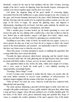threshold—waited for the man he had admitted with her. But Corvinus, knowing naught of his slave's motive for lingering, bade him harshly begone; whereupon the curtains were drawn together again, and the door was closed.

Left alone, the magician flung off the great mantle of overawing dignity, descended from the lofty indifference to gain, natural enough in one who is master of the ages, and became humanly interested in the purse which Madonna Bianca had left him. Drawing wide the mouth of it, he emptied the golden contents on to the vast page of his book of magic. He spread the glittering mass, and fingered it affectionately, chuckling in his red beard. And then, quite suddenly, his chuckle was echoed by a laugh, short, abrupt, contemptuous, and sinister.

With a startled gasp Corvinus looked up, his hands spreading to cover and protect the gold, his eyes dilating with a sudden fear, a fear that swelled at what he saw. Before him, in mid-chamber, surged a tall figure all in black—black cloak, black cap, and black face, out of which two gleaming eyes considered him.

Trembling in every fibre, white of cheek, his mouth and eyes agape, a prey to a terror greater far than any it had ever been his lot to inspire in others, the wizard stared at the dread phantom, and assumed—not unnaturally it must be confessed that here was Satan come to claim his own at last.

There fell a pause. Corvinus attempted to speak, to challenge the apparition. But courage failed him; terror struck him dumb.

Presently the figure advanced, silent-footed, menacing; and the wizard's knees were loosened under him. He sank gibbering into his high-backed chair, and waited for death with Hell to follow. At least, you see, he knew what he deserved.

The apparition halted at last, before the table, within arm's length of Corvinus, and a voice came to break the awful spell, a voice infinitely mocking yet unquestionably, reassuringly human.

"Greetings, Thrice-Mage!" it said.

It took Corvinus some moments to realize that his visitor was mortal, after all, and some further moments to recover some semblance of self-possession. An incipient chagrin mingling with the remains of his fears, he spoke at last.

"Who art thou?" he cried, the voice, which he would fain have rendered bold, high-pitched and quavering.

The cloak opened, displaying a graceful well-knit figure in sable velvet that was wrought with golden arabesques. From a girdle studded with great fiery rubies hung a long and heavy dagger, whose hilt and scabbard were of richly chiselled gold. On the backs of the black velvet gloves diamonds hung and sparkled like drops of water, to complete the sombre splendour of the man's apparel. One of the hands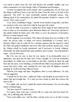was raised to pluck away the vizor and disclose the youthful, aquiline, and very noble countenance of Cesare Borgia, Duke of Valentinois and Romagna.

Corvinus recognized him on the instant, and recognizing him was far from sure that things would have been worse had his visitor been the devil, as he had at first supposed. "My lord!" he cried, profoundly amazed, profoundly uneasy. And, thinking aloud in his consternation, he added the question, foolish in a master of all secrets: "How came you in?"

"I too, know something of magic," said the tawny-headed young duke, and there was mockery in his voice and in the smile he bent upon the wizard.

He did not think it necessary to explain that all the magic he had employed had been to enter as if in attendance upon Madonna Bianca de' Fioravanti, and then to slip silently behind the black arras with which, to serve his purposes of deception, Messer Corvinus hung his walls.

But the magician was not duped. Who makes the image does not worship it. The truth—the precise truth—of magic was known undoubtedly to Corvinus, and it therefore follows that he could not for a moment suppose that the means by which the Duke had gained admittance had been other than perfectly natural ones. Anon the Nubian should be keenly questioned, and if necessary as keenly whipped. Meanwhile, the Duke himself must claim attention, and Corvinus—knowing himself a rogue—was far from easy.

But if he was not easy at least he was master of an inexhaustible store of impudence, and upon this he made now a heavy draught. To cover his momentary discomfiture, he smiled now as inscrutably as the Duke. Quickly he thrust the gold back into the purse, never heeding a coin that fell and rolled away along the floor. He tossed that purse aside, and, retaining his seat what time his highness remained standing, he combed his long, bifurcate beard.

"Betwixt your magic and mine, Magnificent, there is some difference," he said, with sly suggestion.

"I should not be here else," replied the Duke; and abruptly he proceeded to the matter that had brought him. "It is said you have found an elixir that restores the dead to life."

"It is rightly said, my lord," replied the wizard with assurance. He was becoming master of himself again.

"You have tested it?" quoth Cesare.

"In Cyprus, three years ago, I restored life to a man who had been dead two days. He is still living, and will testify."

"Your word suffices me," said the Duke; and the irony was so sly that Corvinus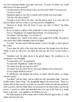was left wondering whether irony there had been. "At need, no doubt, you would make proof of it upon yourself?"

Corvinus turned cold from head to foot, yet answered boldly of very necessity: "At need, I would."

Valentinois sighed as one who is content, and Corvinus took heart again.

"You have this elixir at hand?"

"Enough to restore life to one man—just that and no more. It is a rare and very precious liquor, and very costly, as you may perceive, Magnificent."

"Derived, no doubt, from the brain of some rare bird of Africa?" the Duke mocked him.

By not so much as a flicker of the eyelid did Corvinus acknowledge the hit.

"Not so, Magnificent," he replied imperturbably. "It is derived from——"

"No matter!" said the Duke. "Let me have it!"

The magician rose, turned to his shelves, and sought there awhile. Presently he came back with a phial containing a blood-red liquid.

"It is here," he said, and he held the slender vessel to the light, so that it glowed like a ruby.

"Force apart the teeth of the dead man, and pour this draught down his throat. Within an hour he will revive, provided the body has first been warmed before a fire."

Valentinois took the phial slowly in his gloved fingers. He considered it, his countenance very thoughtful.

"It cannot fail to act?" he questioned.

"It cannot fail, Magnificent," replied the mage.

"No matter how the man may have died?"

"No matter how, provided that no vital organ shall have been destroyed."

"It can conquer death by poison?"

"It will dissolve and dissipate the poison, no matter what its nature, as vinegar will melt a pearl."

"Excellent!" said the Duke, and he smiled his cold, inscrutable smile. "And now another matter, Thrice-Mage." He thoughtfully fingered his tawny beard. "There is a rumour afoot in Italy, spread, no doubt, by yourself to further the thieving charlatan's trade you drive, that the Sultan Djem was poisoned by the Holy Father, and that the poison—a poison so subtle and miraculous that it lay inert in the Turk for a month before it slew him—was supplied to his Holiness by you."

The Duke paused as if for a reply, and Corvinus shivered again in fear, so coldly sinister had been the tone.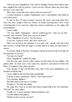"That is not true, Magnificent. I have had no dealings with the Holy Father, and I have supplied him with no poisons. I know not how Messer Djem may have died, nor have I ever said I did."

"How, then, comes this story current, and your name in it?"

Corvinus hastened to explain. Explanations were a merchandise with which he was wellstocked.

"It may be thus. Of such a poison I possess the secret, and some there have been who have sought it from me. Hence, no doubt, knowing that I have it and conceiving that it was used, the vulgar have drawn conclusions, as the vulgar will, unwarrantably."

Cesare smiled.

"Tis very subtle, Trismegistus." And he nodded gravely. "And you say that you have such a poison? What, pray, may be its nature?"

"That, Magnificent, is secret," was the answer.

"I care not. I desire to know, and I have asked you."

There was no heat in the rejoinder. It was quite cold—deadly cold. But it had more power to compel than any anger. Corvinus fenced no more; he made haste to answer.

"It consists chiefly of the juice of catapuce and the powdered yolk of an egg, but its preparation is not easy."

"You have it at hand?"

"Here, Magnificent," replied the mage.

And from the same bronze coffer whence he had taken the love-philtre—the golden elixir—he drew now a tiny cedar box, opened it, and placed it before the Duke. It contained a fine yellow powder.

"One drachm of that will kill thirty days after it has been administered, two drachms in half the time."

Cesare sniffed it and eyed the mage sardonically.

"I desire to make experiment," said he. "How much is here?"

"Two drachms, highness."

The Duke held out the box to Corvinus.

"Swallow it," he bade him calmly.

The mage drew back in an alarm that almost argued faith in his own statement. "My lord!" he cried, aghast.

"Swallow it," Cesare repeated, without raising his voice.

Corvinus blinked and gulped.

"Would you have me die, my lord?"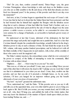"Die? Do you, then, confess yourself mortal, Thrice-Mage—you, the great Corvinus Trismegistus, whose knowledge is wide and deep as the limitless ocean, you who are so little sensible to the ills and decay of the flesh that already you have lived two thousand years? Is the potency of this powder such that it can slay even the immortals?"

And now, at last, Corvinus began to apprehend the real scope of Cesare's visit. It was true that he had set it about that the Sultan Djem had been poisoned, and that he had boasted that he himself had supplied the Borgias with the fabulous secret drug that at such a distance of time had killed the Grand Turk's brother; and, as a consequence, he had made great profit by the sale of what he alleged was the same poison—a subtle *veneno a termine*, as he called it—so convenient for wives who were anxious for a change of husbands, so serviceable to husbands grown weary of their wives.

He understood at last that Cesare, informed of the defamatory lie that had procured the mage such profit, had sought him out to punish him. And it is a fact that Corvinus himself, despite his considerable knowledge, actually believed in the drug's fabulous power to slay at such a distance of time. He had found the recipe in an old MS. volume, with many another kindred prescription, and he believed in it with all the blind credulity of the Cinquecento in such matters, with, in fact, all the credulity of those who came to seek his magician's aid.

The Duke's sinister mockery, the extraordinary sense which he ever conveyed of his power to compel, of the futility of attempting to resist his commands, filled Corvinus with an abject dread.

"Highness . . . alas! . . . I fear it may be as you say!" he cried.

"But even so, of what are you afraid? Come, man, you are trifling! Have you not said of this elixir that it will restore the dead to life? I pledge you my word that I shall see that it is administered to you when you are dead. Come, then; swallow me this powder, and see that you die of it precisely a fortnight hence, or, by my soul's salvation, I'll have you hanged for an impostor without giving you the benefit afterwards of your own dose of resurrection."

"My lord—my lord!" groaned the unfortunate man.

"Now, understand me," said the Duke. "If this powder acts as you say it will, and kills you at the appointed time, your own elixir shall be given to you to bring you back again to life. But if it kills you sooner, you may remain dead; and if it kills you not at all—why, then I'll hang you, and publish the truth of the whole matter, that men may know the falsehood of the manner of Djem's death upon which you have been trading! Refuse me, and——"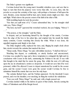The Duke's gesture was significant.

Corvinus looked into the young man's beautiful, relentless eyes, and saw that to hope to turn him from his purpose were worse than idle. As soon, then, risk the powder as accept the certainty of the rope, with perhaps a foretaste of hell upon the rack. Besides, some chemical skill he had, and a timely emetic might save him—that and flight. Which shows the precise extent of his faith in his elixir of life.

With trembling hands he took the powder.

"See that you spill none of it," Cesare admonished him, "or the strangler shall valet you, Thrice-Mage!"

"My lord, my lord!" quavered the wretched warlock, his eyes bulging. "Mercy! I  $\cdots$  .

"The poison, or the strangler," said the Duke.

In despair, and yet heartening himself by the thought of the emetic, Corvinus bore the edge of the box to his ashen lips, and emptied into his mouth the faintly musty contents, Cesare watching him closely the while. When it was done, the appalled magician sank limply to his chair.

The Duke laughed softly, replaced his vizor, and, flinging his ample cloak about him, strode towards the curtains that masked the door.

"Sleep easily, Thrice-Mage," he said, with infinite mockery. "I shall not fail you."

Watching him depart, so confidently, so utterly fearless and unconcerned, Corvinus was assailed by rage and a fierce temptation to extinguish the light and try conclusions with Cesare in the dark, summoning the Nubian to his aid. It was with that thought in his mind that he smote the gong. But, whilst the note of it still rang upon the air, he abandoned a notion so desperate. It would not save him if he were poisoned, whilst if he allowed Cesare to depart unmolested he would be the sooner gone, and the sooner Cesare were gone the sooner would Corvinus be free to administer himself the emetic that was now his only hope.

The curtains flashed back, and the Nubian appeared. On the threshold Cesare paused, and over his shoulder, ever mocking, he flung the warlock his valediction:

"Fare you well, Thrice-Mage!" he said; and, with a laugh, passed out.

Corvinus dashed wildly to his shelves in quest of that emetic, fiercely cursing the Duke of Valentinois and all the Borgia brood.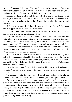A<sup>S</sup> the Nubian opened the door of the mage's house to give egress to the Duke, he felt himself suddenly caught about the neck in the crook of a steely, strangling arm, whilst the shrill note of a whistle sounded almost in his very ear.

Instantly the hitherto silent and deserted street awoke to life. From out of doorways darted swift-footed men in answer to the Duke's summons. Into the hands of two of these he delivered the writhing Nubian; to the others he issued a brief command.

"In!" he said, waving a hand down the passage. "In, and take him." And upon that he stepped out into the street and so departed.

Later that evening word was brought him at the palace of how Messer Corvinus had been taken in the very act of mixing a drug.

"The antidote, no doubt," said Cesare to the officer who bore him the information. "You would be just in time to save my experiment from being frustrated. A wicked, faithless, inconsiderate fellow, this Corvinus. Let him be kept in close confinement, guarded by men whom you can trust, until you hear from me again."

Thereafter Cesare summoned a council of his officers—Corella the Venetian, Naldo the Forlivese, Ramiro de Lorqua, his lieutenant-general of Romagna, Della Volpe the one-eyed, and Lorenzo Castrocaro.

A tall, clean-limbed young man was this last, very proud in his bearing, very splendid in his apparel, with golden hair and handsome, dreamy eyes of a blue as dark as sapphires. Cesare held him in great regard, knowing him valiant, resourceful, and ambitious. To-night he regarded him with a fresh interest, in view of what at the magician's he had overheard.

The Duke waved his officers to their seats about his council-board, and craved of Della Volpe, who was in charge of the siege operations, news of the fortress of San Leo.

The veteran's swarthy face was gloomy. His single eye—he had lost the other in the Duke's service—avoided his master's penetrating glance. He sighed wearily.

"We make no progress," he confessed, "nor can make any. San Leo is not a place to be carried by assault, as your magnificence well knows. It stands there upon its mountain-top like a monument upon a plinth, approached by a bridle-path offering no cover. And, for all that it is reported to be held by scarcely more than a score of men, a thousand cannot take it. There is no foothold at the summit for more than a dozen men at a time, and as for using guns against it, it were easier to mount a park of artillery upon a fiddle-string."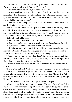"Yet until San Leo is ours we are not fully masters of Urbino," said the Duke. "We cannot leave the place in the hands of Fioravanti."

"We shall have to starve him out, then," said Della Volpe.

"And that would take a year at least," put in Corella, who had been gathering information. "They have great store of wheat and other victuals and they are watered by a well in the inner bailie of the fortress. With few mouths to feed, as they have, they can hold us in check for ever."

"There is a rumour to-day," said Della Volpe, "that the Lord Fioravanti is sick, and that it is feared he may not live."

"Not a doubt but Venice will say I poisoned him," said Cesare, sneering. "Still, even if he dies, it will be no gain to us. There is his castellan, Tolentino, to take his place; and Tolentino is the more obstinate of the two. We must consider some way to reduce them. Meanwhile, Taddeo, be vigilant, and hold the path against all."

Della Volpe inclined his head.

"I have taken all my measures for that," he said.

And now young Castrocaro stirred in his chair, leaning forward across the table.

"By your leave," said he, "those measures may not suffice."

Della Volpe frowned, rolled his single eye, which was preternaturally fierce, and scowled contemptuously upon this young cockerel whose pretence it seemed to be to teach that war-battered old captain the art of beleaguering.

"There is another way to reach San Leo," Castrocaro explained; and drew himself upon the attention of all, particularly the Duke, in whose fine eyes there gleamed now an eager interest very unusual in him.

Castrocaro met with a confident smile this sudden and general alertness he had provoked.

"It is not," he explained, "such a way by which a company can go, but sufficient to enable a bold man who is acquainted with it to bear messages, and, at need, even victuals into the fortress. Therefore, it will be necessary that Messer della Volpe surround the entire base of the rock if he would be sure that none shall slip through his lines."

"You are certain of what you tell us?" quoth the Duke sharply.

"Certain!" echoed Castrocaro; and he smiled. "The way of which I speak lies mainly to the south of the rock. It is perilous even for a goat, yet it is practicable with care to one who knows it. Myself, as a boy, have made the ascent more often than I should have cared to tell my mother. In quest of an eagle's nest I have more than once reached the little plateau that thrusts out under the very wall of the fortress on the southern side. Thence, to enter the castle, all that would be needed would be a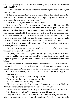rope and a grappling-hook; for the wall is extremely low just there—not more than twelve feet high."

The Duke pondered the young soldier with very thoughtful eyes, in silence, for some moments.

"I shall further consider this," he said at length. "Meanwhile, I thank you for the information. You have heard, Della Volpe. You will profit by what Castrocaro tells us, encircling the base entirely with your troops."

Della Volpe bowed, and upon that the council rose.

Next morning Cesare Borgia summoned Castrocaro to his presence. He received the young condottiero in the noble library of the palace, a spacious chamber, its lofty ceiling gloriously frescoed by Mantegna, its walls hung with costly tapestries and cloth of gold, its shelves stocked with a priceless and imposing array of volumes, all in manuscript; for, although the new German invention of the printing press was already at work, by not a single vulgar production of that machine would Duke Guidobaldo have contaminated his cherished and marvellous collection.

At work at a table spread with papers sat the black-gowned figure of Agabito Gherardi, the Duke's secretary.

"You have the acquaintance, have you not," quoth Cesare, "of Madonna Bianca, the daughter of Fioravanti of San Leo?"

The young man, taken by surprise, flushed slightly despite his habitual selfpossession, and his blue eyes, avoiding the Duke's, considered the summer sky and the palace gardens through one of the windows that stood open to the broad marble balcony.

"I have that honour in some slight degree," he answered; and Cesare considered from his air and tone that the magician's golden elixir was scarcely needed here as urgently as Madonna Bianca opined, and that what still was wanting to enchant him the sorcery of her beauty might accomplish unaided, as the magician had supposed.

He smiled gently.

"You may improve that acquaintance, if you so desire."

The young man threw back his head very haughtily.

"I do not understand your potency," said he.

"You have my leave," the Duke explained, "to convey in person to Madonna Bianca the news we have received that her father lies sick in San Leo."

Still the young man held himself loftily upon the defensive, as a young lover will.

"To what end this, highness?" he inquired, his tone still haughty.

"Why, to what end but a Christian one, and"—the Duke slightly lowered his voice to a confidential tone, and smiled inscrutably—"a kindly purpose towards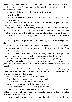yourself. Still, if you disdain the latter, for the former any other messenger will serve."

Ill at ease in his self-consciousness, a little mystified, yet well-content at heart, the condottiero bowed.

"I thank your highness," he said. "Have I your leave to go?"

The Duke nodded.

"You will wait upon me on your return. I may have other commands for you," he said, and so dismissed him.

An hour later came Castrocaro back to the palace library in great haste and some excitement to seek the duke again.

"My lord," he cried, all in a trembling eagerness, "I have conveyed the message, and I am returned to crave a boon. Madonna Bianca besought of me in her affliction a written order to pass the lines of Della Volpe, that she might repair to her father."

"And you?" cried the Duke sharply, his level brows drawn together by a sudden frown.

The young captain's glance fell away. Obviously he was discouraged and abashed.

"I answered that I had no power to grant such an order, but—but that I would seek it of your highness; that I knew you would not desire to hold a daughter from her father's side at such time."

"You know a deal," said Cesare sourly, "and you promise rashly. Precipitancy in making promises has never yet helped a man to greatness. Bear that in mind."

"But she was in such sore affliction!" cried Messer Lorenzo, protesting.

"Aye!" said the duke drily. "And she used you so kindly, eyed you so fondly, gave you such sweet wine to drink, that you had no strength to resist her soft appeal."

Cesare, watching his condottiero closely, observed the flicker of the young man's eyelids at the mention of the wine, and was satisfied. But even more fully was he to have the assurance that he sought.

"Have I been spied upon?" quoth Messer Lorenzo hotly.

Cesare shrugged contemptuously, not deigning to reply.

"You have leave to go," he said in curt dismissal.

But Messer Lorenzo was in a daring mood, and slow to obey.

"And the authority for Madonna Bianca to join her father?" he asked.

"There are good reasons why none should enter San Leo at present," was the cold reply. "Since you lay such store by it, I regret the necessity to deny you. But in time of war necessity is inexorable."

Chagrined and downcast, the condottiero bowed and withdrew. Having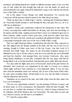promised, and finding himself now unable to fulfil the promise made to her over that cup of wine which she had brought him with her own fair hands, he dared not present himself to her again. Instead he dispatched a page to her with the unwelcome news of the Duke's refusal.

Yet in this matter Cesare Borgia was oddly inconsistent. For scarcely had Castrocaro left his presence than he turned to his white-faced secretary.

"Write me three lines to Della Volpe," said he, "ordering that if Madonna Bianca de' Fioravanti should attempt to steal through his lines and gain San Leo, he is to offer her no hindrance."

Agabito's round, pale countenance reflected his amazement at this order. But Cesare, surveying him, smiled inscrutably for all reply, and, from his knowledge of his master and that smile, Agabito perceived that Cesare was embarked upon one of those tortuous, subtle courses whose goal none could perceive until it had been reached. He bent to his task, and his pen scratched and spluttered briskly. Very soon a messenger bearing the order was on his way to Della Volpe's camp.

That very night Madonna Bianca considerately did what the Duke expected of her. She slipped past the Borgia sentinels in the dark, and she was in San Leo by morning, though in Urbino none knew of this but Cesare, who had word of it privately from Della Volpe. Her palace by the Zoccolanti remained opened as if inhabited by her, but to all who came to seek her it was said that she was in ill-health and kept her chamber. And amongst these was Lorenzo Castrocaro, who, upon being denied admittance on this plea, concluded that she was angry with him for having failed to do as he had promised, and thereafter grew oddly silent and morose.

Two days after her flight came news of Fioravanti's death in the grim fortress he defended, and Castrocaro was dispatched by the duke to Cesena on a mission which might well have been entrusted to a less-important officer. It was ten days later when his immediate return was ordered, and, in view of the terms of that order, he went, upon reaching Urbino, all dust-laden as he was, into the Duke's presence with the dispatches that he bore.

Valentinois sat in council at the time, and Della Volpe from the lines under San Leo was in attendance.

"You are very opportunely returned," was his greeting of Messer Lorenzo, and he thrust aside, as of no consequence, the dispatches which the latter brought. "We are met here to consider this resistance of San Leo, which is being conducted now by Tolentino with all the firmness that was Fioravanti's. We must make an end; and you, Messer Lorenzo, are the man to accomplish it."

"I?" cried the young soldier.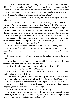"Sit," Cesare bade him, and obediently Castrocaro took a chair at the table. "Listen. You are to understand that I am not commanding you to do this thing, for I command no valued officer of mine so greatly to imperil his life. I but show you what is our need—what might be done by one who has your knowledge and whose heart is stout enough to bid him take the risk which the thing entails."

The condottiero nodded his understanding, his blue eyes set upon the Duke's calm face.

"You told us here," Cesare continued, "of a perilous way into San Leo which is known to few, and to yourself amongst those few. You said that if a man were to gain the plateau on the southern side of the rock's summit he might, with a rope and a grappling-hook, effect an entrance. Now, if a man were to do this at dead of night, choosing his time wisely so as to take the sentry unawares, stab that sentry, and thereafter reach the gates and loose the bars, the rest would be an easy task. Della Volpe's troops would, meanwhile, have crept up by the bridle-path to await the signal, upon which they would pour forth against the unbarred gate, and so San Leo might be reduced at last with little loss of life."

Messer Lorenzo considered for some moments, the Duke watching him.

"It is shrewd," he said, approvingly. "It is shrewd and easy, and likely to succeed, provided the man who goes is one who knows the rock and the fortress itself."

"Provided that, of course," said Cesare; and he looked steadily at the young man.

Messer Lorenzo bore that look a moment with the self-possession that was natural to him. Then, translating its quiet significance:

"I will go," he said quietly, "and, Heaven helping me, I willsucceed."

"You have counted the cost of failure?" said Cesare.

"It needs no counting. It is plain enough. A rope and a beam from the castle wall, or a leap from the rock itself."

"Then, since who gambles should know not only what he may chance to lose, but also the stake he stands to win," said the Duke, "let me say that if you succeed I'll give you the governorship of the fortress with a stipend of ten thousand ducats."

Messer Lorenzo flushed in his agreeable surprise. His eyes sparkled and his tone rang with youth's ready confidence in its own powers.

"I will not fail," he promised. "When do I make the attempt?"

"To-morrow night, since you have resolved. See that you rest betwixt this and then to fit you for the fatigue of such an enterprise. And so, sirs, let us hope that we have found at last a solution to this riddle of San Leo."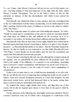You see, I hope, what Messer Castrocaro did not yet see, nor for that matter ever saw—knowing nothing of what had happened on the night when the duke visited Messer Corvinus Trismegistus. You see in the Duke's choice of him for this enterprise an instance of that fine discrimination with which Cesare picked his **instruments** 

Macchiavelli, who studied the Duke at close quarters, and who worshipped him as the very embodiment of all the virtues of princeship, was no doubt inspired by the duke's unerring wisdom in the choice of ministers to devote to the subject a chapter of his "The Prince."

"The first conjecture made of a prince and of his intellectual capacity," he writes, "should be based upon a consideration of the men by whom he surrounds himself, and when these are faithful to him, and sufficient for his occasions, he is to be accounted a wise prince, for having chosen them sufficient and kept them faithful."

Macchiavelli writes thus no more than Cesare might, himself, have written had he theorized upon princeship instead of practising it. Indeed, it is upon Cesare Borgia's practices—as Macchiavelli half admits in one place—that the Florentine founded his theories. So that it is hardly an over-statement to say that whilst Macchiavelli wrote "The Prince," Cesare Borgia was its real author, since his were the conceptions and actions that Macchiavelli converted into precepts.

You see him here selecting for this task one who although the youngest among all his captains, was yet undoubtedly the most sufficient for his particular need. And observe the quality of his sufficiency. In a measure it was adventitious, depending upon Castrocaro's chance acquaintance with that back way up the rock of San Leo. But in a still greater measure it was the result of Cesare's clever manipulation of circumstances.

If that is not yet quite clear to you, it shall become abundantly so ere all is told. But do not fall into the error of supposing that anything that befell was the result of chance. From now onward all happens precisely as Cesare had designed. He had discovered certain forces, and he had harnessed them to his needs, setting them upon a course by him pre-determined and marked out.

He realized that chance might disturb their career, and fling them out of that course, but he did not depend upon chance to bear them to the goal at which he aimed them.

On the afternoon of the following day, thoroughly rested and refreshed, Messer Lorenzo Castrocaro rode out of Urbino with a bodyguard of a half-dozen of his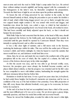men-at-arms and took the road to Della Volpe's camp under San Leo. He arrived there without mishap towards nightfall, and having supped with the commander of the beleaguerers in the latter's tent, he thereafter completed his preparations. Towards the third hour of night he set out alone upon his perilous undertaking.

To lessen the risk of being perceived by any watcher in the castle, he had dressed himself entirely in black, taking the precaution to put on under his doublet a shirt of mail, which whilst being dagger-proof, was yet so finely wrought that your two cupped hands might contain it. He was armed with sword and dagger, and bandolier-wise about his body, was coiled a rope, to which he had attached a strong, double-pronged grappling-hook very broad in the bend, allswathed in straw. This had been carefully and firmly adjusted upon his back, so that it should not hamper his movements.

With Della Volpe he had concerted that the latter, at the head of fifty men, should quietly approach the fortress by the bridle-path, and, having gained the summit, lie concealed until the gate should be opened by Castrocaro himself. Then they were instantly to spring forward, and so effect an entrance.

It was a fine clear night of summer, and a full moon rode in the heavens, rendering the landscape visible for miles. This was well for the earlier part of Messer Lorenzo's climb; and before midnight, by when he hoped to reach the summit, that moon would have set, and darkness would lend him cover.

Alone, then, he set out, and made his way round to the southern side of the great precipitous hill on the crest of which, like the capital of a column, the bulk and towers of the fortress showed grey in the white moonlight.

At first the ascent was easy, and he was able to go forward swiftly; soon, however, the precipice grew more abrupt, the foothold became scantier, and in places failed almost entirely, so that his progress was retarded and for his life's sake he was compelled to move with infinite caution, husbanding his strength against the still more strenuous labour that lay before him.

Hesitation or doubt he had none. It was a good ten years since last, in boyhood, he had scaled those heights; but boyhood's memories are tenacious, and he was as confident of his way as if he had trodden it but yesterday. Every little projection of that cliff, every fissure that afforded foothold, every gap to be overcome, he knew before he reached it.

At the end of an hour he had not accomplished more than a third of the ascent, and the most difficult part of it was yet to come. He sat down upon a grassy ledge, unusually spacious, and there he rested him awhile and recovered breath.

Thence he viewed the Emilian plain, revealed for miles in the moon's white light,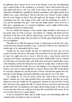the glittering, silvery spread of sea away in the distance to the east, the glimmering snow-capped peaks of the Apennines to westward. Above him towered the grey cliff, abrupt and sheer as the very walls of the fortress that crowned its summit, a climb that well might have appalled the hardiest mountaineer, that might, indeed, have baffled even a goat. Surveying it with his calm blue eyes, Messer Lorenzo realized that the worst danger he had to face that night was the danger of this climb. By comparison, the rest—the scaling of the castle wall, the poniarding of a sentry or two, and the opening of the gate—were safe and simple matters. Here, however, a false step, a misgiving even, or a moment of giddiness, such as might well beset him, must plunge him down to instant death.

He rose, inhaled the fragrance of the summer night, breathed a short prayer to his patron saint, the Holy Lawrence, and pushed on. Clinging with hands and feet and knees to the face of the cliff, he edged along a narrow strip of rock, for some few yards, to another ledge; there he paused to breathe again, thankful that so much was accomplished.

Thereafter for a while the going was easier. A natural path, some three feet wide, wound upwards along the precipice's face. At the end of this he was confronted by another gap, to be surmounted only by a leap.

Fearing lest his sword should trip him, he unbuckled his belt, and cast the weapon from him. He did so with regret, but constrained to it by the reflection that if he kept it he might never live to need it. Then he took a deep breath, seized his courage in both hands, and jumped across the black unfathomable void at a stunted tree that thrust out from that sheer wall. With arms and legs he clutched like an ape at the frail plant, and had its hold given way under his weight, there would have been an end of him forthwith. It held, however, and clinging to it, he groped for foothold, found it, and went on. This brought him to a narrow fissure in the cliff. Up this fissure he swarmed, supported by just the pressure of knees and forearms against the rock, and only at times finding a projection affording a safer grip for one or the other.

Up, straight up, he went for nearly twenty feet, until at last he reached the fissure's summit; one of its walls permitted him to get astride it, and there he rested, bathed in sweat and winded by the stupendous exertions he had put forth. Seated thus, his breast close against the cliff, he looked sideways and down into the awful depths below him. He shuddered, and clung with his bruised hands to the rock, and it was some time before he could proceed upon the second half of his ascent, for by now he knew that he was a good midway.

At last he resumed his climb, and by similar means, and surmounting similar and constant perils, he pushed on and ever upwards.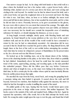One narrow escape he had. As he clung with both hands to that awful wall at a place where the foothold was but a few inches wide, a great brown body, with a shrieking whirr, dashed out of a crevice just above his head, and went cawing and circling in the void beyond. So startled was he that he almost loosed his hold, and a cold sweat broke out upon his roughened skin as he recovered and knew the thing for what it was. And later, when, an hour or so before midnight, the moon went down and left him in utter darkness, fear at last assailed his stout spirit, and for a time he did not dare to move. Presently, however, as he grew accustomed to the gloom, his eyes were able to pierce it to an extent that restored his courage. The night, after all, was clear and starlit, and at close quarters objects were just visible; yet immense care was necessary lest he should now commit the irreparable error of mistaking substance for shadow, or should misjudge his distances, as was so easy.

At long length, towards midnight, utterly spent, with bleeding hands and rent garments, he found himself on the roomy platform at the very foot of the castle's southern wall; and not for all the wealth of the world would he have consented to return by the way he had so miraculously ascended—for miraculous did he now account it that he should have reached his goal in safety. He flung himself down, full length, there at the foot of the wall, to rest awhile before attempting the escalade. And what time he rested, he whispered a prayer of thankfulness for his preservation so far, for a devout soul was this Messer Lorenzo.

He looked up at the twinkling stars, out at the distant sheen of the Adriatic, down at the clustering hamlets in the plain, so far below him, from which so painfully he had climbed. Immediately above his head he could hear the steady measured tread of the sentry, approaching, passing, and receding again, as the man patrolled the embattled parapet. Thrice did the fellow pass that way before Castrocaro stirred; and when at length he rose, as the steps were fading in the distance for the third time, he felt a certain pity for the soldier whose spirit he must inevitably liberate from its earthly prison-house that night.

He uncoiled the rope from his body, stood back, and swung the grappling-hook a moment, taking aim, then hurled it upwards. It soared above the wall, and fell beyond, between two merlons, then thudded softly against the masonry, the straw in which he had the foresight to swathe it muffling the sound of the metal.

He pulled gently at the rope, hoping that the hooks would fasten upon some projection in the stone or lodge within some crevice. But neither happened. The hooks came to the summit of the wall, and toppled back, falling at his feet. Again he repeated the operation, with a like result; but at the third attempt the hooks took hold. He swung his entire weight upon the rope to test the grip, and found that it held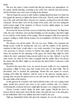firmly.

But now the sentry's return warned him that the moment was unpropitious. So he waited, intently listening, crouching at the wall's foot, until the man had passed, and his footsteps were once more receding in the distance.

Then he began the ascent in sailor fashion, hauling himself up hand over hand, his feet against the masonry to lighten the labour of his arms. Thus he came swiftly to the top of the wall, and knelt there, between two merlons, peering down into the black courtyard. All was silent. Save for the tramp of the sentry, who was now turning the north-western angle of the ramparts, as Messer Lorenzo rightly judged, no sound disturbed the stillness of the place.

He loosed the hooks from the crevice in which they had fastened. He flung them wide, the rope with them, and sent them hurtling over the precipice, that there might be no evidence of the manner of his coming. Then he dropped softly down upon the parapet, exulting to realize that his journey was accomplished, and that he was within the fortress.

His mission was all but ended. The rest was easy. Within a few moments the Borgia troops would be pouring into San Leo, and the soldiers of the garrison, surprised in their beds, would make a very ready surrender. It no longer appeared even necessary to Messer Lorenzo to butcher that single sentry. If he but wisely chose his moment for the unbarring of the gates, the whole thing might be done without the man's suspicions being aroused until it was too late. Indeed, it was the safer course; for, after all, if he came to grapple with the soldier, there was always the chance that the fellow might cry out and give the alarm before Castrocaro could dispatch him.

Resolved thus upon that score, he moved forward swiftly yet very cautiously, and gained a flight of stone steps that wound down into the inner bailie. This he descended, and so reached the quadrangle. Round this vast square he moved, keeping well within the shadows, until he came to the gateway opening upon a passage that ran past the guard-room on one side and the chapel on the other, into the outer bailie of the fortress.

In this gateway lie crouched, and waited until the sentry, who was coming round again, should have passed once more to the castle's northern side. No window overlooking the courtyard showed a single light; the place was wrapped in slumber.

Messer Lorenzo waited calmly, his pulse quite regular. Should the door be locked, then he must return, deal with the sentry, and make his way to the main gates by the battlements. But it was unlikely that such would be the case.

High up, immediately before him upon the ramparts, he saw the sentry, passing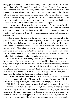slowly, pike on shoulder, a black shadow dimly outlined against the blue-black, starflecked dome of sky. He watched him as he passed on and round, all unsuspicious, and so vanished once more. Then, very softly, Messer Lorenzo tried the latch of that big door. It yielded silently to his pressure and a black tunnel gaped before him. He entered it, and very softly closed the door again on the inside. Then he paused, reflecting that were he to go straight forward and pass out into the northern court he must risk detection by the sentry, who was now on the northern battlements. Therefore he must wait until the fellow should come round again.

Interminable seemed his wait this time, and once he fancied that he heard a man's voice coming from the guard-room on his right. The sound momentarily quickened his pulses that had been steady hitherto. But hearing no more, he concluded that his senses, strained by so much dodging, waiting, and listening, had deceived him.

At last he caught the sound of the sentry's step approaching again along the parapet. Satisfied that he had waited long enough he made shift to grope his way through the black darkness of that passage. And then, even as he turned, his heart almost stood still. Upon the chapel door, at the height of some three feet, there was a tiny oval splash of light, along the ground at the same spot a yellow gleam long and narrow as a sword-blade. Instantly he understood. The guard-room, whose windows looked upon the northern court, was still tenanted, and what he beheld was the light that shone through the keyhole and under the door.

A moment he paused, considering. Then he perceived that, having come so far, he must go on. To retreat and reopen the door would be fraught with the greater risk, whilst to linger in the passage would be but to increase the already imminent danger of discovery. His only chance of winning through lay in going forward at once, taking care to make no sound that should reach those within. Thus, no doubt, all would be well. With extremest caution, then, he stepped forward on tip-toe, his hands upon the wall on the chapelside to guide and steady him.

Not more than three or four steps had he taken when, quite suddenly, an oath rang out in a deep male voice, followed by the laughter of several men. With that there was a scraping of chairs, and heavy steps came tramping towards the door.

With this door Messer Lorenzo was now level, and, being startled, he made his one mistake. Had he taken the risk of speeding forward swiftly, he might even now have won safely to the outer bailie. But he hung there hesitating, again considering retreat even, his every sinew taut. And that pause was his ruin. In a moment he realized it, saw that he was trapped, that retreat was now utterly hopeless, and that to go forward was no better. Therefore with set teeth, and angry misery in his soul to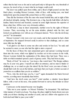reflect that he had won so far and at such peril only to fail upon the very threshold of success, he stood at bay, to meet what he no longer could avoid.

The door was pulled open from within, and a flood of light poured out into that black place, revealing Messer Lorenzo, white of face, with staring eyes, one hand instinctively upon his poniard-hilt, poised there as if for a spring.

Thus did the foremost of the five men who issued behold him, and at sight of him all checked abruptly, staring. This foremost one, a big, heavily-built fellow all clad in leather, black-browed and bearded, seemed in some slight measure the superior of those other four. All five were very obviously soldiers.

He fell back a step in sheer amazement, startled even by the sight of Messer Lorenzo. Then, recovering, he set his arms akimbo, planted wide his feet, and looked our gentleman over with an eye of deepest interest. "Now who the devil may you be?" he demanded.

Messer Lorenzo's wits were ever very ready, and in that moment he had a flash of inspiration. He stepped forward easily in answer to that challenge, and so came more fully into the light.

"I am glad to see there is some one alive and awake in San Leo," he said; and he seemed to sneer, as one who had the right to utter a reproof.

On the faces of those five men amazement grew and spread. Looking beyond them into the room, which was lighted by torches set in iron sconces in the walls, Messer Lorenzo beheld the explanation of the silence they had kept. There was a table on which remained spread a pack of greasy cards. They had been at play.

"Body of God," he went on, "you keep a fine watch here! The Borgia soldiery may be at your very gates. I myself can effect an entrance, and no man to hinder or challenge me, or so much as give the alarm! By the Host! were you men of mine, I should find work for you in the kitchen, and hope that you'd give a better account of yourselves as scullions than you do as soldiers."

"Now, who the devil may you be, I say?" again demanded the black-browed warrior, scowling more truculently than before.

"And how the devil come you here?" cried another, a slender, loose-lipped fellow, with a wart on his nose, who pushed forward to survey the intruder at closer quarters.

Castrocaro on the instant became very haughty.

"Take me to your captain—to Messer Tolentino," he demanded. "He shall learn what manner of watch you keep. You dogs, the place might be burnt about your ears while you sit there cheating one another at cards, and set a fellow who appears to be both deaf and blind to pace your walls."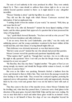The note of cool authority in his voice produced its effect. They were entirely duped by it. That a man should so address them whose right to do so was not entirely beyond question seemed to them—as it might indeed to any—altogether incredible.

"Messer Tolentino is abed," said the big fellow in a surly voice.

They did not like the laugh with which Messer Castrocaro received that information. It had an unpleasant ring.

"I nothing doubt it from the manner of your watch," he sneered. "Well, then, up and rouse him for me!"

"But who is he, after all, Bernardo?" insisted the loose-lipped stripling of their leader; and the others grunted their approval of a question that at least possessed the virtue of being timely.

"Aye," quoth black-browed Bernardo. "You have not told us who you are?" His tone lay between truculence and sulky deference.

"I am an envoy from the Lord Guidobaldo, your duke," was the ready and unfaltering answer; and the young condottiero wondered in his heart whither all this would lead him, and what chance of saving himself might offer yet.

Their deference was obviously increased, as was their interest in him.

"But how came you in?" insisted the one who already had posed that question.

Messer Lorenzo waved the question and questioner impatiently aside.

"What matters that?" quoth he. "Enough that I am here. Are we to trifle away the night in silly questions? Have I not told you that the Borgia troops may at this moment be at your very gates?"

"By Bacchus, they may stay there," laughed another. "The gates of San Leo are strong enough, my master; and should the Borgia rabble venture to knock, we shall know how to answer them."

But even as the fellow was speaking, Bernardo fetched a lanthorn from the room, and shouted to them to follow him. They went down the passage towards the door leading to the outer bailie. They crossed the courtyard together, pestering the supposed envoy with questions, which he answered curtly and ungraciously, showing them by his every word and gesture that it was not his habit to herd with such as they.

Thus they came to the door of the maschio tower, where Messer Tolentino had his dwelling; and, what time they paused there, Castrocaro sent a fond glance in the direction of the great gates, beyond which Della Volpe and his men were waiting. He was so near them that to reach and unbar those gates would be an instant's work; but the way to rid himself of those five dogs of war was altogether beyond his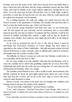devising. And now the sentry on the walls above peered down and hailed them to know whom they had with them, and the young condottiero prayed that thus Della Volpe, who must be intently on the watch without, might have warning that he was taken. Yet at the same time he knew full well that, even so, Della Volpe would be powerless to assist him. He had but his own wits upon which he could depend and he realized how desperate was his situation.

Up a winding staircase, the walls and ceilings very rudely frescoed, they led Messer Lorenzo to the apartments of Tolentino, the castellan who had been ruler of San Leo since the death, ten days ago, of the Lord Fioravanti.

As he went the young condottiero took heart once more. So far all had gone well. He had played his part shrewdly, and his demeanour had so successfully imposed upon the men that no shadow of suspicion did they entertain. Could he but succeed in similarly befooling their captain, it might well be that he should be assigned some chamber from which he anon might slip forth still to do the thing he was come to do.

As he went he prepared the tale he was to tell, and he based it upon his knowledge that Fioravanti's resistance of Cesare Borgia had been almost in opposition to the wishes of Duke Guidobaldo—that mild and gentle scholar who had desired all fortresses to make surrender, since no ultimate gain could lie in resistance and naught ensue but a useless sacrifice of life.

The difficulty for Messer Lorenzo lay in the fact that Tolentino would desire to see credentials; and he had none to offer.

He was kept waiting in an ante-chamber what time the big Bernardo went to rouse the castellan and to inform that grumbling captain that an envoy from Duke Guidobaldo had stolen into the castle and was seeking him. No more than just that did Bernardo tell Tolentino. But it was enough.

The castellan roused himself at once, with a wealth of oaths, first incoherent, then horribly coherent; he shook his great night-capped head, thrust out a pair of long hairy legs from the coverlet, and sat up on the bed's edge to receive this envoy, whom he made Bernardo to admit.

Messer Lorenzo, very uneasy in his heart, but very haughty and confident in his bearing, entered and gave the captain a lofty salutation.

"You are from Duke Guidobaldo?" growled Messer Tolentino.

"I am," said Castrocaro. "And had I been from Cesare Borgia, with a score of men at my heels, I could by now have been master of San Leo, so zealous are your watchers."

It was shrewdly conceived, because it seemed to state an obvious truth that was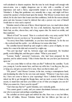well calculated to disarm suspicion. But the tone he took though well enough with men-at-arms, was a mighty dangerous one to take with a castellan of such importance and such a fierce, ungovernable temper as was notoriously Messer Tolentino's. It flung that gentleman very naturally into a rage, and might well have earned the speaker a broken head upon the instant. This Messer Lorenzo knew and risked; for he also knew that it must earn him confidence, both for the reason already given and also because it must be inferred that only a person very sure of himself would dare to voice such a reproof.

Tolentino stared at him out of fierce, blood-injected eyes, too much taken aback to find an answer for a moment. He was a tall, handsome, big-nosed man, with black hair, an olive, shaven face, and a long, square chin. He stared on awhile, and then exploded.

"Blood of God!" he roared. "Here is a cockerel with a very noisy cackle! We'll mend that for you ere you leave us," he promised viciously. "Who are you?"

"An envoy from Duke Guidobaldo, as you have been informed. As for the rest —the cockerel and the cackle—we will discuss it at some other time."

The castellan heaved himself up and sought to strike a pose of dignity, no easy matter for a man in his shirt and crowned by a night-cap.

"You pert lap-dog!" said he, between anger and amazement. He breathed gustily, words failing him, and then grew calmer. "What is your name?"

"Lorenzo Snello," answered Castrocaro, who had been prepared for the question, and he added sternly: "I like it better than the one you have just bestowed upon me."

"Are you come hither to tell me what you like?" bellowed the castellan. "Look you, young sir, I am the master here, and here my will is law. I can flog you, flay you, or hang you, and give account of it to none. Bear you that in mind, and——"

"Oh, peace!" cried Messer Lorenzo, in his turn, waving a contemptuous hand, and dominating the other by his very tone and manner. "Whatever I may have come for, I have not come to listen to your vapourings? Have I climbed from the plain, risked my life to get through the Borgia lines, and my neck a score of times in the ascent, to stand here and have you bellow at me of what you imagine you can do? What you cannot do, I have seen for myself."

"And what may that be?" quoth Tolentino, now wickedly gentle.

"You cannot guard a castle, and you cannot discriminate between a lackey and one who is your peer and perhaps something more."

The castellan sat down again and rubbed his chin. Here was a very hot fellow, and, like all bullies, Messer Tolentino found that hot fellows put him out of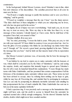countenance.

In the background, behind Messer Lorenzo, stood Tolentino's men in line, silent but avid witnesses of his discomfiture. The castellan perceived that at all costs he must save his face.

"You'll need a weighty message to justify this insolence and to save you from a whipping," said he gravely.

"I'll need no weightier a message than the one I bear," was the sharp answer. "The duke shall hear of these indignities to which you are subjecting one he loves, and who has run great peril in his service."

His dignity, his air of injury was now overwhelming. "And mark you, sir, it is not the way to treat an envoy, this. Were my duty to the duke less than it is, or my message of less moment, I should depart as I have come. But he shall hear of the reception I have had, rest assured of that."

Tolentino shuffled, ill at ease now.

"Sir," he cried, protesting, "I swear the fault is yours. Who pray are you, to visit me with your reproofs? If I have failed in courtesy it was you provoked me. Am I to bear the gibes of every popinjay who thinks he can discharge my duties better than can I? Enough, sir!" He waved a great hand, growing dignified in his turn. "Deliver the message that you bear." And he held out that massive hand of his in expectation of a letter.

But Messer Lorenzo's pretence was, of necessity, that he bore his message by word of mouth.

"I am bidden by my lord to enjoin you to make surrender with the honours of war, which shall be conceded you by the Duke of Valentinois," said he; and seeing the surprise, doubt, and suspicion that instantly began to spread upon Tolentino's face for all to read, he launched himself into explanations. "Cesare Borgia has made terms with Duke Guidobaldo, and has promised him certain compensations if all the fortresses of his dominions make surrender without more ado. These terms my lord has been advised to accept, since by refusing them nothing can he hope to gain, whilst he may lose all. Perceiving this, and satisfied that by prolonging its resistance San Leo can only be postponing its ultimately inevitable surrender and entailing by that postponement the loss of much valuable life, Duke Guidobaldo has sent me to bid you in his name capitulate forthwith."

It had a specious ring. It was precisely such a message as the humanitarian duke might well have sent, and the profit to accrue to himself from the surrender he enjoined seemed also a likely enough contingency. Yet the shrewd Tolentino had his doubts, doubts which might never have assailed another.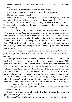Wrinkles increased about his fierce black eyes as he bent them now upon the messenger.

"You will have letters of this tenour from my lord?" he said.

"I have none," replied Messer Lorenzo, dissembling his uneasiness.

"Now, by Bacchus, that is odd!"

"Nay, sir, consider," said the young man too hastily, "the danger of my carrying such letters. Should they be found upon me by the Borgia troops, I——"

He checked, somewhat awkwardly, perceiving his mistake. Tolentino smacked his thigh with his open palm, and the room rang with the sound of it. His face grew red. He sprang up.

"Sir, sir," said he, with a certain grimness, "we must understand each other better. You say that you bring me certain orders to act upon a certain matter that has been concerted between Valentinois and my lord, and you talk of danger to yourself in bearing such orders in a letter. Be patient with me if I do not understand." Tolentino's accents were unmistakably sardonic. "So desirable is it from the point of view of Valentinois that such commands should reach me, that he could not have failed to pass you unmolested through his troops. Can you explain where I am wrong in these conclusions?"

There but remained for Messer Lorenzo to put upon the matter the best face possible. A gap was yawning at his feet. He saw it all too plainly. He was lost, it seemed.

"That explanation, my lord, no doubt, will furnish you, should you seek it from him. I hold it not. It was not given me, nor had I the presumption to request it." He spoke calmly and proudly, for all that his heart-beats had quickened, and in his last words there was a certain veiled reproof of the other's attitude. "When," he continued, "I said that it would have been dangerous to have given me letters, I but put forward, to answer you, the explanation which occurred to me at the moment. I had not earlier considered the matter. I now see that I was wrong in my assumption."

Messer Tolentino considered him very searchingly. Throughout his speech, indeed, the castellan's eyes had never left his face. Messer Lorenzo's words all but convinced Tolentino that the man was lying. Yet his calm and easy assurance, his proud demeanour, left the captain still a lingering doubt.

"At least you'll bear some sign by which I am to know that you are indeed my lord's envoy?" said he.

"I bear none. I was dispatched in haste. The duke, it seems, did not reckon upon such a message as this being doubted."

"Did he not?" quoth Tolentino, and his note was sardonic. Suddenly he asked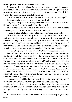another question. "How came you to enter the fortress?"

"I climbed up from the plain on the southern side, where the rock is accounted inaccessible." And, seeing the look of surprise that overspread the captain's face, "I am of these parts," he explained. "In boyhood I have frequently essayed the climb. It was for this reason that Duke Guidobaldo chose me."

"And when you had gained the wall, did you bid the sentry lower you a rope?"

"I did not. I had a rope of my own, and grappling-hooks."

"Why this, when you are a messenger from Guidobaldo?" The castellan turned sharply to his men. "Where did you find him?" he inquired.

It was Bernardo who made haste to answer that they had found him lurking in the passage outside the guard-room as they were coming out.

Tolentino laughed with fierce relish, and swore copiously and humorously.

"So-ho!" he crowed. "You had passed the sentry unperceived, and you were well within the fortress ere suddenly you were discovered, when, behold! you become a messenger of Guidobaldo's bearing orders to me to surrender the fortress, and you take this high tone about our indifferent watch to cover the sly manner of your entrance. Oh-o! 'Twas shrewdly thought of, but it shall not avail you—though it be a pity to wring the neck of so spirited a cockerel." And he laughed again.

"You are a fool," said Castrocaro with finality, "and you reason like a fool."

"Do I so? Now, mark me. You said that it was because you knew a secret way into this castle that Guidobaldo chose you for his messenger. Consider now the folly of that statement. You might yourself have construed that Guidobaldo's wish was that you should come hither secretly, though yourself you have admitted the obvious error of such an assumption. But to tell me that an envoy from the duke bidding us surrender to Cesare Borgia, and so do the will of the latter, should need to come here by secret ways at the risk of his neck——" Tolentino shrugged and laughed in the white face of Messer Lorenzo. "Which of us is the fool in this, sir?" he questioned, leering. Then, with an abrupt change of manner, he waved to his men. "Seize and search him," he commanded.

In a moment they had him down upon the floor, and they were stripping him of his garments. They made a very thorough search, but it yielded nothing.

"No matter," said Tolentino as he got into bed again. "We have more than enough against him already. Make him safe for the night. He shall go down the cliff's face again in the morning, and I swear he shall go down faster than ever he came up."

And Messer Tolentino rolled over, and settled down comfortably to go to sleep again.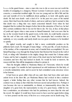LOCKED in the guard-house—since a man who was to die so soon was not worth the trouble of consigning to a dungeon, Messer Lorenzo Castrocaro spent, as you may conceive, a somewhat troubled night. He was too young and too full of life and the zest and warmth of it to be indifferent about quitting it, to look with apathy upon death. He had seen death—and a deal of it—in the past two years of his martial career. But it had been the death of others, and never until now had it seemed to him that death was a thing that very much concerned himself. Even when he had imagined that he realized the dangers before him in this enterprise of San Leo, he had felt a certain confidence that it was not for him to die. He was, in fact, in that phase of youth and vigour when a man seems to himself immortal. And even now that he lay on the wooden bench in the guard-room, in the dark, he could hardly conceive that the end of him was really at hand. The catastrophe had overtaken him so suddenly, so very casually; and surely death was too great a business to be heralded so quietly.

He sighed wearily, and sought to find a more comfortable position on his pitilessly hard couch. He thought of many things—of his past life, of early boyhood, of his mother, of his companions in arms, and of martial feats accomplished. He saw himself hacking a way through the living barrier that blocked the breach in the wall of Forli, or riding with Valentinois in the mighty charge that routed the Colonna under Capua; and he had a singularly vivid vision of the dead men he had beheld on those occasions and how they had looked in death. So would he look to-morrow, his reason told him. But still his imagination refused to picture it.

Then his thoughts shifted to Madonna Bianca de' Fioravanti, whom he would never see again. For months he had experienced an odd tenderness for that lady, of a sweetly melancholy order, and in secret he had committed some atrocious verses in her honour.

It had been no great affair when all was said; there had been other and more ardent loves in his short life; yet Madonna Bianca had evoked in him a tenderer regard, a holier feeling than any other woman that he had known. Indeed, the contrast was as sharp as that which lies between sacred and profane love. Perhaps it was because she was so unattainable, so distant, so immeasurably above him, the daughter of a great lord, the representative to-day of a great house, whilst he was but a condottiero, an adventurer who had for patrimony no more than his wits and his sword. He sighed. It would have been sweet to have seen her again before dying —to have poured out the story of his love as a swan pours out its death-song. Yet,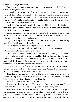after all, it did not greatly matter.

You see that his examination of conscience in that supreme hour had little to do with the making of his soul.

He wondered would she hear of the end he had made; and whether, hearing, she would pity him a little; whether, indeed, she would do so much as remember him. It was odd he reflected that he should come to meet his end in the very castle that had been her father's; yet he was glad that it was not her father's hand that measured out to him this death that he must die to-morrow.

Physically exhausted as he was by the exertions of his climb, he fell at last into a fitfulslumber; and when next he awakened it was to find the morning sunlight pouring through the tall windows of his prison.

He had been aroused by the grating of a key in the lock, and as he sat up, stiff and sore, on his hard couch, the door opened, and to him entered Bernardo, followed by six soldiers, all in their harness.

"A good day to you," said Bernardo civilly, but a trifle thoughtlessly, considering what the day had in store for Messer Lorenzo.

The young man smiled as he swung his feet to the ground.

"A better day to you," said he; and thus earned by his pleasantry and his debonair manner, the esteem of the gruff soldier.

It had come to Messer Lorenzo that, since die he must, the thing would be best done jocosely. Lamentations would not avail him. Let him then be blithe. Perhaps, after all, death were not so fearful a business as priests represented it; and as for that flaming hell that lies agape for young men who have drunk of the lusty cup of their youth there would be shrift for him before he went.

He rose, and ran his fingers through his long, fair hair, which had become tousled. Then he looked at his hands, grimy and bruised from yesternight's adventure, and begged Bernardo to fetch him water.

Bernardo's brows went up in surprise. The labour of washing did not seem a reasonable thing to him under the circumstances. Outside in the courtyard a drum began to beat a call. Bernardo thrust out a dubious lip.

"Messer Tolentino is awaiting you," he said.

"I know," replied Castrocaro. "You would not have me present myself thus before him. It were to show a lack of proper respect for the hangman."

Bernardo shrugged, and gave an order to one of his men. The fellow set his pike in a corner and went out, to return presently with an iron basin full of water. This he placed upon the table. Messer Lorenzo thanked him pleasantly, removed his doublet and shirt, and stripped to the waist he proceeded to make the best toilet that he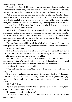could as briefly as possible.

Washed and refreshed, his garments dusted and their disarray repaired, he acknowledged himself ready. The men surrounded him at a word from Bernardo, and marched him out into the open where the impatient castellan awaited him.

With a firm step, his head high, and his cheeks but little paler than their habit, Messer Lorenzo came into the spacious inner bailie of the castle. He glanced wistfully at the cobalt sky, and then considered the line of soldiers drawn up in the courtyard, all in their harness of steel and leather, with the grey walls of the fortress for their background. Not more than thirty men in all did they number, and they composed the castle's entire garrison.

A little in front of them the tall castellan was pacing slowly. He was all in black, in mourning for his late master, the Lord Fioravanti, and his hand rested easily upon the hilt of his sheathed sword, thrusting the weapon up behind. He halted at the approach of the doomed prisoner, and the men surrounding the latter fell away, leaving him face to face with Messer Tolentino.

The castellan considered him sternly for a little while, and Messer Lorenzo bore the inspection well, his deep blue eyes returning the other's solemn glance intrepidly.

At last the captain spoke:

"I do not know what was your intent in penetrating here last night, save that it was traitorous; that much the lies you told me have made plain, and for that you are to suffer death, as must any man taken as you had been."

"For death I am prepared," said Messer Lorenzo coolly; "but I implore you to spare me the torture of a funeral oration before I go. My fortitude may not be equal to so much, particularly when you consider that I have had no breakfast."

Tolentino smiled sourly, considering him.

"Very well," said he. And then: "You will not tell me who you are and what you sought here?"

"I have told you already, but you choose to discredit what I say. What need, then, for further words? It were but to weary you and me. Let us get to the hanging, which, from the general look of you, is no doubt a matter that you understand better."

"Ha!" said Tolentino.

But now quite suddenly, from the line of men there was one who, having heard question and answer, made bold to call out:

"Sir captain, I can tell you who he is."

The captain wheeled sharply upon the man-at-arms who had made the announcement.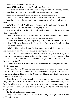"He is Messer Lorenzo Castrocaro."

"One of Valentinois's condottieri?" exclaimed Tolentino.

"The same, sir captain," the man assured him; and Messer Lorenzo, looking, recognized one who had served under his own banner some months since.

He shrugged indifferently at the captain's very evident satisfaction.

"What odds?" he said. "One name will serve as well as another to die under."

"And how," quoth the captain, "would you prefer to die? You shall have your choice."

"Of old age, I think," said Messer Lorenzo airily, and heard the titter that responded to his sally. But Tolentino scowled, displeased.

"I mean, sir, will you be hanged, or will you leap from the ledge to which you climbed last night?"

"Why, that now is a very different matter. You circumscribe the choice. Appoint for me, I pray, the death that will afford you the greater diversion."

Tolentino considered him, stroking his long chin, his brows wrinkled. He liked the fellow for his intrepid daring in the face of death. But—he was Castellan of San Leo, and knew his duty.

"Why," said he slowly at length, "we know that you can climb like an ape; let us see if you can fly like a bird. Take him up to the ramparts yonder."

"Ah, but stay!" cried Messer Castrocaro, with suddenly startled thoughts of those sins of his youth and with a certain corollary hope. "Are you all pagans in San Leo? Is a Christian to be thrust across the black edge of death unshriven? Am I to have no priest, then?"

Tolentino frowned, as if impatient of this fresh motive for delay; then he signed shortly to Bernardo.

"Go fetch the priest," said he; and thus dashed that faint, sly hope Messer Lorenzo had been harbouring that the place might contain no priest, and that these men, being faithful children of Mother Church, would never dare to slay unshriven a man who asked for shrift.

Bernardo went. He gained the chapel door on the very pronouncement of the "Ite, Missa est," just as the morning Mass was ended, and on the threshold, in his haste, he all but stumbled against a lady in black who was coming forth attended by two women. He drew aside and flattened himself against the wall, muttering words of apology.

But the lady did not at once pass on.

"Why all this haste to chapel?" quoth she, accounting it strangely unusual in one of Tolentino's men.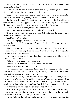"Messer Father Girolamo is required," said he. "There is a man about to die who must be shriven."

"A man?" said she, with a show of tender solicitude, conceiving that one of the all too slender garrison had been wounded to the death.

"Ay, a captain of Valentino's—one Lorenzo Castrocaro—who came hither in the night. And," he added vaingloriously, "it was I, Madonna, who took him."

But the Lady Bianca de' Fioravanti never heard his last words. She fell back a step, and rested, as if for support, against one of the diminutive pillars of the porch. Her face had become deathly white, her eyes stared dully at the soldier.

"What . . . What is his name, did you say?" she faltered.

"Lorenzo Castrocaro—a captain of Valentino's," he repeated.

"Lorenzo Castrocaro?" she said in her turn, but on her lips the name seemed another, so differently did she utter it.

"Ay, Madonna," he replied.

Suddenly she gripped his arm, so that she hurt him.

"And he is wounded—to the death?" she cried with a sudden fierceness, as it seemed to him.

"Nay; not wounded. He is to die, having been captured. That is all. Messer Tolentino will have him jump from the rock. You will have a good view from the battlements, Madonna. It is——"

She released his arm, and fell back from him in horror, cutting short his praise of the entertainment provided.

"Take me to your captain," she commanded.

He stared at her, bewildered. "And the priest?" he inquired.

"Let that wait. Take me to your captain."

The command was so imperious that he dared not disobey her. He bowed, muttering in his beard, and, turning, went up the passage again, and so out into the courtyard, the lady and her women following.

Across the intervening space Madonna Bianca's eyes met the proud glance of Messer Lorenzo's, and saw the sudden abatement of that pride, saw the faint flush that stirred at sight of her in those pale cheeks. For to the young man this was a startling apparition, seeing that—as Cesare Borgia had been careful to provide—he had no knowledge or even suspicion of her presence in San Leo.

A moment she paused, looked at him, her soul in her eyes; then she swept forward, past Bernardo, her women ever following her. Thus came she, very pale but very resolute of mien, to the captain of her fortress.

Messer Tolentino bowed profoundly, uncovering, and at once explained the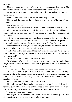situation.

"Here is a young adventurer, Madonna, whom we captured last night within these walls," said he. "He is a captain in the service of Cesare Borgia."

She looked at the prisoner again standing rigid before her, and from the prisoner to her officer.

"How came he here?" she asked, her voice curiously strained.

"He climbed the rock on the southern side at the risk of his neck," said Tolentino.

"And what sought he?"

"'Tis what we cannot precisely ascertain," Tolentino admitted. "Nor will he tell us. When captured last night he pretended to be an envoy from Duke Guidobaldo, which plainly he was not. That was but a subterfuge to escape the consequences of his rashness."

And the captain explained, with a pardonable parade of his own shrewdness, how he had at once perceived that had Messer Lorenzo been what he pretended, there would have been no need for him to have come to San Leo thus, in secret.

"Nor need to risk his neck, as you have said, by climbing the southern side, had he been employed by Cesare Borgia," said the lady.

"That is too hasty a conclusion, Madonna," Tolentino answered. "It is only on the southern side that it is possible to climb the wall; and along the summit itself there is no way round."

"To what end, then, do you conceive that he came?"

"To what end? Why, to what end but to betray the castle into the hands of the Borgia troops?" cried Tolentino, a little out of patience at such a superfluity of questions.

"You have proof of that?" she asked him, a rising inflection in her voice.

"To common sense no proof is needed of the obvious," said he sententiously, snorting a little as he spoke, out of his resentment of this feminine interference in men's affairs. "We are about to fling him back the way he came," he ended with a certain grim finality.

But Madonna Bianca paid little heed to his manner.

"Not until I am satisfied that his intentions were as you say," she replied; and her tone was every whit as firm as his, and was invested with a subtle reminder that she was the mistress paramount of San Leo, and he no more than the castellan.

Tolentino glowered and shrugged.

"Oh, as you please. Madonna. Yet I would make bold to remind you that my ripe experience teaches me best how to deal with such a matter."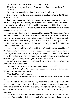The girl looked that war-worn veteran boldly in the eye.

"Knowledge, sir captain, is surely of more account than mere experience." His jaw fell.

"You mean that you—that you have knowledge of why he came?"

"It is possible," said she, and turned from the astonished captain to the still more astonished prisoner.

Daintily she stepped up to Messer Lorenzo, whose deep sapphire eyes glowed now as they regarded her, reflecting some of the amazement in which he had listened to her words. He had weighed them, seeking to resolve the riddle they contained, and—be it confessed at once—wondering how he might turn the matter to his profit in this present desperate pass.

I fear you may discover here something of the villain in Messer Lorenzo. And I admit that he showed himself but little a hero of romance in that his first thought now was how he might turn to account the lady's interest in him. But if it was not exactly heroic, it was undeniably human, and if I have conveyed to you any notion that Messer Castrocaro was anything more than quite ordinarily human, then my task has been ill-performed indeed.

It was not so much his love of her as his love of himself, youth's natural love of life, that now showed him how he might induce her to open a door for his escape from the peril that encompassed him. And yet, lest you should come to think more ill of him than he deserves, you are to remember that he had raised his eyes to her long since, although accounting her far beyond his adventurer's reach.

She looked at him in silence for a moment. Then, with a calm too complete to be other than assumed, she spoke.

"Will you give me your arm to the battlements, Messer Lorenzo?"

A scarlet flush leapt to his cheeks; he stepped forward briskly to her side. Tolentino would still have interposed.

"Consider, Madonna," he began.

But she waved him peremptorily aside; and, after all, she was the mistress in San Leo.

Side by side the prisoner and the lady paramount moved away towards the staircase that led up to the embattled parapet. Tolentino growled his impatience, cursed himself for being a woman's lacquey, dismissed his men in a rage, and sat down by the well in the centre of the courtyard to await the end of that precious interview.

Leaning on the embattled wall, looking out over the vast, sunlit Emilian Plain, Madonna Bianca broke at last the long spell of silence that had endured between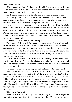herself and Castrocaro.

"I have brought you here, Ser Lorenzo," she said, "that you may tell me the true object of your visit to San Leo." Her eyes were averted from his face, her bosom heaved gently, her voice quivered never so slightly.

He cleared his throat to answer her. His resolve was now clear and definite.

"I can tell you what I did not come to do, Madonna," he answered, and his accents were almost harsh. "I did not come to betray you into the hands of your enemies. Of that I here make oath as I hope for the salvation of my soul."

It may seem perjury at the first glance; yet it was strictly true, if not the whole truth. As we have seen, he had not dreamt that she was in San Leo, or that in delivering up the castle to Della Volpe's men he would be delivering up Madonna Bianca. Had he known of her presence, he would not, it is certain, have accepted the task. Therefore was he able to swear as he had done, and to swear truly, though he suppressed some truth.

"That much I think I knew," she answered gently.

The words and the tone if they surprised him emboldened him in his deceit, urged him along the path to which already he had set his foot. At no other time considering what he was, and what she—would he have dared so much. But his was now the courage of the desperate. He stood to die, and nothing in life daunts him who is face to face with death. He threw boldly that he might at the eleventh hour win back the right to live.

"Ah, ask me not why I came," he implored her hoarsely. "I have dared much, thinking that I dared all. But now—here before you, under the glance of your angel eyes—my courage fails me. I am become a coward who was not afraid when they brought me out to die."

She shivered at his words. This he perceived, and inwardly the villain smiled.

"Look, Madonna." He held out his hands, bruised, swollen, and gashed. "I am something in this state from head to foot." He turned. "Look yonder." And he pointed down the sheer face of the cliff. "That way I came last night—in the dark, risking death at every step. You see that ledge, where there is scarce room to stand. Along that ledge I crept, to yonder wider space, and thence I leapt across that little gulf." She shuddered as she followed his tale. "By that crevice I came upwards, tearing knees and elbows, and so until I had gained the platform on the southern side, there."

"How brave!" she cried.

"How mad!" said he. "I show you this that you may know what courage then was mine, what indomitable impulse drove me hither. You would not think,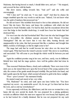Madonna, that having braved so much, I should falter now, and yet—" He stopped, and covered his face with his hands.

She drew nearer, sidling towards him. "And yet?" said she softly and encouragingly.

"Oh! I dare not!" he cried out. "I was mad—mad!" And then by chance his tongue stumbled upon the very words to suit his case. "Indeed, I do not know what was the spirit of madness that possessed me."

He did not know! She trembled from head to foot at that admission. He did not know! But she knew. She knew, and hence the confidence with which she had interposed to brush Tolentino aside. For had he died, had the executioner driven him over that ledge in that horrible death-leap, it would have been her hands that had destroyed him.

For was it not she who had bewitched him? Was it not she who had drugged him with a love-philtre—the elixirium aureum procured from Messer Corvinus Trismegistus? Did she not know that it was that elixir, burning fiercely and unappeasably in his veins, that had possessed him like a madness and brought him thither, reckless of all danger, so that he might come to her?

The mage had said that he would become her utter slave ere the moon had waned again. What had been the wizard's precise words? She strove to recall them, and succeeded: "He will come to you though the whole world lie between you and him"

Again the confident promise rang in her ears, and here, surely, was its fulfilment. Behold how truly had the mage spoken—how well his golden elixir had done its work.

Thus reasoned Madonna Bianca, clearly and confidently. There were tears in her dark eyes as she turned them now upon the bowed head of the young captain at her side; the corners of her gentle mouth drooped wistfully. She put forth a hot hand, and laid it gently upon his fair head, which seemed all turned to gold in the fierce sunlight.

"Poor—poor Lorenzo!" she murmured fondly.

He started round and stared at her, very white.

"Oh, Madonna!" he cried, and sank upon one knee before her. "You have surprised my secret—my unutterable secret! Ah, let me go! Let them hurl me from the rock, and so end my wretchedness!"

It was supremely well done, the villain knew; and she were no woman but a very harpy did she now permit his death. He was prepared for a pitying gentleness towards an affliction which she must now suppose her own beauty had inspired, and so he had looked for a kindly dismissal. But he was not prepared for any such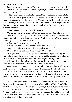answer as she made him.

"Dear love, what are you saying? Is there no other happiness for you save that of death? Have I shown anger? Do I show aught but gladness that for me you should have dared so much?"

To Messer Lorenzo it seemed in that moment that something was amiss with the world, or else with his poor brain. Was it conceivable that this noble lady should herself have turned eyes of favour upon him? Was it possible that she should return this love of his, which he had deemed ofsuch small account that in his urgent need he had not scrupled to parade it for purposes of deceit, where he would not have dared parade it otherwise?

He gave utterance to his overmastering amazement.

"Oh, it is impossible!" he cried; and this time there was no acting in his cry.

"What is impossible?" quoth she; and, setting her hands under his elbows, she raised him gently from his kneeling posture. "What is impossible?" she repeated when they stood face to face once more.

And now the fire in his eyes was not simulated.

"It is impossible that you should not scorn my love," said he.

"Scorn it? I? I who have awakened it—I who have desired it?"

"Desired it?" he echoed, almost in a whisper. "Desired it?"

For a spell they stood so, staring each into the other's eyes; then they fell into each other's arms, she sobbing in her extreme joy, and he upon the verge of doing no less, for, as you will perceive, it had been a very trying morning for him.

And it was thus—the Lady of San Leo and the Borgia captain clasped heart to heart under the summer sky—that Messer Tolentino found them.

Marvelling at the long delay, the castellan had thought it well to go after them. And what he now beheld struck him to stone, left him gaping like a foolish image.

They fell apart for very decency, and then the lady, rosily confused, presented Messer Lorenzo to the castellan as her future lord, and explained to him in confidence—and as she understood it—the true reason of that gentleman's visit to San Leo.

That Tolentino profoundly and scornfully discountenanced the whole affair—that he accounted it unpardonable in his mistress, a loyal subject of Duke Guidobaldo's, the holder, indeed, of one of the fortresses of Urbino, to take to husband one whose fortunes followed those of the Borgia usurper—there is no doubt, for Messer Tolentino has left it upon record. And if he did not there and then tell her so, with all that warmth of expression for which he was justly renowned, it was because he was dumbfoundered by sheer amazement.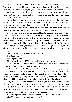Thereafter, Messer Lorenzo was cared for as became a man in his position. A bath was prepared for him; fresh garments were found to fit him, the richest and most becoming being selected; the garrison was disappointed of its execution, and the Borgia captain went to dine at Madonna's table. For this banquet the choicest viands that the besieged commanded were forthcoming, and the rarest wines from Fioravanti's cellar were procured.

Messer Lorenzo was gay and sprightly, and in the afternoon, basking in the sunshine of Madonna Bianca's smiles, he took up a lute that he discovered in her bower, and sang for her one of the atrocious songs that in her honour he had made. It was a dangerous experiment. And the marvel of it is that, despite a pretty taste of her own in lyric composition, Madonna Bianca seemed well pleased.

In all Italy there was no happier man in that hour than Lorenzo Castrocaro, who, from the very edge of death, saw himself suddenly thrust up to the highest and best that he could have dared to ask of life. His happiness entirely engrossed his mind awhile. All else was forgotten. But suddenly, quite suddenly, remembrance flooded back upon him and left him cold with horror. He had been midway through his second song, Madonna languishing beside him, when the thought struck him, and he checked abruptly. The lute fell clattering from his grasp, which had suddenly grown nerveless.

With a startled cry his mistress leaned over him.

"Enzo! Are you ill?"

He rose precipitately.

"No, no; not ill. But—Oh!" He clenched his hands and groaned.

She too had risen, all sweet solicitude, demanding to know what ailed him. He turned to her a face that was blank with despair.

"What have I done? What have I done?" he cried, thereby increasing her alarm.

It crossed her mind that perhaps the effect of the magician's philtre was beginning to wane. Fearfully, urgently she insisted upon knowing what might be alarming him; and he, seeing himself forced to explain, paused but an instant to choose a middle course in words, to find expressions that would not betray him.

"Why, it is this," he cried, and there was real chagrin in his voice as there was in his heart. "In my hot madness to come hither, I never paused to count the cost. I am a Borgia captain, and at this moment no better than a traitor, a deserter who has abandoned his trust and his condotta to go over to the enemy—to sit here and take my ease in the very castle that my Duke is now besieging."

At once she perceived and apprehended the awful position that was his.

"Gesù!" she cried. "I had not thought of that."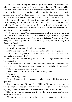"When they take me, they will surely hang me for a traitor!" he exclaimed; and indeed he feared it very genuinely, for what else was he become? All night he had left Della Volpe and his men to await in vain the unbarring of the gate. For having failed there could be no excuse other than death or captivity. That he should not only remain living, but that he should later be discovered to have made alliance with Madonna Bianca de' Fioravanti was a matter that could have no issue but one.

"By heaven, it had been a thousand times better had Tolentino made an end of me this morning as he intended!" Then he checked abruptly, and turned to her penitently. "Ah, no, no! I meant not that, Madonna! I spoke without reflecting. I were an ingrate to desire that—an ingrate and a fool. For had they killed me I had never known this day of happiness."

"Yet what is to be done?" she cried, crushing her hands together in her agony of mind. "What is to be done, my Enzo? To let you now depart would no longer save you. Oh, let me think, let me think!" And then, almost at once: "There is a way!" she cried; and on that cry, which had been one of gladness, she fell suddenly very gloomy and thoughtful.

"What way?" quoth he.

"I fear it is the only way," she said never so wistfully.

And then he guessed what was in her mind and repudiated the suggestion.

"Ah! Not that," he protested. "That way we must not think of. I could not let you—not even to save my life."

But on the word she looked up at him and her dark eye kindled anew with loving enthusiasm.

"To save your life—yes. That is cause enough to justify me. For nothing less would I do it, Enzo; but to save you—you whom I have brought into this pass——"

"What are you saying, sweet?" he cried.

"Why, that the fault is mine, and that I must pay the penalty."

"The fault?"

"Did I not bring you hither?"

He flushed, something ill at ease to see—as he supposed—his lie recoiling now upon him.

"Listen!" she pursued. "You shall do as I bid you. You shall go as my envoy to Cesare Borgia, and you shall offer him the surrender of San Leo in my name, stipulating only for the honours of war and the safe-conduct of my garrison."

"No, no!" he protested still, and honestly, his villainy grown repugnant. "Besides, how shall that serve me?"

"You shall say that you knew a way to win into San Leo and accomplish this—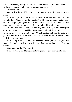which," she added, smiling wistfully, "is, after all, the truth. The Duke will be too well-content with the result to quarrel with the means employed."

He averted his face.

"Oh! But it is shameful!" he cried out, and meant not what she supposed him to mean.

"In a few days—in a few weeks, at most—it will become inevitable," she reminded him. "After all, what do I sacrifice? A little pride, no more than that. And shall that weigh against your life with me? Better surrender now, when I have something to gain from surrender, than later, when I shall have all to lose."

He considered. Indeed, it was the only way. And, after all, he was robbing her of nothing that she must not yield in time—of nothing, after all, that it might not be his to restore her very soon, in part at least. Considering this, and what the Duke had promised him, he gave her the fruit of his considerations, yet hating himself for the fresh deceit he practised.

"Be it so, my Bianca," he said; "but upon terms more generous than you have named. You shall not quit your dwelling here. Let your garrison depart, but you remain!"

"How is that possible?" she asked.

"It shall be," he assured her confidently, the promised governorship in his mind.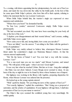THAT evening, with letters appointing him her plenipotentiary, he rode out of San Leo alone, and made his way down into the valley by the bridle-path. At the foot of this he came upon Della Volpe's pickets, who bore him off to their captain, refusing to believe his statement that he was Lorenzo Castrocaro.

When Della Volpe beheld him, the warrior's single eye expressed at once suspicion and satisfaction.

"Where have you been?" he demanded harshly.

"In San Leo, yonder," answered Castrocaro simply. Della Volpe swore picturesquely.

"We had accounted you dead. My men have been searching for your body all day at the foot of the rock."

"I deplore your disappointment and their wasted labour," said Lorenzo, smiling; and Della Volpe swore again.

"How came you to fail, and, having failed, how come you out alive?"

"I have not failed," was the answer. "I am riding to the Duke with the garrison's terms of capitulation."

Della Volpe very rudely refused to believe him, whereupon Messer Lorenzo thrust under the condottiero's single eye Madonna Bianca's letters. At that the veteran sneered unpleasantly.

"Ha! By the horns of Satan! I see! You ever had a way with the women, Lorenzo. I see!"

"For a one-eyed man you see too much," said Messer Lorenzo, and turned away. "We willspeak of this again—when I am wed. Good night!"

It was very late when he reached Urbino. But late as it was—long after midnight —the Duke was not abed. Indeed, Cesare Borgia never seemed to sleep. At any hour of the day or night he was to be found by those whose business was of import.

His highness was working in the library with Agabito, preparing dispatches for Rome, when Messer Lorenzo was ushered into his presence.

He looked up as the young captain entered.

"Well," quoth he sharply. "Do you bring me news of the capture of San Leo?"

"Not exactly, highness," replied the condottiero. "But I bring you a proposal of surrender, and the articles of capitulation. If your highness will sign them, I shall take possession of San Leo in your name to-morrow."

The Duke's fine eyes scanned the confident young face very searchingly. He smiled quietly.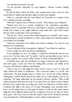"*You* will take possession?" he said.

"As the governor appointed by your highness," Messer Lorenzo blandly explained.

He laid his letters before the Duke, who scanned them with a swift eye, then tossed them to Agabito that the latter might con them more minutely.

"There is a provision that the Lady Bianca de Fioravanti is to remain in San Leo," said the secretary, marvelling.

"Why that?" quoth Cesare of Messer Lorenzo. "Why, indeed, any conditions?"

"Matters have put on a curious complexion," the condottiero expounded. "Things went not so smoothly with me as I had hoped. I willspare your highness the details; but, in short, I was caught within the castle walls, and—and I had to make the best terms I could under such circumstances."

"You do not, I trust, account them disadvantageous to yourself?" said Cesare. "It would distress me that it should be so. But I cannot think it; for Madonna Bianca is accounted very beautiful."

Castrocaro crimsoned in his sudden and extreme confusion. For once he was entirely out of countenance.

"You are informed of the circumstances, highness?" was all that he could say.

Cesare's laugh was short and almost contemptuous.

"I am something of a seer," he replied. "I could have foretold this end ere ever you set out. You have done well," he added, "and the governorship is yours. See to it at once, Agabito. Ser Lorenzo will be in haste to return to Madonna Bianca."

A half-hour later, after the bewildered yet happy Castrocaro had departed to ride north again, Cesare rose from his writing-table, yawned, and smiled at the secretary, who had his confidence and affection.

"And so, San Leo, that might have held out for a year, is won," he said, and softly rubbed his hands in satisfaction. "This Castrocaro thinks it is all his own achievement. The lady imagines that it is all her own—by the aid of that charlatan Trismegistus. Neither dreams that all has fallen out as I had intended, and by my contriving." He made philosophy for the benefit of Messer Agabito: "Who would achieve greatness must learn not only to use men, but to use them in such a manner that they never suspect they are being used. Had I not chanced to overhear what I overheard that night at the house of Corvinus Trismegistus, and, knowing what I knew, set the human pieces in this game in motion to yield me this result, matters might have been different indeed, and lives would have been lost ere San Leo threw up its gates. And I have seen to it that the wizard's elixir of love should do precisely as he promised for it. Madonna Bianca, at least, believes in that impostor."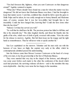"You had foreseen this, highness, when you sent Castrocaro on that dangerous errand?" Agabito ventured to inquire.

"What else? Where should I have found me a man for whom the matter was less dangerous? He did not know that Madonna Bianca was there. I had the foresight to keep that matter secret. I sent him, confident that, should he fail to open the gates to Della Volpe and be taken, he was crafty enough not to betray himself, and Madonna must, of course, assume that it was her love-philtre had brought him to her irresistibly. Could she have hanged him, knowing that? Could she have done other than she has done?"

"Indeed, Corvinus has served you well."

"So well that he shall have his life. The precious poison has failed to kill him, and this is the sixteenth day." The duke laughed shortly, and thrust his thumbs into the girdle of his robe, which was of cloth of gold, reversed with ermine. "Give the order for his release to-morrow, Agabito. But bid them keep me his tongue and his right hand as remembrances. Thus he will never write or speak another lie."

San Leo capitulated on the morrow. Tolentino and his men rode out with the honours of war, lance on thigh, the captain very surly at the affair, which he contemptuously admitted passed his understanding.

Into the fortress came then Messer Lorenzo Castrocaro at the head of a troop of his own men, to lay his governorship at the feet of Madonna Bianca.

They were married that very day in the chapel of the fortress, and although it was some years before each made to the other the confession of the deceit which each had practised, the surviving evidence all shows—and to the moralists this may seem deplorable—that they were none the less happy in the meantime.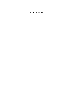*THE PERUGIAN*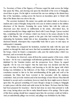THE Secretary of State of the Signory of Florence urged his mule across the bridge that spans the Misa, and drawing rein upon the threshold of the town of Sinigaglia, stood there at gaze. On his right to westward the sun was sinking to the distant hazy line of the Apennines, casting across the heaven an incendiary glow to blend with that of the flames that rose above the city.

The secretary hesitated. His nature was gentle and almost timid, as becomes a student and a man of thought, being in his own case in violent contrast to the ruthless directness of his theories. Scanning the scene before him with the wide-set, observant eyes that moved so deliberately in his astute, olive-tinted face, he wondered uneasily how things might have fared with Cesare Borgia. Uproar reached him, completing the tale of violence which was borne to his senses already by the sight of the flames. The uneasy guards at the gate who had watched him closely, mistrusting his hesitation, hailed him at last, demanding to know his business. He disclosed himself, whereupon they respectfully bade him to pass on and enjoy an ambassador's immunity.

Thus bidden he conquered his hesitation, touched his mule with the spur and pushed on through the slush and snow that had accumulated about the gateway into the borgo, where he found a comparative calm, past the market-place which was deserted, and on towards the palace.

The clamour, he observed, came all from the eastern quarter of the town, which he knew—for he was a surprisingly well-informed gentleman, this Florentine—to be inhabited by the Venetian traders and the prosperous Jews. Hence he argued logically—for he was ever logical—that the main issue was decided and that the uproar was that of looting soldiery; and knowing as he did the rigour with which looting was forbidden to the followers of the Duke of Valentinois, the only sane conclusion seemed to him to be that notwithstanding all the guile and craft at his command, the Duke had been worsted in the encounter with his mutinous condottieri. And yet in his wisdom and in his knowledge of men Messer Macchiavelli hesitated to accept such a conclusion, however much the facts might seem to thrust it upon him. He guessed something of Cesare Borgia's design in coming to Sinigaglia to make peace with the rebels and settle terms for the future. He knew that the Duke had been prepared for treachery—that he had done no more than pretend to walk into a trap, having taken care first to make himself master of its springs. That in spite of this those springs should have snapped upon him, the secretary could not believe. And yet undoubtedly pillage was toward, and pillage was forbidden by the Duke.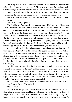Marvelling, then, Messer Macchiavelli rode on up the steep street towards the palace. Soon his progress was arrested. The narrow way was thronged and solid with humanity; a great mob surged before the palace. Upon one of its balconies in the distance he could faintly discern the figure of a man, and since this man was gesticulating, the secretary concluded that he was haranguing the multitude.

Messer Macchiavelli leaned from the saddle to question a rustic on the outskirts of the mob.

"What is happening?" quoth he.

"The devil knows," answered the man addressed. "His Potency the Duke with Messer Vitellozzo and some others went into the palace two hours since. Then comes one of his captains—they say it was Messer da Corella—with soldiery, and they went down into the borgo where they say they have fallen upon the troops of the Lord of Fermo, and the Lord of Fermo is in the palace too, and it is New Year's Day to-morrow. By the Madonna, an ugly beginning to the new year this, whatever may be happening! They are burning and looting and fighting down there, until they have made the borgo into the likeness of hell, and in the palace the devil knows what may be happening. Gesù Maria! These be dread times, sir. They do say . . ."

Abruptly he checked his loquaciousness under the discomposingly fixed gaze of those sombre, observant eyes. He examined his questioner more closely noted his sable, clerkly garments heavily trimmed with fur, mistrusted instinctively that crafty, shaven face with its prominent cheek-bones, and bethought him that he were perhaps wiser not to make himself further the mouthpiece of popular rumour.

"But then," he ended abruptly, therefore, "they say so much that I know not what they say."

The thin lines of Macchiavelli's lips lengthened slightly in a smile, as he penetrated the reasons of the man's sudden reticence. He pressed for no further information, for indeed he needed no more than already he had received. If the duke's men under Corella had fallen upon Oliverotto da Fermo's troops, then his expectations had been realized, and Cesare Borgia, meeting treachery with treachery, had stricken down the mutinous condottieri.

A sudden surge of the crowd drove the Florentine orator and the rustic apart. A roar rose from the throat of the multitude.

"Duca! Duca!"

Standing in his stirrups, Macchiavelli beheld in the distance before the palace a glitter of arms and the fluttering of bannerols bearing the bull device of the House of Borgia. The lances formed into a double file, and this clove a way through that human press, coming rapidly down the street towards the spot where the secretary's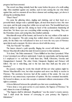progress had been arrested.

The crowd was flung violently back like water before the prow of a swift-sailing ship. Men stumbled against one another, each in turn cursing the one who thrust against him, and in a moment all was fierce clamour and seething anger; yet above it allrang the acclaiming shout:

"Duca! Duca!"

On came the glittering riders, jingling and clanking, and at their head on a powerful black charger rode a splendid figure, all steel from head to foot. His vizor was open, and the pale young face within was set and stern. The beautiful hazel eyes looked neither to right nor left, taking no heed of the acclamations thundering all about him. Yet those eyes saw everything whilst seeming to see nothing. They saw the Florentine orator, and seeing him, they kindled suddenly.

Macchiavelli swept off his bonnet, and bowed to the very withers of his mule to salute the conqueror. The pale young face smiled almost with a certain conscious pride, for the Duke was well pleased to have as it were the very eyes of Florence upon him in such a moment. He drew rein on a level with the envoy.

"Olà, Ser Niccoló!" he called.

The lances cleared a path speedily, flinging the crowd still farther back, and Messer Macchiavelli walked his mule forward in answer to that summons.

"It is done," the Duke announced. "I have fulfilled no less than I promised. What it was I promised you will now understand. I made my opportunity, and having made it I employed it—so well that I hold them fast, Vitelli, Oliverotto, Gravina and Giangiordano's bastard. The other Orsini, Gianpaolo Baglioni and Petrucci will follow. My net is wide-flung, and to the last man they shall pay the price of treachery."

He paused, waiting for words that should tell him not what opinion might be Messer Macchiavelli's own, but what reception such news was likely to receive in Florence. The secretary, however, had all the caution of the astute. He was not addicted to any unnecessary expressions of opinion. His face remained inscrutable. He bowed in silence, as one who accepts a statement without consciousness of the right to comment.

A frown flickered between the splendid eyes that were considering him.

"I have done a very great service to your masters, the Signory of Florence," he said, almost in a tone of challenge.

"The Signory shall be informed, Magnificent," was the orator's evasive answer, "and I shall await the honour of conveying to your potency the Signory's felicitations."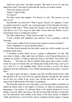"Much has been done," the Duke resumed. "But much is yet to do, and who shall tell me what?" He looked at Macchiavelli, and his eyes invited counsel.

"Does your potency ask me?"

"Indeed," said the Duke.

"For theory?"

The Duke stared; then laughed. "For theory," he said. "The practice you can leave to me."

Macchiavelli's eyes narrowed. "When I speak of theory," he explained, "I mean an opinion personal to myself—not a pronouncement of the Florentine Secretary." He leaned a little nearer. "When a prince has enemies," he said quietly, "he must deal with them in one of two ways; he must either convert them into friends or put it beyond their power to continue his enemies."

The Duke smiled slowly. "Where learnt you that?" he asked.

"I have watched with admiration your potency's rise to greatness," said the **Florentine** 

"And you have melted down my actions into maxims to govern my future?"

"More, Magnificent, to govern all future princes."

The Duke looked squarely into that sallow, astute face with its sombre eyes and prominent cheek-bones.

"I sometimes wonder which you are—courtier or philosopher," he said. "But your advice is timely—either make them my friends or put it beyond their power to continue my enemies. I could not again trust them as my friends. You will see that. Therefore. . . ." He broke off. "But we will talk of this again, when I return. Corella's troops have got out of hand; they are burning and looting in the borgo, and I go to set a term to it, or else peddling Venice will be in arms to recover the ducats plundered from her shopkeepers. You will find entertainment in the palace. Await me there."

He made a sign to his lances, wheeled, and rode on briskly about his task, while Macchiavelli in his turn went off in the opposite direction, through the lane opened out for him very readily in the crowd, since all had seen that he was one who enjoyed the exalted honour of the Duke's acquaintance.

The Florentine made his way to the palace as he had been bidden, and thence he indited his famous letter to the Signory of Florence, in which he announced these happenings to his masters. He informed them of the manner adopted by Cesare Borgia to turn the tables upon those who had not kept faith with him, he told them how his masterstroke had resulted in the seizure of the three Orsini, of Vitellozzo Vitelli, and Oliverotto, Lord of Fermo, and he concluded with the opinion: "I greatly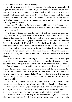doubt if any of them will be alive by morning."

Anon he was to realize that for all his penetration he had failed to plumb to its full depth the craft and guile of Cesare Borgia. So astute an observer should have perceived that to have wrung the necks of the Orsini out of hand would have been to spread consternation and alarm in the lair of the bear in Rome, and that being alarmed the powerful Cardinal Orsini, his brother Giulio and his nephew Matteo (with whom we are more particularly concerned) might seek safety in flight, and in that safety concert reprisals.

Macchiavelli's failure to foresee the course which such considerations must dictate to Cesare is another proof of how much the Duke was the Florentine's master in statecraft.

The Lords of Fermo and Castello were dealt with as Macchiavelli expected. They were formally judged, found guilty of treason against their overlord, and strangled that same night—back to back, with the same rope, it is said—in the Palace of the Prefecture of Sinigaglia, whereafter their bodies were ceremoniously borne to the Misericordia Hospital. But the Orsini did not share just yet the fate of their fellow-traitors. They were accorded another ten days of life, until, that is, Cesare had received advices from Rome that the Cardinal Orsini and the rest of the Orsini brood were safely captured. Thereupon at Assisi—whither the Duke had removed himself by then, Gravina and Paolo Orsini were delivered over to the strangler.

The Duke's net had been wide-flung, as he told Macchiavelli on that evening in Sinigaglia. Yet four there were who had escaped its meshes: Gianpaolo Baglioni, prevented from waiting upon the Duke in Sinigaglia by an illness which had proved less fatal to him than had their health to his associates; Pandolfo Petrucci, Tyrant of Siena—the only one of them all who seems to have had the wit to mistrust the Duke's intentions—who armed at all points had taken refuge behind the ramparts of his city, there to wait upon events; Fabio Orsini, who had gone after Petrucci; and Matteo Orsini, the latter's cousin and the cardinal's nephew, who had vanished no man knew whither.

The Duke set himself the task of hunting down the first three, whose whereabouts were known to him. Matteo mattered less, and could be left until later.

"But I swear to God," Cesare informed Fra Serafino, the minorite friar who discharged the functions of secretary in the absence of the moon-faced Agabito. "I swear to God, that there is no hole in Italy into which I shall not pursue him."

This was at Assisi on the very day that he ordered the strangling of Gravina and Giangiordano's bastard. On that same evening came one of his spies with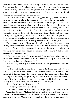information that Matteo Orsini was in hiding at Pievano, the castle of his distant kinsman Almerico—an Orsini this last, too aged and too inactive to be worthy the Duke's attention, a studious man, living almost in seclusion with his books and his daughter, untouched by ambition, asking but to be left in peace, undisturbed by all the strife and bloodshed that were afflicting Italy.

The Duke was housed in the Rocca Maggiore, that grey embattled fortress crowning the steep hill above the city, and from the height of its scarred and rugged slopes dominating the Umbrian plain. He received the messenger in a vast stoneflagged chamber that was very bare and chill. A great fire roared in the cavernous fireplace, shedding an orange glow upon the empty spaces and driving the shadows before it to seek refuge in the groins of the ceiling overhead. Yet the Duke, pacing thoughtfully back and forth whilst the messenger related what he had discovered, was tightly wrapped for greater warmth in a scarlet mantle lined with lynx fur. Fra Serafino occupied an oaken writing pulpit near one of the windows, and sat cutting a quill, apparently lost in his task, yet missing no word of what was being said.

The messenger was intelligent, and he had been diligent. Not content with learning that Matteo Orsini was believed to be at Pievano, he had scoured the borgo for scraps of gossip, anticipating out of his own knowledge the very question which the Duke now asked him—though not directly—and seeing to it that he came equipped with a ready answer.

"This, then, is mere gossip," Cesare sneered. "'It is said' that Matteo Orsini is at Pievano. I am sick to death of 'It is said,' and all his family. I have known him long, and never found him other than a liar."

"But the tale, may it please your potency, has its probabilities," said the messenger.

The Duke halted in his pacing. He stood before the flaming logs, and put out a hand to its genial warmth—a hand so delicate and slender that you would never have supposed its tapering fingers to possess a strength that could snap a horseshoe. Standing thus, the leaping firelight playing over his scarlet cloak, he seemed himself a thing of fire. He threw back his tawny young head, and his lovely eyes lost their dreamy thoughtfulness as they fastened now upon the messenger.

"Probabilities?" said he. "Discover them"

The messenger was prepared to do so.

"The Count Almerico has a daughter," he said promptly. "It is the common talk of Pievano that this lady—Madonna Fulvia she is called—and Ser Matteo are to be married. The kinship between them is none so close as to forbid it. The old count approves, loving Ser Matteo as a son. And so, where else in Italy should Ser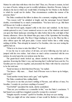Matteo be safer than with those who love him? Then, too, Pievano is remote, its lord is a man of books, taking no part in worldly turbulence; therefore Pievano, being of all places the last in which one would think of looking for Ser Matteo is the likeliest to which he would run for shelter. Thus circumstances confirm the rumour of his presence there."

The Duke considered the fellow in silence for a moment, weighing what he said.

"You reason well," he admitted at length, and the messenger bowed himself double, overwhelmed by so much commendation. "You have leave to go. Bid them tell Messer da Corella to attend me"

The man bowed again, stepped softly to the door and vanished. As the heavy curtain quivered to rest, Cesare sauntered across to one of the windows and stared out upon the bleak landscape stretching for miles before him in the cold light of that January afternoon. Above the distant blue-grey mass of the Apennines the brooding sky was slashed with gold. The River Chiagi winding its way to the Tiber lay like a silver ribbon upon the dull green plain. Cesare stared before him a while seeing nothing of all this. Then abruptly he turned to Fra Serafino, who was now testing the quill he had cut.

"What is to be done to take this fellow?" he asked.

It was his way to seek advice of all men, yet never following any but such as jumped with his own wishes. And where no man's advice consorted with his own notions, he acted upon his own notions none the less.

The gaunt-faced monk looked up, almost startled by the suddenness of the question. Knowing the Duke's way, and knowing that Corella had been sent for, Fra Serafino put two and two together, and presented the Duke with what he conceived to be the total sum.

"Send ten lances to fetch him from Pievano," he replied.

"Ten lances—fifty men. . . . Hum! And if Pievano were to throw up its bridges, and resist?"

"Send another twenty lances and a gun," said Agabito.

The Duke considered him, smiling faintly.

"You prove to me that you know nothing of Pievano, and still less of men, Fra Serafino. I wonder do you know anything of women?"

"God forbid!" ejaculated the monk, utterly scandalized.

"Then are you worthless as a counsellor in this," was the Duke's conclusion. "I had hoped you could have imagined yourself a woman for a moment."

"Imagine myself a woman?" quoth Fra Serafino, his deep-set eyes staring.

"That you might tell me what manner of man would be likeliest to delude you.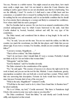You see, Pievano is a rabbit warren. You might conceal an army there, how much more easily a single man. And I do not intend to alarm the Count Almerico into sending to earth a guest whom we are not absolutely sure that he is harbouring. You see the difficulty, I trust? To resolve it I shall need a man of little heart and less conscience; a scoundrel who is swayed by nothing but his own ambition, who cares for nothing but his own advancement; and it is an inevitable condition that he should be of an exterior that is pleasing to a woman and likely to command her confidence. Now where shall I find me such a paragon?"

But Fra Serafino had no answer. He was lost in an amazed consideration of the crooked underground ways by which Cesare burrowed to his ends. And then Corella clanked in, booted, bearded, stalwart and stiff, the very type of the condottiero.

The Duke turned, and considered him in silence at long length. In the end he shook his head.

"No," he said, "you are not the man. You are too much the soldier, too little the courtier, too much the swordsman, too little the lute-player, and I think that you are almost ugly. If you were a woman, Fra Serafino, should you not consider him an ugly fellow?"

"I am not a woman, Magnificent. . . ."

"That is all too evident," the Duke deplored.

"And I do not know what I should think if I were a woman. Probably I should not think at all, for I do not believe that women think."

"Misogynist," said the Duke.

"God be thanked," said Fra Serafino devoutly.

The Duke returned to the consideration of his captain.

"No," he said again. "The essence of success is to choose the right tools for the work in hand; and you are not the tool for this, Michele. I want a handsome, greedy, unscrupulous scoundrel, who can both ply a sword and lisp a sonnet. Where shall I find one answering that description. Ferrante da Isola would have been the very man, but poor Ferrante died of one of his own jests."

"What is the task, Magnificent?" ventured Corella.

"I'll tell that to the man I send to do it, when I have found him. Is Ramirez here?" he asked suddenly.

"He is at Urbino, my lord," Corella answered. "But there is Pantaleone degli Uberti, who seems in some way such a man as you describe."

The Duke considered. "Send him hither," he said shortly and Corella bowed stiffly, and departed on that errand.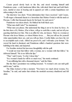Cesare paced slowly back to the fire, and stood warming himself until Pantaleone came—a tall, handsome fellow this, with sleek black hair and bold black eyes, martial at once in bearing and in apparel yet with a certain foppishness not unbecoming to his youth.

The interview was short. "From information that I have received," said Cesare, "I will wager a thousand ducats to a horseshoe that Matteo Orsini is with his uncle at Pievano. I offer that thousand ducats for his head. Go and earn it."

Pantaleone was taken aback. He blinked his bold black eyes.

"What men shall I take?" he stammered

"What men you please. But understand the thing is not to be done by force. At the first show of it, Matteo, if he is there, will go to earth like a mole, and not all your questing shall discover him. This is an affair for wits, not lances. There is a woman at Pievano who loves Matteo, or whom Matteo loves. . . . But you will see for yourself what opportunities there are, and you will use them. Corella thinks you have the wit to accomplish such a task. Afford me proof of it, and I will make your fortune." He waved his hand in dismissal, and Pantaleone stifled a hundred questions that were bubbling in his mind, and departed.

Fra Serafino stroked his lean nose thoughtfully with his quill.

"I would not trust that fellow with a woman, nor a woman with that fellow," he delivered himself. "He is too full in the lips."

"That," said Cesare, "is why I chose him."

"In a woman's hands he will be so much wax," the monk continued.

"I am stiffening him with a thousand ducats," said the Duke.

But the friar's pessimism was nothing lessened. "A woman's arts can melt gold until it runs," said he.

The Duke looked at him a moment. "You know too much about women, Fra Serafino," he said, and under that rebuke the monkish secretary shuddered and fell silent.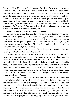Pantaleone Degli Uberti arrived at Pievano on the wings of a snowstorm that swept across the Perugian foothills, and he arrived alone. Within a couple of leagues of the little town he had parted company with the ten knaves he had brought with him from Assisi. He gave them orders to break up into groups of twos and threes and thus follow him to Pievano, each group seeking different quarters and pretending no acquaintance with the others. He concerted signals by which at need he could rally them to himself, and arranged that of the group of three who were to take up their quarters at the Osteria del Toro one at least should remain constantly at the inn where at any moment Pantaleone could find him.

Messer Pantaleone, you see, was a man of method.

He bade them, further, dissemble their true estate, and, himself adopting this course which he imposed upon his followers, he staggered some hours later over the drawbridge into the courtyard of the citadel on foot, a bedraggled, foot-sore man who seemed to be upon the point of utter exhaustion. Admitted by a groom, he reeled into the presence of the Lord Almerico Orsini and gasped out as if with his last breath an urgent prayer for sanctuary.

"I am a hunted man, my lord," he lied. "That bloody despot Valentino clamours for this poor life of mine to swell his hecatomb."

The old Lord of Pievano's white hands clawed the carved ebony arms of his great chair. From under shaggy brows his piercing dark eyes were bent upon this visitor. He knew well what was the hecatomb to which Messer Pantaleone referred; no need for him to ask; absorbed though he might be in his studies and removed in mind, as in body, from all worldly turbulence, yet, being an Orsini, it was not in human nature that he should remain ignorant of and indifferent to the shedding of Orsini blood. And since here was a man who, as it seemed, was come straight from the scene of strife, he was to be welcomed as one bringing news on matters closely touching the Lord of Pievano.

Yet it was as characteristic of old Almerico Orsini as it was anomalous in his day —when life was cheap and the misfortunes of others troubled men but little—that his first thought should be for this stranger's condition. Seeing him so piteously bedraggled, so white and haggard, swaying like a drunkard where he stood and breathing with obvious difficulty—in short, a man who had reached the uttermost limits of endurance—the Lord Almerico made a swift sign to the groom who had admitted him. The lackey thrust forward a rush-seated chair, and into this Messer Pantaleone sank limply yet gratefully, dropping his sodden cap upon the marbled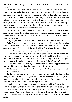floor and loosening his great red cloak so that his soldier's leather harness was revealed.

He looked at the Lord Almerico with a faint smile that seemed to express his thanks, and then his bold eyes, seeming very weary now under their heavy drooping lids, passed on to the lady who stood beside her father's chair. She was a girl, no more, of a willowy, virginal slenderness, very simply clad in a wine-coloured gown cut square across her white young breast, and caught about her slender waist by a silver girdle with a beryl clasp. Her blue-black hair was held in a clump behind by a net of golden cord; her eyes, of a blue so deep that they seemed almost black, considered him piteously from out of her pale face.

Thus Messer Pantaleone first beheld her, and since his taste in women was of the rude sort that craves for swelling amplitudes of form, his questing glance passed on without reluctance to rake the shadows of that noble chamber, looking for another who was not present.

"Why are you come to me?" Almerico asked him with inscrutable simplicity.

"Why?" Messer Pantaleone blinked as though the oddness of the question afforded him surprise. "Because you are an Orsini, and because my cause is the cause of the Orsini." He proceeded to explain himself. "Paolo Orsini was my friend."

"*Was?*" The question came sharply from Madonna Fulvia.

Pantaleone fetched a deep sigh, and sank together like a man in the uttermost depths of dejection. "I see you have not heard. Yet I should have thought that by now such evil news had travelled o'er the face of all Italy. Paolo was strangled yesterday at Assisi, and with him was strangled too the Duke of Gravina."

The old man uttered a sharp cry. He half-rose from his seat, supporting himself upon trembling arms; then, bereft of strength, he sank back again.

"God's curse upon me who am the bearer of ill-tidings," growled the crafty Pantaleone savagely.

But the old man, recovering from his momentary collapse under the shock of that news, reproved him for his words, whilst Monna Fulvia stood immobile and rigid in a grief that was after all impersonal, for, although they were her kinsmen, she had known neither of those whose death this fugitive announced.

"That is not yet all," Pantaleone pursued, as if defending himself against the Lord Almerico's reproof. "From Rome comes news that the Cardinal is in a dungeon of Sant' Angelo, that Giangiordano is taken, together with Santacroce and I know not whom besides. We know what mercy the Borgia will display. The Pope and his bastard will never rest as long as in the House of Orsini one stone remains upon another"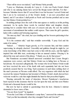"Then will he never rest indeed," said Monna Fulvia proudly.

"I pray so, Madonna, devoutly do I pray it—I who was Paolo Orsini's friend and who to my undying shame have served the Borgia tyrant with him. For that because Valentino knows that if I served him it was but because I served Orsini and that I am to be reckoned as of the Orsini's family—I am now proscribed and hunted, and if I am taken I shall perish as Paolo and Gravina perished and as men say that Matteo Orsini perished too."

In nothing perhaps does the craft of the man appear so starkly as in this probing statement. As he spoke these words he watched father and daughter closely, seeming but to consider them with eyes of concern and pity. He saw the sudden movement of astonishment that neither could repress. Then came the girl's question, laden with a sudden and betraying eagerness.

"Do men say that?" she cried, her eyes kindling and her bosom quickening in her faint excitement.

"It is the common talk," said that swindler sorrowfully. "I pray God and the saints it be untrue."

"Indeed . . ." Almerico began gravely, as if to reassure him, and then caution supervening, he abruptly checked. Unworldly and guileless though he might be, yet some knowledge of his fellow-man had come to him with his years, and this fugitive inspired him with little trust, awakening in him an unusual caution. Obeying it, he altered the tone and current of his phrase. "I thank you, sir, for that prayer."

But Pantaleone accounted himself answered concluded that Cesare Borgia's suspicions were correct, and that Matteo Orsini was in hiding here at Pievano or hereabouts. He reasoned syllogistically. The woman who loved Matteo Orsini would not have received the news of his death with such equanimity had she not been positively assured that he was living. Such assurance in such times nothing short of the man's presence at Pievano could afford. The very eagerness with which she had received the rumour Pantaleone had invented of Matteo Orsini's death showed how welcome would be a tale that might diminish the hunt for that proscribed fugitive.

Wearing outwardly his mask of dejection, Messer Pantaleone's treacherous heart rejoiced in this assurance that he was hot upon the trail, and that soon Matteo Orsini and a thousand ducats would be his.

But now he had to submit to questionings from his host. Almerico's mistrust demanded to know more of him.

"You are from Assisi?" he inquired.

"From the Lord Duke of Valentinois's camp there," answered the emissary.

"And you fled incontinently when they strangled Paolo and Gravina?"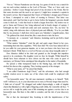"Not so." Messer Pantaleone saw the trap. In a game of wits he was a match for any ten such recluse students as the Lord of Pievano. "That, as I have said, was yesterday—before Cesare Borgia had proof of my devotion to the Orsini. But for that same devotion and the need to act upon it, I might have remained a captain in the tyrant's service. But it happened that I knew of Valentino's designs upon Petrucci at Siena. I attempted to send a letter of warning to Petrucci. That letter was intercepted, and I had but time to get to horse before the hangman's grooms should come to fetch me. I rode that beast to death a league from here. My notion was to get to Siena and Petrucci; but, being unhorsed and in hourly danger of capture, I bethought me that I would turn aside and seek sanctuary here. Yet, my lord," he ended, rising with elaborate show of physical pain and difficulty, "if so be you think that by my presence I shall draw down upon you Valentino's vengeful justice, then . . ." He gathered his cloak about him, like a man about to take his leave.

"A moment, sir—a moment," said Almerico, hesitating; and he put forth a hand to stay the soldier.

"What matters Valentino?" cried the girl, and quick anger blazed in her eyes, transmuting them into fiery sapphires. "Who fears him? We were base indeed did we let you suffer for your generous impulse, sir, to turn you hence who have been our kinsman's friend. While there is a roof on Pievano you may sleep tranquilly under it."

Don Almerico shifted in his chair and grunted as she brought that impulsive speech to its conclusion. His daughter went too fast, he thought. Whilst himself he should have been reluctant to have driven out this man who came in quest of sanctuary, yet Monna Fulvia outstripped him altogether in the matter of hospitality.

He spread a white transparent hand to the blazing logs, and with the other stroked his shaven chin, cogitating. Then, looking squarely at the stranger:

"What is your name, sir?" he asked him bluntly.

"I am called Pantaleone degli Uberti," said the adventurer, who had enough worldly wisdom never to make use of lies where truth could be employed with safety.

"An honourable name," the old man murmured, nodding as to himself. "Well, well! I will leave it, sir, to your discretion not to tarry at Pievano longer than need be. I think not of myself." He shrugged and smiled deprecatingly, a smile of singular charm that illumined as with a light of lingering youth within, the venerable old face. "I am too old to weigh the paltry sum of life remaining me against a service due to an honourable man. But there is this child to consider, and the risk of your discovery here . . ."

But at that she interrupted him, breaking in with the impulsiveness of her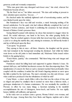generous youth and womanly compassion.

"Who runs great risks may disregard such lesser ones," she cried, whereat Ser Pantaleone became all ears.

"By the Host! not so," her father answered. "We dare add nothing at present to draw attention upon ourselves. You see . . ."

He checked under the suddenly tightened curb of reawakening caution, and his eyes flashed keenly upon his visitor.

But Pantaleone's face was dull and wooden, a mask betraying nothing of his inward satisfaction. For his quick wits had without difficulty completed the Lord of Pievano's broken sentence, and found it confirming the assurance he had already formed of Matteo Orsini's presence there.

Seeing himself scanned with mistrust, he chose that moment to stagger where he stood. He reeled sideways, one hand to his brow, the other groping feebly for support. Thus he crashed against a bronze table that stood near him, sent it slithering a yard or so along the marble tiles, and, missing its resistance, he fell heavily beside it and lay at fullstretch upon the floor.

"I am spent," he groaned.

They sprang to him at once—all three: Almerico, his daughter and the groom, who had remained in the background awaiting his dismissal. And whilst her father went down on his old joints to lend immediate aid, Madonna Fulvia issued orders briskly to the gaping lackey.

"Fetch Mario, quickly," she commanded. "Bid them bring wine and vinegar and napkins. Run!"

Pantaleone raised his lolling head and supported it against Almerico's knee. He opened dull eyes, and babbled incoherent excuses for thus discomposing them. This manifestation of concern for them at such a moment touched them profoundly when coupled with his condition; it melted the old Orsini's lingering mistrust as snow upon the hills is melted by the Aprilsuns. The man's extremity was dire and obvious—and what could have produced it but the tribulations of which he told?

Came Mario—a short, sturdy fellow with a face that was the colour of clay, and so ridged and pitted by smallpox that it seemed no more than a hideous mask, a grotesque simulacrum of a human countenance. He was nominally the castellan of Pievano; in effect he was many things, a factotum including in his manifold accomplishments the arts of chirurgeon, horse-leech, and barber. He was rigidly honest, faithful, self-sufficient, and ignorant.

In his wake now as acolytes came a groom, Monna Fulvia's own woman, and Raffaele the page. Among them they bore flasks and flagons, napkins and a silver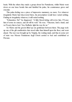basin. With the others they made a group about Ser Pantaleone, whilst Mario went down on one knee beside him and fumbled his pulse, his countenance grave and oracular.

This pulse-feeling was a piece of impressive mummery, no more. For whatever irregularity Mario had discovered there, his prescription would have varied nothing. Finding no irregularity whatever, it still varied nothing.

"Exhaustion. Ha!" he diagnosed. "A little blood-letting will revive him. I'll ease him of some six ounces, and all will be well." He rose. "Vincenzo, lend a hand, and we'll carry him to bed. You, Raffaele, light the way for us."

So Mario and the groom lifted up our gentleman between them. The page took up one of the gilt candlesticks that stood taller than himself upon the floor, and went ahead. The rear was brought up by Virginia, the waiting-maid, and thus in some sort of state was Messer Pantaleone degli Uberti carried to bed and established at Pievano.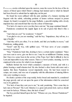PANTALEONE awoke refreshed upon the morrow, none the worse for the loss of the six ounces of blood upon which Mario's chirurgy had insisted and to which he himself had been forced to submit that he might play out his part.

He found his room suffused with the pale sunshine of a January morning and fragrant with the subtle, refreshing perfume of lemon verbena steeped in potent vinegar; he found it occupied by the page Raffaele, a graceful stripling with a lovely impudent face and smooth hair that was the colour of buttercups.

"For lack of a man to serve you they have sent me," the page explained himself.

Pantaleone considered the supple figure in its suit of green that fitted it like a skin.

"And what are you?" he wondered. "A lizard?"

"I am glad to see you are mending," said the boy. "Impudence, they tell me, is a sign of health."

"And they tell it you often, I've no doubt, and find you healthy in excess," said Pantaleone, smiling grimly.

"Gesù!" said the boy, with uplifted eyes. "I'll bear news of your complete recovery to my lord."

"Stay," Pantaleone bade him, desiring to have a certain matter explained. "Since you were sent to serve, give me first to eat. I may be an indifferent Christian, seeing that I have in a sense been in the service of the Pope; but I find it difficult to fast in Lent and impossible in any other season. There is a bowl yonder, steaming. Let it be employed in the service for which it was designed."

Raffaele fetched the bowl which contained a measure of broth, and with it a platter bearing a small wheaten loaf. He also fetched a silver basin with water and a napkin. But these Pantaleone waved impatiently away. He had been reared in camps, not courts, and was out of sympathy with the affectations of mincing fellows who carry washing to excess.

He drank a portion of the soup noisily, broke bread and munched it, considered the page gravely, and set out upon his quest of the information which he conceived was to be gathered.

"For lack of men they sent you to me," he said, pondering. "How come they to lack men at Pievano? The Lord Almerico is a great and potent lord, such as should not want for lackeys. Whence, then, this lack of men?"

The boy perched himself upon the bed. "Whence are you, Messer Pantaleone?" he inquired.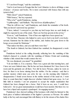"I? I am from Perugia," said the condottiero.

"And is it not known in Perugia that the Lord Almerico is above all things a man of peace—of peace and books. He is more concerned with Seneca than with any tyrant in Italy."

"With whom?" asked Pantaleone.

"With Seneca," the boy repeated.

"Who is he?" quoth Pantaleone, staring.

"A philosopher," said Raffaele. "My lord loves all philosophers."

"Then he will love me," said Pantaleone, and drank the remainder of his broth. "But you haven't answered my question."

"I have, indeed. I conveyed to you that my lord keeps here no such family as might be expected in one of his estate. There are but four grooms in his service."

"Even so," said Pantaleone. "Out of four one might have been spared me."

"Ah, but then, Vincenzo who helped to carry you to bed is my lord's own bodyservant; Giannone has his duties in the stables, and Andrea has gone down to the borgo on an errand for Madonna."

"That makes but three, and you said there were four."

"The fourth is Giuberti; but then Giuberti has vanished; he disappeared a week ago."

Pantaleone looked at the ceiling dreamily, reflecting how the vanishing of this Giuberti chanced to coincide with the vanishing of Matteo Orsini and wondering whether a link existed that would connect the two.

"He was dismissed, you mean?" he grumbled.

"I do not think so. It is a mystery. There was a great ado that morning here, and I have not seen Giuberti since. But he has not been dismissed for I have been to his room and his garments are all there. Nor did he leave Pievano, unless he went on foot, for there is no horse missing from the stables. On the contrary—and that is another mystery which none can solve for me—on the morning after Giuberti's disappearance I found seven horses in the stables instead of the usual six. I went there to count them that I might discover whether Giuberti had gone away. As I set little faith in wizardry I am not prepared to accept the simple explanation that Giuberti has been changed into a horse. Had it been an ass, now, I could have believed it—for no great metamorphosis would have been needed. But there it is: we have lost a biped and acquired a quadruped. An engaging mystery."

Pantaleone's face showed nothing of the keenness with which he listened to this fresh piece of indirect information of the fugitive's presence at Pievano. He smiled lazily at the boy and encouraged him with flattery to let the stream of his chatter flow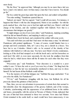more freely.

"By the Host," he approved him, "although you may be no more than a lad you have a man's wit; indeed, more wit than many a man that I have known. You should go far."

The boy curled his green legs under him upon the bed, and smiled well gratified.

"You miss nothing," Pantaleone spurred him on.

"Indeed, not much," the boy agreed. "And I could tell you more. For instance, it happens that Mario's wife has also disappeared, Mario is our castellan—he with the pock-marked face, who bore you to bed last night and bled you. Mario's wife had charge of the kitchen, and she vanished together with Giuberti. Now that is a circumstance that intrigues me greatly."

"It might intrigue you less if you were older," said Pantaleone, implying something which he did not himself believe, and implying it solely as a goad.

Raffaele threw back his head, and considered the soldier with some scorn.

"You said well when you said that I had more wit than many a man," he informed Pantaleone with pointed significance. "A man, of course, would blunder here to a prompt and lewd conclusion. Bah, sir! I am a boy, not a cherub in a fresco. You have but to see Colomba—Mario's wife—to be assured of the chastity of her relations with Giuberti or with any man. You have seen Mario's lovely countenance, looking as if the devil had stamped on it with his hoofs and a red-hot horseshoe on each hoof. His wife's is even more uncomely, for she took the smallpox from him when he had it, which leaves them still the fit mates for each other that they were originally."

"Precocious ape," said Pantaleone. "Your discourse is a scandal to a poor soldier's ears. I'd have the rods to you if you were boy of mine." He flung back the bedclothes so that the lad was momentarily smothered in them, and rose to dress himself. He had learnt all that Raffaele could tell him.

"It is the mystery of it all that intrigues me," babbled the page unabashed. "Can you solve the riddle, Ser Pantaleone?"

"I'll try," said Pantaleone struggling with his hose, but Raffaele for all his precocity missed the grimness of that answer.

Thus, then, you see our adventurer in possession of certain facts that seemed to him tolerably clear: the disappearance of the groom, Guiberti, and of the woman, Colomba, synchronizing with the appearance of an additional horse in the stables and hence, presumably, with the arrival at Pievano of Matteo Orsini, indicated that the care of him had been entrusted to those two servants. Now since had Matteo Orsini remained in the castle itself, so much would have been unnecessary, it was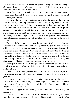further to be inferred that—no doubt for greater secrecy—he had been lodged elsewhere, though doubtlessly (and the presence of the horse confirmed this) somewhere within the precincts of the citadel.

So far Ser Pantaleone was clear, and already he accounted the half of his task accomplished. His next step must be to ascertain what quarters outside the actual rocca the place contained.

He dressed himself with care in the garments which the page had brought him from the kitchen, where they had been sedulously dried. Having no shoes he must perforce resume his boots, and since the weather was chill and he would presently be taking a turn out of doors he buckled on his leather hacketon over his apricotcoloured doublet. Finally, with his long sword hanging from his steel girdle and a heavy dagger over his right hip, he made his way below, a handsome cavalier, swaggering and arrogant of port, in whom it was scarcely possible to recognize the fainting bedraggled fugitive that but yesternight had implored sanctuary of the Lord of Pievano.

The pert Raffaele ushered him into the presence of Messer Almerico and Madonna Fulvia. They received him cordially, expressing genuine pleasure at his evident recovery. All hesitation and mistrust appeared to have vanished from the old man's demeanour, whence Ser Pantaleone inferred that meanwhile the Lord of Pievano had consulted with Matteo, and that Matteo had told him—since in fact no man could have denied it—that his story was very possibly true, and that he had been friendly with Paolo Orsini as he said. Hence, superfluously now, the circumstance of Matteo's presence was confirmed to him yet again.

Intent upon his task, he would have gone forth at once claiming the need to take the air. But here the clay-faced Mario interposed with all the pompous authority of a medical adviser.

"What, sir? Go forth—in your condition? It were a madness. Last night you had the fever, and you were bled. You must rest and recover, or I will not answer for your life."

Pantaleone laughed—he had a deeply tuneful laugh that was readily provoked, for when he was not laughing with you he would laugh at you. He scorned the notion that he was weak or that the frosty air would injure him. Was not the sun shining? Was he not quite himself again?

But Mario's opposition was nothing shaken, rather did it gather strength in argument.

"Since it is to my skill that you owe it that you feel recovered, let my skill guide you when I say that the feeling is an illusion, a lightness ensuing upon the relief of an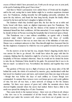excess of blood which I have procured you. Forth you do not go save at your peril, at the peril of undoing all the good I have done."

And then to Mario's persuasions were added those of Orsini and his daughter, until in the end, seeing that to insist further might be to awaken suspicions dormant now, Ser Pantaleone, chafing inwardly but still laughing outwardly, submitted. He spent the day indoors, and found the time hang heavily, despite the kindly efforts exerted by his host and his host's daughter to lighten it for him.

The kindness which they lavished upon him, the fact that he sat at table and broke bread with them, made no slightest impression upon Ser Pantaleone. The hideous treachery of the thing he did, the vileness of the manner in which he had insinuated himself into their confidence, left him untouched. It was naught to him that he should sit there in Pievano receiving the hospitality that is bestowed upon a friend.

This Pantaleone was a man without sensibilities, an egotist with a brutally practical mind which harboured no considerations but those of worldly advancement. Honour to him was no more than one of the infirmities of vain men. Shame was a sentiment unknown to him. Macchiavelli might have honoured him for the fine singleness of purpose by which he was ever guided towards the given end in view.

On the morrow at last he had his way, despite Mario's lingering doubts that it was unwise for him to go abroad. He would have taken the page with him for company, thinking that the chatterbox might be of service to him, but the excessive hospitality of Pievano ordained otherwise. Since he would not be denied his desire to take the air, Madonna Fulvia should be his guide. He protested that it was to do him too much—as indeed it was. Nevertheless she insisted, and together they went forth.

The gardens of Pievano ran in a flight of terraces up the steep sides of the hill behind the castle, the whole of it enclosed by massive, grey, machicolated walls that had stood two hundred years and more, and resisted more than one siege in the past —though that was before the days of such artillery as Cesare Borgia now commanded. In summer these terraces were cool lemon groves and cooler galleries of vine; but now all was bare, a mere network of ramage to fret the January sunshine. Yet there were spaces of green turf, whilst the mountain above them showed brightly emerald where the snows had melted. Below them a little to the north was spread the shining face of Lake Trasimene.

They came slowly to the topmost terrace—there were six of them in all, whence a fine view was to be commanded of all that broad valley. Here they found a sheltered spot under the western wall, where a seat hewn out of granite was set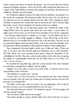before a deep tank sunk to its rim into the ground—one of a series that were used in summer for irrigation purposes. Above the seat in a little semicircular niche there was a figure of the Virgin-Mother in baked earth, painted red and blue, that had become mottled by alternate rain and sunshine.

Ser Pantaleone slipped his great red cloak from his shoulders, and spread it on the seat for his companion. She demurred awhile. Was he wise to sit, was not the air too chill and was he not perhaps heated from his walk? Thus, shaping her tender solicitude in questions she warned him. But he reassured her with a buoyant laugh that made a mock of any assumption of weakness in his own condition.

So side by side they sat on that hewn granite seat, beneath the image of the Virgin-Mother above the granite tank where the water slept, a crystal mirror. So might a pair of lovers have sat; but if she had no thoughts of love for her companion —her devotion being all given to another, as we know—he had still less for her. It was not that he was usually sluggish to dalliance. Those full red lips of his told a different story, as Fra Serafino had observed. But, in the first place, his taste was all for generously-hipped deep-bosomed Hebes, and in the second his thoughts were all concerned with the enucleation of this problem of Matteo Orsini's hiding-place.

They commanded from that height a noble view of hills and valley, of lake and river, as we have seen. But with this again Ser Pantaleone was no whit concerned. His bold, black eyes were questing nearer home, raking the disposition of the outbuildings to the left of the rocca, and an odd pavilion on the other side occupying the middle of a quadrangular terrain that was all walled about so as to form, as it were, a *hortus inclusus*.

He stretched his long, lithe legs, and took a deep breath of the clean mountain air, noisily like a draught that is relished. Then he sighed.

"Heigh-o! If it were mine to choose my estate in life, I would be lord of some such lordship as this of Pievano."

"The ambition is a modest one," said she.

"To have more is to have the power to work mischief, and who works mischief raises up enemies, and who raises up enemies goes in anxiety and may not know the pure joys of a contented life."

"My father would agree with you. Such is his own philosophy. That is why he has lived ever here, nor ever troubled himself to strive for more."

"He chose the better part, indeed," Ser Pantaleone agreed. "He has enough, and who has enough is happy."

"Ah, but whoever thinks that he has enough?"

"Your father thought so, and so should I think were I lord of Pievano. To one in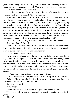your station bearing your name it may seem no more than mediocrity. Compared with what might be yours mediocrity it is. Therein lies the secret of your happiness."

"You make sure that I am happy," said she.

He looked at her, and for a moment was in peril of straying into by-ways concerned with her own affairs. But he conquered this.

"I were blind not to see it," he said in a tone of finality. "Though when I said 'you' I meant not only yourself but your father also. And here lies cause enough. A noble lordship, commodious yet compact, the villeins in the borgo yonder paying tribute and fealty, the rocca itself with all accessory buildings close-packed under its mothering wing—saving perhaps that pavilion yonder in the enclosed garden," he excepted, waving his hand and speaking idly, giving no sign that thus at last, having reached it by slow and careful degrees, he came upon the goal which had been his since first he took his seat beside her. "That now," he continued, musing, "is an odd construction. I cannot think for what purpose it can have been built."

There was a question plainly in the statement, and at once she answered it.

"It is a lazar-house," she said.

Startled, Ser Pantaleone shifted uneasily, and there was no boldness now in the black eyes that stared at her. There was a sinister ring in the word that brought horrors leaping before the eyes of a man's imagination.

"A lazar-house?" he said, aghast.

She explained: "It happened in the days when my father was no more than a boy. There was the plague in Florence, and it was carried thither to the borgo. Men were dying like flies at close of autumn. To succour them my grandfather ordered that pavilion to be built with others that have since been demolished, and he had the place enclosed by walls. There was a saintly minorite, one Fra Cristofero, who came to tend the plague-ridden, and who himself was miraculously preserved from the contagion."

Ser Pantaleone twisted his features in a grimace of disgust.

"And do you keep that as a monument in honour ofso ugly an event?" he asked.

"Why, no. There were other buildings there; but, as I have told you, they were demolished. That was the only one retained."

"But why?" he asked.

"It has its uses."

He looked at her with raised eyebrows, expressing a faint incredulity.

"You will not tell me that it is tenanted?" he asked in a note that was faintly jesting.

"No, no."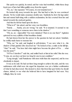She spoke too quickly, he noted; and her voice had trembled, whilst those deep loyal eyes of hers had fallen guiltily away from his regard.

"No, no," she repeated. "Of course, it is not tenanted now."

He looked idly away towards the spot. She had lied to him, he was convinced already. Yet he would make assurance doubly sure. Suddenly he drew his legs under him and started half-rising with a sudden exclamation, his face averted from her and turned towards the enclosed garden.

And then he felt her hand upon his sleeve.

"What is it?" she asked, and her voice was breathless.

"Surely. . . . Surely, you are wrong," he said. "It is tenanted. It seemed to me that I saw something or someone move there in the shadow."

"Oh, no, no—impossible! You were mistaken! There is no one there!" Agitation quivered in every syllable of that breathless denial.

He had drawn from her the answer to the question he had not asked. Satisfied, he craftily made haste to reassure her.

"Why, no," he said, and laughed in self-derision. "I see now what it is—the shadow of that gnarled olive deceived me." He looked at her, a smile on his full lips. "Alas!" he said. "You have laid what might have become the ghost of Fra . . . what was his name?"

"Of Fra Cristofero?" said she, and smiled back at him in her relief. But she rose. "Come, sir, you have sat here too long for one in your condition."

"Long enough," said Pantaleone with more truth than she suspected, and he rose obediently to depart.

It was as he said. He had sat there long enough to achieve his ends, and the very suddenness with which now she urged his departure was yet a further confirmation of what he had discovered. She desired to draw him from that spot before he should chance, indeed, to see what she believed him to have imagined he had seen. Very willingly, then, he went.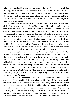A FOOL never doubts his judgment or questions its findings. He reaches a conclusion at a leap, and having reached it acts forthwith upon it. And that is why he is a fool. But your really astute fellow moves more slowly and with caution, testing the ground at every step, mistrusting his inferences until he has exhausted confirmation of them. Even where he is swift to conclude he will still be slow to act unless urged by necessity to immediate action.

Thus Pantaleone. He had added link to link until he held in his hands a fairly solid chain of circumstantial evidence, from which he was entitled to infer, firstly—and this most positively—that Matteo Orsini was sheltered at Pievano; secondly—and not quite so positively—that he was bestowed in the lazar-house in that *hortus inclusus*.

A rash fellow would have summoned his men and forthwith stormed the place. But Pantaleone was not rash. He counted first the cost of error. He considered that in spite of all indications it was yet possible that his quarry might not be in that lazarhouse. And in that case did he take any such action he would find himself in the position of a gamester who staking all upon a single throw has seen the dice turn up ambs-ace. He would have discovered himself in his true character, and must submit to being driven forth in ignominy to bear his tale of failure to his master.

Therefore, despite his stout convictions, Pantaleone waited and watched, what time he took his ease at Pievano and savoured the hospitality of the Lord Almerico. He walked in the gardens with Madonna in the mornings, in the afternoon he would either permit Raffaele to teach him chess or repay these lessons by showing the golden-haired lad how to use a sword in conjunction with a dagger, and by what tricks—not tricks of swordsmanship, indeed, but of pure knavery—an adversary might be done to death; in the evenings he would converse with his host, which is to say that he would listen to the Lord Almerico's learned disquisitions upon life culled from the philosophy of Seneca or the teachings of Epictetus as preserved in the writings of Flavius Arrianus.

Pantaleone it must be confessed was a little bewildered and wearied by these discourses. A man with his full lips, and all the qualities those full lips implied, could find scant sense in the austere philosophy of the stoic, though he was faintly interested to observe the hold which that teaching had gained upon his host, and how his host appeared to have modelled the conduct of his life upon it, purchasing tranquillity as the stoic teaches. Although it was not thus that Pantaleone understood existence, yet he forbore argument and feigned agreement, knowing in his crafty way that agreement with a man is the short road to his esteem and confidence.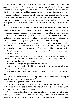He earned, however, little discernible reward for all his patient pains. No such confidences as he hoped for were ever reposed in him. Matteo Orsini's name was never mentioned in his presence, and when once he mentioned it himself to speak in glowing praise of the man and in a proper sorrow at his reported death, he was met by a silence that showed him how far indeed he was, their amiability notwithstanding, from having earned their trust. And he had other signs of this. On more occasions than one his sudden coming into their presence was marked by as sudden an interruption of the conversation between them, and the ensuing of a constrained silence.

Thus a week passed in which his mission made no progress, whereat he was beginning to grow restive, feeling that if his inaction endured much longer it might end by thrusting him into a rashness. No single shred of confirmation had his conclusions received, no single grain of independent evidence that the lazar-house was tenanted. And then, at last, one night as he was taking his way to bed lighted by Raffaele, who was now become his body-servant, he chanced upon a small discovery.

His own room was over the rocca's vast courtyard, and commanded no other view but that. But as on his way to it he passed one of the windows of the gallery facing southward towards that *hortus inclusus*, and as idly he looked in that direction, he caught the yellow glint of a point of light that was moving towards it through the darkness.

He was satisfied that what he did any man in his place would have done, and, therefore, that it could awaken no suspicion. He stood still, looking at that light a moment, and then drew the page's attention to it.

"Someone is roving in the gardens very late," said he.

Raffaele came to stand beside him, and pressed his face against the glass, the better to peer into the darkness.

"It will be Mario," said the boy. "I saw him standing by the door when I came up."

"And what the devil does he do in the garden at such an hour? He can hardly be gathering snails at this season of the year."

"Indeed, no," agreed Raffaele, clearly intrigued.

"Ah, well," said Pantaleone, who perceived that he was wasting time, since Raffaele had no knowledge to betray. "It is no affair of ours." He yawned. "Come on, my lad, or I shallsleep where I stand."

First he thought of alluding to the matter casually upon the morrow, watching the effect upon Almerico and his daughter. But sleep brought sounder counsels, and when the morrow came he held his peace. He walked as usual with Madonna in the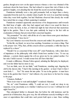garden, though never now on the upper terraces whence a view was obtained of the enclosure about the lazar-house. She had refused to repeat that visit of theirs to the garden's heights, ever pleading that she found the ascent excessively fatiguing.

Pantaleone habitually wore a tiny gold pomander ball, no larger than a cherry, suspended from his neck by a slender chain of gold. He wore it as usual that morning when they went forth together; but had Madonna observed him closely she would have noted that at a stage of their sauntering it vanished.

Pantaleone remained apparently unconscious of its disappearance until towards the third hour of night—after they had supped and when it was usual for them to retire to bed, the hour, in fact, at which last night he had observed that mysterious light in the garden. Then it was that quite suddenly he leapt to his feet with an exclamation of dismay that provoked their concerned inquiries.

"My pomander!" he cried, with all the air of a man whom some great mischance has overwhelmed. "I have lost it."

My Lord Almerico recovered from his concern and smiled. He quoted the stoic.

"In this life, my friend, we never lose anything. Sometimes we return a thing. That is the proper view. Why, then, all this concern about a pomander, a trifle that may be replaced by a ducat."

"Should I be so concerned if that were all?" cried Pantaleone, with a faint show of impatience at the philosophy with which Orsini bore another's loss. "It was my talisman—a potent charm against the evil eye given me by my sainted mother. For her sake I hold it sacred. I would sooner lose all I have than that."

It made a difference, Monna Fulvia agreed, admiring the filial piety he displayed; and even her father had no more to say.

"Let me think, now; let me think," said Pantaleone, standing rapt, fingering the cleft in his shaven chin. "I had it this morning in the garden—at least I had it when I went forth. I . . . Yes!" He smote fist into palm. "It was in the garden—it must have been in the garden that I lost it." And without a by-your-leave to his host he swung to the page.

"A lantern, Raffaele."

"Were it not wiser to wait until daylight?" wondered Almerico.

"Sir, sir," cried Pantaleone wildly, "I could not rest, I could not sleep in my suspense, in my uncertainty as to whether I shall recover it or not. I will hunt for it all night if need be."

They attempted further to dissuade him, but before his wild insistence and his general air of distraction, they gave way, the old nobleman scarcely troubling to veil a sneer at superstitions that could take such potent hold upon a man. Since nothing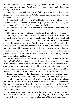less than to go forth at once would satisfy him, they bade Raffaele go with him, and whether this was a measure of kindly concern or whether of precaution Pantaleone was by no means sure.

Forth into the night sallied he and Raffaele, each armed with a lantern, and straight they went to the first terrace. With their double light they searched every foot of the long walk, all to no purpose.

"Five ducats, Raffaele, if you find it," said Pantaleone. "Let us divide our forces, thus are we likely to shorten the search. Do you go up to the next terrace, and search that carefully, foot by foot. Five ducats if you find it."

"Five ducats!" Raffaele was a little breathless. "Why the thing isn't worth more than half a ducat!"

"Nevertheless five shall you have if you find it me. I value it far above its price."

Raffaele sped upwards with his lantern, leaving Pantaleone in the act of resuming his search over ground that had been covered already. The adventurer waited until the sound of the lad's footsteps had grown distant and until from where he stood the other's light was no longer visible. Then he passed behind a stiff box hedge, that would screen his own light from any windows of the house, and there without more ado he extinguished it. That done he crossed the garden with as much speed as was consistent with his care to make no sound. By a clump of larches within a dozen paces of the wall of the enclosure he came to a halt, effaced himself among the trees, and waited, watchful and listening.

Moments passed in utter silence. In the distance he could perceive the faint gleam of Raffaele's lantern moving at a snail's pace along the third terrace on the hillside. Raffaele he knew was safely engaged for the next hour. That promise of five ducats would sustain his patience against failure. Whilst any who might be spying from the house would be able to make out no more than a glimmer of light up yonder, and would suppose that Raffaele and himself were engaged together.

Reassured on that score, then, Pantaleone was patient on his side, and waited. Nor was his patience sorely taxed. Some ten minutes or so after he had gained his point of observation, he heard the creaking of a door, and from the postern in the inner barbican he beheld the gleam of another lantern. It advanced swiftly towards him—for a pathway ran beside the larches—and presently there came the sound of feet. Soon Pantaleone could discern the figure of a man faintly outlined against the all-pervading gloom.

Immovable he stood screened by the larches, unseen yet observing. The figure advanced; it passed so closely by him that by putting forth his arm he might have touched it. He recognized the livid pock-marked face of the castellan, and he noted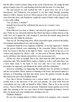that the fellow carried a basket slung on the crook of his left arm. He caught the faint gleam of napery atop of it, and thrusting forth from this the neck of a wine-flask.

The man passed on, and reached the wall. A green door was set in it just thereabouts, and Pantaleone was prepared to see him vanish through, preparing indeed to follow. Instead, however, Mario paused at the wall's foot some ten paces away from that door, and Pantaleone caught the sound of hands softly clapped, and a voice softly calling:

"Are you there, Colomba?"

Instantly from beyond the wall floated the answer in a woman's voice:

"I am here"

What followed was none so distinct, and asked for guesswork on Pantaleone's part. Partly he saw and partly inferred that Mario had taken a ladder that lay at the wall's foot, set it against the wall, mounted it, and from the summit slung down his basket to his wife within the enclosure.

That was all. The thing being done, Mario descended again, removed the ladder, and returned unencumbered now and moving swiftly.

Pantaleone found his every suspicion confirmed. As he had supposed, Colomba and the groom Giuberti were ministering to the concealed Matteo Orsini, whose food was borne to him thus in the night by Mario—and no doubt in the raw, to be cooked and prepared by Mario's wife—so that none in Pievano should share the secret with those who already and perforce were in possession of it.

All this was clear as daylight. But on the other hand the affair had its dark and mysterious side. Why should Mario employ a ladder to scale a wall when there was a door there ready to his hand. It was very odd, but it was some detail of precaution, he supposed, and dismissed the matter with that explanation.

Moreover something was happening that suddenly drew his attention to himself and his own position. Mario, instead of returning to the house, had paused midway a moment, as if hesitating, and then had struck across the gardens towards the light that marked the spot where Raffaele hunted.

Now this to Messer Pantaleone was a serious matter. It might, unless he were careful, lead to the discovery of his own real pursuits. He came forth from his concealment and very softly set himself to follow Mario. Thus as far as the second terrace. Then as Mario still went on upwards, Pantaleone turned quickly away to the right, thus returning to the very spot where he had extinguished his lantern. Arrived there, he turned and came running back shouting as he ran:

"Raffaele! Raffaele!"

He saw the swinging lantern of Mario arrested in its progress, and a moment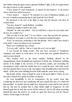later farther along the upper terrace gleamed Raffaele's light, as the boy approached the edge in answer to that summons.

"I have found it!" cried Pantaleone, as indeed he had found it—in his pocket where it had been safely bestowed.

"I have found it . . . found it!" he repeated on a note of ridiculous triumph, as if he were Columbus announcing that he had found the New World.

He advanced to the foot of the flight of steps that led upward, and there he awaited them.

"You have found it?" quoth Raffaele, crestfallen.

Pantaleone dangled it aloft by the chain.

"Behold!" he said, and added—"but you shall have a ducat for your pains none the less. So comfort you."

"Did you find it in the dark?" It was Mario's voice that growled the question, and Pantaleone was quick to catch the note of suspicion running through it.

"Fool," he answered, preferring to take him literally. "How could I have found it in the dark? I upset my lantern in my excitement."

Mario was scanning his face closely.

"It is very odd," said he, "that as I came this way I saw no light."

"I was beyond the hedge yonder. That may have screened it," Pantaleone explained, and added no word more, for he knew that who explains himself too much accuses himself.

They trooped back to the house together; Raffaele silenced by his disappointment, Mario thoughtful and suspicious of all this ado, Pantaleone babbling naïvely in his delight at the recovery of his precious amulet, and recounting the circumstances under which his mother had set it round his neck, with what words she had enjoined him to keep it safe, and against what dreadful perils it had been his shield—all lies that came bubbling from his fertile mind like water from a spring.

But despite all this, when at length he came to bid good-night to Mario, he saw that clay-coloured face grimly set in lines of mistrust.

He went thoughtfully to bed in consequence. He lay awake some time considering his discovery and considering still more deeply that part of it which left him mystified. At another time he might have delayed his action until he had cleared that up. But here he decided that to delay further might be dangerous. He told himself again that he had discovered all that mattered, and he fell asleep promising himself that upon the morrow he would act upon that discovery and lay Messer Matteo Orsini snugly by the heels.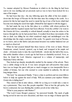THE manner adopted by Messer Pantaleone in which to do the thing he had been sent to do was startling and yet precisely such as was to have been looked for in a man of his temper.

He had been that day—the day following upon the affair of the lost amulet down into the borgo of Pievano for the first time since his coming to the castle. As a pretext for this he had urged the need to mend the leg of one of his boots which had become torn during his search last night. (Himself he had ripped it with his dagger.)

He had made his way in the first place to a cobbler, with whom perforce he remained until the required repairs had been effected. From the cobbler's he went to the Osteria del Orso, ostensibly to refresh himself, actually to issue his orders to his knaves through the one he had posted there. It resulted from these movements of his that as dusk was falling his ten sbirri wandered singly and unchallenged over the drawbridge into the empty courtyard of the castle. No guards were kept at Pievano, as we know, and so this furtive and piecemeal invasion was neither hindered nor yet so much as observed.

When he had assured himself that these knaves of his were at hand, Messer Pantaleone, armed, booted, spurred, cap in hand, and wrapped in his ample red cloak—obviously ready to take the road forthwith—strode into the hall of the rocca, that noble chamber where a week ago he had been so charitably received. Now, as then, he found the Lord Almerico engrossed in a volume of manuscript, and Madonna Fulvia with him.

They looked up sharply, inexplicably startled by the manner of his advent. There was a subtle change in his air. It was more arrogant and self-assertive than usual; here was no longer the guest with just so much swagger as was inseparable from a soldier of fortune, but one who seemed to come mantled in authority. He did not long intrigue them.

"My lord," he announced bluntly, "I have a duty to perform and ten stout fellows below to help me against the need of help. Will you summon your nephew Matteo Orsini who is hiding here?"

They stared at him in utter silence, whilst for as long as it would take a man to say a paternoster. They were like people stupefied. Then at last the girl spoke, her brows contracted, her eyes flashing like sombre jewels in her white face.

"What is your purpose with Matteo?"

"The Lord Cesare Borgia's purpose," he answered brutally. The mask of guile having served its turn was now discarded, and there was no tinge of shame upon the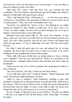uncovered face of his real self which he now showed them. "I was sent hither to arrest Ser Matteo by order of the Duke."

Again there fell a pause, what time those four eyes searched his bold countenance. The Lord Almerico closed his book upon his forefinger, and a faint yet intensely scornful smile broke upon the grey old face.

"Then," said Madonna Fulvia, "all this time we . . . we have been your dupes. You lied to us. Your faintness, the persecution of which you were the victim, was all so much pretence?" There was a note of incredulity in her voice.

"Necessity," he reminded her, "knows no law." And although he was neither shamed nor daunted by their steadfast scornful stare, yet he grew weary of it. "Come," he added roughly. "You have had your fill of looking at me. Let us get to business. Send for this traitor you are harbouring."

Madonna Fulvia drew herself stiffly up. "My God!" she exclaimed. "A base Judas, a dirty spy! And I have sat at table with you. We have housed you here as an equal." Her voice soared upwards, from the low note of horror and disgust upon which she had spoken. "O vile, O pitiful dog!" she cried. "Was this your errand? Was this  $\cdots$ 

Her father's hand fell gently upon her arm, and silenced her by its mute command. The stoic in him was equal even to so bitter an occasion. It was not for nothing that he had assimilated the wisdom of the ancients.

"Hush, child, self-respect forbids that you should address so base a creature even to upbraid it." His voice was calm and level. "What is it to you that he is vile and treacherous, a shameless thing of shame? Does that hurt you? Does it hurt any but himself?"

It did not seem to her to be a time for stoicisms. She swung upon her father in a blaze of passion.

"Aye, does it hurt me," she cried. "It hurts me and it hurts Matteo."

"Can it really hurt a man to die?" wondered Almerico. "Matteo being dead, shall yet live. But that poor thing being living is yet dead."

"Shall we come to business?" quoth Pantaleone, breaking in upon what promised to develop into an eloquent discourse upon life and death, chiefly derived from Seneca. "Will you send for Matteo Orsini, or shall I bid my men drag him from the lazar-home where he skulks. It is idle to resist, futile to delay. My knaves have hemmed the place about, and none goes in or out save at my pleasure."

He saw a change of expression sweep across both faces. The girl's eyes dilated —with fear, as he supposed; the old man uttered a short, sharp laugh—of stoicism he opined.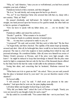"Why, sir," said Almerico, "since you are so well informed, you had best yourself complete your task of infamy."

Pantaleone looked at him a moment, and then shrugged.

"Be it so," he said shortly, and swung upon his heel to go about it.

"No, no!" It was Madonna Fulvia who arrested him with that cry, sharp with a new anxiety. "Wait, sir! Wait!"

He paused obediently, and half-turned. He beheld her standing tense and straight, one hand pressed upon her bosom as if to quell its tumult, the other held out to him in a gesture of supplication.

"Give me leave to speak with my father alone, ere . . . ere we decide," she panted.

Pantaleone sniffed, and raised his eyebrows.

"Decide?" quoth he. "What remains to be decided?"

She wrung her hands in a pathetic intensity of mental stress.

"We . . . we may have a proposal to make to you, sir."

"A proposal?" He said, and scowled. Did they seek to bribe him? "By the Host . . ." he began hotly, and there checked. The cupidity of his nature leapt up instantly, aroused and alert. After all, he bethought him, there would be no harm in hearing this proposal. The man is a fool who neglects to learn anything from which he may cull personal advantage. He considered further. After all, none save himself was aware of Matteo Orsini's presence at Pievano, and if the price were high enough—who knew?—he might be induced to keep that knowledge to himself. But the price must needs be high to compensate him not only for the loss of the thousand ducats offered by the Duke but for the hurt his vanity would suffer in the admission of failure.

Seeing him silent, and conceiving that he hesitated, Madonna renewed her prayer.

"What harm can it do to grant me this?" she asked. "Have you not said yourself that the place is hemmed about by your men? Are you not therefore master of the situation?"

He bowed stiffly.

"I will concede it you," he said. "I shall await your pleasure in the antechamber." And upon that he went out, his spurs jingling musically.

Left alone father and daughter looked long at each other.

"Why did you hinder him?" asked the Lord of Pievano at length. "Surely you were not moved by any thought of pity for such a man?"

Her lip curled in a scornful smile. "You cannot think that—not in your heart," she said.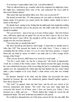"It is because I cannot think it that I ask. I am all bewildered."

"Had we allowed him to go, consider what in his vengeance he might have done. He might have summoned these men of his, and ransacked the rocca until he discovered Matteo indeed."

"But surely that must inevitably follow now. How can we prevent it?"

She leaned towards him. "To what purpose do you study so deeply the lore of human nature if in practice you cannot probe the shallow murky depth of such a nature as this dog's?"

He shrank back, staring at her, feeling that his philosophy had taught him nothing indeed if in an extremity such as the present one, this child could show him how it should be handled.

"Do you not know—does it not say so in any of those pages—that who betrays once, will betray again and yet again? Do you not see that a man so vile as to have played that knave's part will be vile enough to sell his own master, will be true to naught save his own base interests?"

"You mean that we should bribe him?"

She drew herself up and uttered a short laugh. "I mean that we should seem to bribe him. Oh!" She pressed her hands to her white brow. "I have a vision of something that lies before us here. It is as if a door had been opened, a weapon thrust into my hand by means of which I can smite and at a blow avenge all the wrongs of the Orsini."

"Pish, you are fevered, child! Here is no work for a weak maid. . . ."

"Not for a weak maid—no; but for a strong one," she broke in impetuously; "work for a woman of the Orsini. Listen." She leaned towards him again, lowering her voice instinctively because of the secret thing she had to communicate. Speaking quickly now she expounded the whole plan that had flashed into her ready-witted mind, a plan complete in its every detail, a chain whose every link was soundly forged.

He listened, hunched in his chair, and the farther she proceeded the more hunched he became, like one who instinctively gathers himself together against a blow that is about to fall.

"My God!" he gasped when she had done, and his old eyes stared at her between amazement and dismay. "My God! And your pure virgin mind has conceived this horror! In all these years I have not known you, Fulvia. I have deemed you a child, and you . . ." Words eluded him. Limply he waved his old transparent hands. The stoic in him had succumbed to the parent.

He would have dissuaded her out of his deep concern for her, his only child. But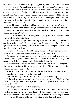she was not to be dissuaded. She argued on, gathering enthusiasm as she dwelt upon the means by which she would at a single blow strike down this base betrayer and his master the Duke of Valentinois. She urged that there was no safety for her or him or any Orsini in her refraining from this step upon which she was resolved. She reminded him that as long as Cesare Borgia lived no single Orsini would be safe, and she concluded by announcing that she believed her mission inspired by Heaven itself, that she a maid and the weakest of the Orsini should avenge the wrongs of their house and stay its further ruin.

At last his shocked, bruised mind became infected by something of her ardour; enough at least to wring from him a grudging fearful consent to let her have her way.

"Leave me," she said, "to deal with Cesare Borgia and his lackey, and do you pray for the souls of both."

Upon that she kissed him, and swept out to the impatient Pantaleone waiting in the sparsely furnished ante-chamber.

He was seated in a high-backed chair by a carved table that bore a cluster of candles in a silver branch. He rose as she entered, marking her pallor and obvious agitation. To the stately beauty of her, her slim height and the fine poise of her lovely head, he remained indifferent.

She came to lean against the table, facing him across it, considering him with a glance that was steady despite the tremors agitating all the rest of her.

Pantaleone was shrewd and crafty as we know, but his craft was a shallow business when compared with her own; his shrewdness was mere low cunning when contrasted with the agile wits which her frail exterior dissembled.

In the moment in which he had revealed himself for what he was she had judged him, and she had judged him to the weight of a hair of his vile head. Upon that judgment she now went to work.

"Consider me well, Ser Pantaleone," she invited him, her voice level and calm.

He did so, wondering whither this might lead.

"Tell me now, do you not find me fair to see, and am I not shapely?"

He bowed, his face almost sardonic. "Fair as an angel, assuredly, Madonna. The Duke's own sister, Monna Lucrezia, would suffer by comparison. But what has this to do with  $\ldots$  ?"

"In short, sir, do you account me desirable?"

The question robbed him of breath, so amazing was it. It was a moment ere he found an answer, and by then the sardonic smile had passed entirely from his face. His pulses were quickened under her steady glance and her no less steady invitation to appraise her. He pondered her now, and discovered a thousand graces in her to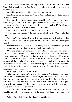which he had hitherto been blind. He may even have realized that her chaste frail beauty held a subtler appeal than the grosser femininity to which his senses more usually responded.

"Desirable as Paradise," said he at last, dropping his voice.

"And to render me so, there is not merely this perishable beauty that is mine. I am well dowered."

"It is fitting that so noble a jewel should be nobly set." In his mind stirred now some inkling of whither she was leading him, and his pulses throbbed the faster.

"A matter of ten thousand ducats goes with me to the man I wed," she informed him, and turned him giddy by the mention of so vast a sum.

"Ten thousand ducats?" he repeated slowly, awestricken.

"To the man who weds me," she insisted, and added quietly—"Will you be that man?"

"Will I . . . ?" He checked. No, no. The thing was incredible. The shock of that question almost stunned him. He gaped at her, and his handsome face turned pale under its tan.

"Upon the condition, of course," she pursued, "that you abandon this quest for Ser Matteo, and bear word to your master that he is not to be found."

"Of course, of course," he mumbled foolishly. Then he reassembled his scattered wits and set them to read him this riddle. She was Matteo's betrothed. She loved Matteo. And yet. . . . Or could it be that her love was of that great self-sacrificing kind of which he had heard—but in which he had never believed—that will surrender all for the sake of the beloved? He could not swallow that. It was not in his nature to be so credulous. And then he threw up his head, his nostrils quivering. Suddenly he scented danger. A trap was being baited for him. Bluntly he said so, laughing short and scornfully.

But her reply disarmed his last suspicion.

"Take your own measures," she invited him serenely. "I understand your fears. But we are honourable folk, and if I swear to you that Matteo Orsini shall not stir him hence until this matter is done beyond recalling, so shall it be. Yet take your measures. You have the men and the power. Let them remain at their post surrounding that garden. Do that to-night, and to-morrow I will ride with you to Castel della Pieve to become your wife."

Slowly he licked his lips, and his bold eyes narrowed as they surveyed her greedily. Yet still he was suspicious. Still he could not believe in so much good fortune.

"Why at Castel della Pieve?" he asked. "Why not here?"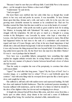"Because I must be sure that you will keep faith. Castel della Pieve is the nearest place—yet far enough to leave Matteo a clear road of flight."

"I understand," he said slowly.

"And you agree?"

His keen black eyes stabbed into her calm white face as though they would pierce to her very soul and probe its secrets. It was incredible. To have fortune thrust upon him thus, fortune and a wife, and such a wife; for in his eyes she was growing more desirable moment by moment as he considered her. Had not Fra Serafino warned the Duke that this man would be as wax in the hands of a woman?

What greater profit—what profit one-tenth as great could he look for in taking Ser Matteo, in keeping faith with Valentinois? He made, you see, no attempt to struggle with the temptation. He did not give so much as a thought to a young woman in the Bolognese—one Leocadia by name—who kept a wine-shop at Laveno, who had borne him a son and whom he had promised to marry. But all that had happened before he had risen to the rank of a condottiero and earned the regard and trust of Cesare Borgia; and of late in his new-found importance it had shrunk into a dim and distant background. It did not trouble him now. If he hesitated, it was only because the thing proposed him was beyond belief. It bewildered him; a fog settled down upon his wits. By the Host! how she must love this fellow Matteo! Or was it—was it perhaps that he himself. . .

Now here was a possibility hitherto unregarded; here something that might explain her singular attitude towards him. In saving Matteo she performed a duty, and by the very manner of it placed a barrier between herself and a lover of whom she had wearied.

Thus his vanity to complete the rout of his perspicuity, to convince him where cold reason failed.

"Agree?" he cried after that long pause. "Agree? By the Eyes of God? Am I a wooden image, or a purblind fool to refuse? I'll set a seal forthwith upon that contract." And with arms flung wide he swooped down upon her like a hawk upon a dove, and caught her to him.

She suffered it, stiff and cold with sudden terror and repressed loathing. He held her close and muttered foolish fondnesses. Then the awakened passion mounting, it became suffused with tenderness, and he told her of a future in which he should be the slave of her slightest whim, her devout and worshipping lover always.

At length she released herself from those lithe arms, and drew away from him, a hectic spot on either check, deep shame in her soul and a sense of defilement pervading all her being. He watched her, abashed a little, mistrustful even.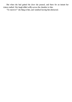But when she had gained the door she paused, and there for an instant her iciness melted. Her laugh trilled softly across the chamber to him.

"To-morrow!" she flung at him, and vanished leaving him distracted.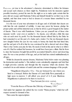PERPLEXED, yet true to his adventurer's character, determined to follow his fortunes and accept such chances as there might be, Pantaleone took his measures against possible treachery, posted his men for the night so as to make quite certain that his prey did not escape until Madonna Fulvia and himself should be on their way to the nuptials, and that done went to bed to dream of a roseate future ennobled by ten thousand ducats.

It is the test of your true adventurer in all ages and of all kinds that ducats are with him the sole standard of nobility. A man may pawn his honour, pledge his proper pride and sell his immortal soul, so that he drives a good bargain in the matter of ducats. Thus it was with Pantaleone. Unless you are yourself one of those who measure worth—your own or another's—by ducats, you will pity a little this man who set such store by profit. For the thousand ducats offered him by the Duke he had consented to act the part of a Judas and a traitor. For the ten thousand ducats now dangled before his eyes he was ready to betray the hand that had hired him; and the sad part of it all is that he was convinced he did a shrewd and clever thing. That is why I invite your pity for him. He needs it both in this and in what is to follow out of it. Had he realized his baseness, he would have been just a villain. But far from it, since his baseness brought him profit he accounted himself a clever and deserving man. He was a true product of his age, and yet his kind has existed multitudinously in all ages.

Whilst he dreamt his aureate dreams, Madonna Fulvia below stairs was planning his destruction and another's. She indited a note calculatedly enigmatic and brief that it might provoke curiosity and through this the response which she desired. She couched it in an odd mixture of curial Latin and the common language of the people.

"Magnificent (*Magnifice Vir*),—You are betrayed by one whom you hired to a betrayal. Before the Duomo of Castel della Pieve punctually at high noon to-morrow I will afford you proof of it if your Illustrious Magnificence is pleased to be there to receive it.

"Your Servant (*Servitrix vestra*),

"FULVIA ORSINI"

"From the Rocca of Pievano this 20th day of January, 1503."

And under her signature she added the two words "Manu propria," which her selfrespect seemed to demand of her.

Then came the superscription: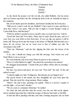"To the Illustrious Prince, the Duke of Valentinois these

"Quickly **Quickly** Ouickly."

As she shook the pounce over the wet ink, she called Raffaele, who lay prone upon an Eastern rug before the fire, kicking his heels in the air. Instantly he leapt to her summons.

She set her hands upon his shoulders, and looked steadily into his lovely face.

"Will you do a man's work for me, Raffaele? I have need of a man, and there is none here whom I can spare. Will you ride to-night to Cesare Borgia's camp at Castel della Pieve with this letter?"

"If that be all that is needed to prove myself a man, account it proven," said he.

"Good lad! Dear lad! Now listen. There may be spies about the gate, and so it were best you went forth on foot from here. If you can slip out unseen it will be better still. Then go down into the borgo to the house of Villanelli. Bid him lend you a horse for my service, but say no word even to him of whither you ride. Be circumspect and swift."

"Trust me, Madonna," said the lad, slipping the letter into the breast of his doublet.

"I do, else I should not charge you with this message. God watch over you! Send Mario to me as you go."

He went forthwith, and soon came Mario in answer to her summons.

"How is it with Giuberti to-night?" she asked the seneschal as he entered.

He shrugged despondently. "I doubt if the poor fellow will be alive by morning," he answered.

Her face was drawn and grave, her eyes sad. "Poor lad!" she said. "Is the end indeed so near."

"Amiracle might save him. Nothing less. But miracles do not happen now."

She paced slowly to the hearth, her face thoughtful, her eyes bent upon the ground. Thus she stood for a long moment, Mario waiting.

"Mario," she said at last, speaking very quietly. "There is a service I require of you this night—of you and Colomba."

"We are yours to command, Madonna," he replied.

Yet when she had told him what the service was she saw him recoil, aghast, horror stamped upon that face which the ravages of disease had made so horrible.

At that she fell to pleading with him, and with a burning eloquence she set forth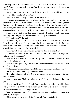the wrongs her house had suffered, spoke of the Orsini blood that had been shed to gratify Borgian ambition and to satiate Borgian vengeance, and so in the end won him to her will.

"Be it so, then, Madonna, since you desire it," he said, but he shuddered even as he spoke. "Have you the letter written?"

"Not yet. Come to me again soon, and it shall be ready."

In silence he departed, and she returned to the writing pulpit. For awhile she could not write, such was the tremor of her hand as a consequence of the agitation her interview with Mario had produced in her. Presently, however, she recovered her self-control, and thereafter for a spell there was no sound in the chamber, save the occasional splutter and crackle of the burning logs and the scratch of her busy quill.

Mario returned before she had finished, and stood waiting patiently until rising she flung down her pen, and proffered him the accomplished document.

"You understand?" she said.

"I understand, Madonna. God knows it is simple—terribly simple." And he looked at her with eyes of sorrow, conveying by his glance that what he found so terrible was that one so young and lovely should have conceived a notion so diabolical as this in which she had besought his aid.

"And you will instruct Colomba carefully so that there is no mistake."

"There will be none," he promised. "I have the cane, and I myself will prepare it. A thorn is easily procured."

"Let me have it, then, at daybreak. Bring it to my chamber. You will find me risen, and ready for a journey."

At that he was gripped by a fresh alarm. "You are not yourself to be the bearer of it?" he cried out.

"Whom else?" she asked him. "Could I demand such a service of any other?"

"Gesù!" he wailed. "Does my lord know of this?"

"Something of it. Enough of it. Not a word more now, Mario. Away with you, and see it done."

"Ah, but consider, Madonna, what you risk! Consider, Madonna, I beseech you."

"I have considered. I am an Orsini. Orsini have been strangled at Assisi, others are gaoled in Rome. Matteo's life is sought by this insatiable monster of revenge. I go there both to save and to avenge. I shall not fail."

"Ah, but Madonna mine . . ." he began, his voice quavering, tears of intercession gathering in his eyes.

"No more, as you love me, Mario. Do my will. You cannot alter it."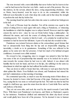The tone invested with a stern inflexibility that never before had he known in her —and he had known her from her very birth—made an end of his protests. She was the mistress, he the servant, almost the slave, owing unquestioning obedience. And so Mario, heavy-hearted, went his ways to do as she commanded, whilst she followed soon thereafter to seek what sleep she could, and in that sleep the strength to perform the task that lay before her.

The morning found her pale but calm when she came to confront her bridegroom in the hall.

The Lord of Pievano kept his chamber. Not all his stoicism was equal to the ordeal of sitting down to meat again with such a thing as Pantaleone, or witnessing the humiliation to which his daughter was to subject herself. However much he might esteem the end in view—since he was an Orsini before being a philosopher—he abhorred the means, and took the course of refusing them his countenance, and remaining passive. Yet—in justice to him be it said—of a certainty he would not have remained so had he known her full intent. A part of it only had she revealed to him.

Pantaleone was tortured between elation at the extraordinary good fortune that had so unexpectedly been flung into his lap and an irrepressible misgiving, an incredulity, a doubt as to its genuineness. Something of this was reflected in his glance as he came now into her presence. It had lost much of its habitual arrogant confidence; it seemed even a little strained.

He crossed to her, swaggering, since to swagger was natural to him; but there was none of the air of proprietorship that naturally was to be looked for in such a man towards the woman whom he had won to wife. Indeed, it was almost with humility that he took her hand, and bore it to his lips, she suffering it in the same icy detachment in which last night she had suffered his terrible embrace.

They sat down to table to break their fast, with none to wait upon them but the silent sphinx-like Mario. Even Raffaele was absent, and Pantaleone had missed the pert lad's ministrations on that morning of mornings.

He commented upon this, as much to ease the increasing strain of their silence as because he desired to know what had become of the page. Madonna excused the boy, saying that he was none so well and kept his bed. The truth was that he had but sought it a half-hour ago, upon his return from his ride to Castel della Pieve and the safe delivery of his letter.

They set out soon after, and took the road by the marsh towards Castel della Pieve. With them went Pantaleone's ten knaves, and Mario as Madonna's equerry by her insistence. Pantaleone disliked and mistrusted the silent clay-faced servant and would gladly have been rid of his presence. Yet he deemed it wise to humour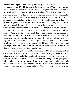her at least until a priest should have given her fully into his possession.

As they cantered briskly forward in the bright sunshine of that January morning, and the miles were flung behind them, Pantaleone's spirits rose, and conquered his last misgiving. Of treachery he had now no shadow of fear. Had she not delivered herself up to him? Were they not surrounded by men of his own? And must not the ducats and the rest follow as inevitably as the rising of to-morrow's sun? In this assurance he attempted to play the gallant, as befits a bridegroom; but he found her cold and haughty and reserved, and when he remonstrated, pointing out that she did not use him at all like one who was to be her husband by noon-tide, she retorted with a reminder that between them was naught but a bargain that had been struck.

This chilled him, and for awhile he rode amain sulkily, with bent head and furrowed brows. But that soon passed. His abiding humour was too buoyant to suffer any permanent overclouding. Let her be as cold as ice at present. Anon he would know how to kindle her into living woman. He had so kindled a many in his day, and he was confident of his natural gifts in that direction. Not that it would greatly matter if she were to remain proof against his ardour. There were her ducats for ample consolation, and with her ducats he might procure elsewhere an abundance of the tenderness that she denied him.

They toiled up a gentle hill, and then from its summit the gleaming ruddy roofs of Castel della Pieve broke at last upon their view, some two leagues distant. It wanted yet an hour to noon, and if they maintained their present pace they would arrive too soon for Madonna's schemes. Therefore she now delayed by slackening her pace a little, pleading fatigue as a result of a ride that was something arduous for one so little used to the saddle. And she contrived so well that noon was striking from the Duomo as they rode under the deep archway of the Porta Pia and entered the town.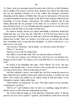THE Duke's army was encamped upon the eastern side of the city, so that Pantaleone had no inkling of his master's presence there until they had entered the main street and saw the abundant evidences of it in the soldiers that thronged everywhere chattering in all the dialects of Middle Italy. The part he had played at Pievano had so isolated Pantaleone from the outside world, that he had remained without precise knowledge of Cesare Borgia's whereabouts. His sudden realization that he had ridden almost into the very presence of the Duke was as a shower of cold water upon his heated body. For you will understand that engaged as he was he had every reason to avoid the Duke as he would avoid the devil.

He reined in sharply, and his eyes glared mistrustfully at Madonna, instinctively feeling that here was some trap into which like a fool he had been lured by this white-faced girl. It flashed across his mind that it had been his lifelong practice to mistrust lean women. Their very leanness was in his eyes an outward sign of their lack of femininity, and a woman that lacks femininity—as all the world knows—is as often as not a very devil.

"By your leave, Madonna," said he grimly, "we willseek a priest elsewhere."

"Why so?" she asked.

"Because it is my will," he snarled back.

She smiled a crooked little smile. She was calm and mistress of herself.

"It is early yet to impose your will upon me, and if you are over-insistent now, perhaps you never shall—for I marry you at Castel della Pieve or I do not marry you at all"

He looked at her blenching with anger. "God's Blood!" he swore, and gave tongue to that thought of his. "I never yet knew a lean woman that was not sly and a very bag of devil's tricks. What is in that mind of yours?"

And then suddenly a hoarse voice hailed him, and from among the passers-by there rolled forward a grizzled veteran upon sturdy bowed legs, a swarthy one-eyed fellow, who creaked and clanked as he walked, being all mail and leather. It was Valentinois's captain, Taddeo della Volpe.

"Well returned, my Pantaleone!" he cried. "The Duke named you but yesterday, wondering how you fared."

"Did he so?" said Pantaleone since he must say something, raging inwardly to find his retreat cut off by this most inopportune encounter.

The veteran rolled his single eye in the direction of Madonna Fulvia. "Is this the prisoner you were sent to capture?" quoth he, and Pantaleone could not be sure that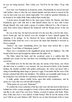he was not being mocked. "But I delay you. You'll be for the Duke. I'll go with you."

Now here was Pantaleone in desperate straits. Mechanically he moved forward with Taddeo, since to obey his very natural impulse and turn about to retreat by the way he had come was now utterly impossible. Nor could he question Madonna as he desired to do whilst Della Volpe stalked there beside him.

A dozen paces brought them to the open space before the Duomo, and there Pantaleone grew cold with fear to find himself almost face to face with Cesare Borgia himself, who rode amid a group of courtiers followed by a file of men-atarms from whose lances fluttered the bannerols with the Borgia device of the red Bull.

He was in the trap. He had been led into it by the nose like a fool by this wheyfaced Orsini girl, and he lacked even the strength to brace himself against the snapping of its springs. As he checked his horse, mechanically in his dismay, Madonna Fulvia dealt her own a cut across the hams that launched it forward as from a catapult.

"Justice!" she cried, brandishing above her head what looked like a short truncheon. "Lord Duke of Valentinois, justice!"

There was a commotion in the magnificent group about his Highness. The wild bound of her horse had brought her almost into the midst of it.

The Duke raised his hand, and the cavalcade came to a sudden halt. His splendid eyes swept over her, and there was something in his glance that seemed to scorch her.

She beheld now for the first time this man, the enemy of her house, one whom she had come to consider a very monster. He was dressed in black, in the Spanish fashion, his doublet scrolled with golden arabesques, his velvet cap laced with a string of smouldering rubies large as sparrow's eggs. From under this the wave of his bronze-coloured hair fell to his shoulders. The delicate yet essentially male beauty of his young face was such that for a moment it checked her cruel purpose.

A smile, gentle, almost wistful, broke upon that noble countenance, and he spoke in a voice that was soft and full of melody.

"What justice do you seek, Madonna?"

To combat the sweet seduction of his face and voice she had need in that hour to bethink her of her cousins strangled at Assisi, of those other kinsmen gaoled in Rome and like to die, and of her own lover, Matteo, in peril of capture and death. What, then, if this man were a very miracle of male beauty? Was he not the enemy of her race? Did he not seek Matteo's life? Had he not set that foul hound of his to track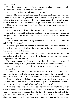Matteo down?

Upon the unuttered answer to those unuttered questions she braced herself, steeled her resolve and held out the tube she carried.

"It is allset down here, Magnificent, in this petition."

He moved his horse forward some paces from amid his attendant courtiers, and without haste put forth his gauntletted hand to receive the thing she proffered. He balanced it in his palm a moment, as if weighing it, considering. It was a hollow cane, sealed at both ends. A faint smile moved his lips under cover of his auburn beard.

"Here are great precautions," was his gentle comment, and his eyes stabbed her with questions.

"I would not have it polluted on its way to your august hands," she explained.

His smile broadened. He inclined his head as if to acknowledge the courtliness of her speech. Then his glance went beyond her and rested on the scared and savage Pantaleone.

"What fellow is that who is skulking there behind you?" said he. "You there!" he called. "Olà! Approach!"

Pantaleone gave a nervous hitch to his reins and walked his horse forward. His bronzed face was pallid, his glance furtive and uneasy; indeed, extreme uneasiness was writ large in every line of him.

Cesare's brows were faintly raised. "Why, Messer Pantaleone!" he cried. "You are well returned, and most opportunely. Here, break me these seals and read me the parchment this tube contains."

There was a sudden stir of interest in the gay flock of attendants, a movement of horses and a craning of necks, which quickened when Madonna Fulvia intervened.

"No, no, Magnificent!" Her voice was sharp with a sudden anxiety. "It is for your eyes alone."

He pondered her white face until she felt as she would faint under his regard, such was the terror with which it was beginning to inspire her. He smiled with a sweetness as ineffable as it was terrible and he addressed her in his silkiest accents.

"Since beholding you, Madonna, my eyes are something dazzled. I must borrow Ser Pantaleone's there, and be content to employ my ears." Then to Pantaleone on a sudden note of sharp command: "Come, sir," he said, "we wait."

Pantaleone a little dazed by his terror took the thing in his shaking hands, and not daring to demur or show hesitation, broke one of the seals with clumsy, fumbling fingers. A silken cord protruded from the tube. He seized it to pull forth the parchment, then with a sharp exclamation he drew back his hand as if he had been stung—as indeed he had been. There was a speck of blood on his thumb and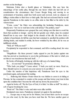another on his forefinger.

Madonna Fulvia shot a fearful glance at Valentinois. She saw here the miscarriage of her crafty plan, through the one factor which she had left out of consideration—the circumstance that Cesare Borgia living and moving in an environment of treachery, amid foes both secret and avowed, took no chances of falling a victim either to their force or their guile. She had not reckoned that he would appoint Pantaleone in this matter to an office akin to that filled at his table by the venom-taster.

"Come, come," the Duke was admonishing the hesitating Pantaleone, more sharply now. "Are we to wait here in the cold all day? The petition, man!"

Desperately Pantaleone now grasped the cord, taking care this time to avoid the thorn that accident or design—and he did not greatly care which, since he counted himself lost in any case—had lodged in the strands of the silk. He drew forth a cylinder of parchment, let fall the cane that had contained it, unrolled the petition with shaking hands, and studied it awhile, his brow wrinkled by the effort, for he was an indifferent scholar.

"Well, sir? Will you read?"

Precipitately he responded to that command, and fell to reading aloud, his voice hoarse.

"Magnificent—By these present I make appeal to you for justice against one who has proved as treacherous to you in the performance of the task to which you set him as was treacherous that task itself. . . ."

He broke off abruptly, looking up with the wild eyes of a hunted thing.

"It . . . it is not true!" he protested, faltering. "I . . ."

"Who bade you judge?" Cesare asked. "I bade you read; no more. Read on, then. Should it prove to concern you your answer to it can follow."

Under the suasion of that imperious will, Pantaleone bent his eyes to the parchment again, and pursued his reading.

". . . Believing that Matteo Orsini whom he was bidden to arrest is in hiding at Pievano, he has consented to connive at his escape and thus betray your trust in him upon the condition that I become his wife and my dowry his possession."

Again he broke off. "By the Eyes of God, it is false! As false as hell!" he cried, a sob of agony breaking his voice.

"Read on!" The Duke's voice and mien were alike terrible.

Dominated once more, Pantaleone returned yet again to the parchment.

". . . Escape may or may not be for Matteo, but at least there can be no escape for you who read, by the time you have read thus far. We have another guest at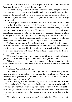Pievano in our lazar-house there—the small-pox. And these present have lain an hour upon the breast of one who is dying of it, and . . ."

On a sudden outcry of terror Pantaleone brought his reading abruptly to an end. The plague-laden parchment floated from his hands that were suddenly turned limp. It reached the ground, and there was a sudden alarmed movement on all sides to back away beyond the radius of its venom, beyond the danger of the dread scourge that it exuded.

Dully through Pantaleone's benumbed wits the realization thrust itself that the thorn in the silk had been no accident. It had been set there of intent, so that it might open a way by which the terrible infection should travel the more swiftly and surely into the reader's veins. He knew himself for a doomed man, one who might count himself under sentence of death, since the chances of winning alive through an attack of that pestilence were so slight as to be almost negligible. Ashen-faced he stared straight before him, what time indignation and horror found voice on every side, and continued clamant until the Duke raised an imperious hand to demand silence.

He alone remained unmoved, or at least showed no outward sign of such anger as he may have felt. When next he addressed the white-faced lady, who had made this desperate attempt upon his life, his voice was as smooth and silken as it had been before, his returning smile as sweet. And perhaps because of that the doom he pronounced was the more awful.

"Of course," he said, "since Ser Pantaleone has fulfilled his part of the bargain, you, Madonna, will now fulfil yours. You will wed him as you undertook."

Wide-eyed, she stared, and it was a long moment ere she understood the poetic justice that he meted out to her. When at last her voice came it came in a hoarse cry of horror.

"Wed him? Wed him! He is infected . . ."

"With your venom," Cesare cut in crisply. And he continued calmly as one reasoning with a wayward child: "It is your duty to yourself and him. You are in honour bound by your compact. The poor fellow could not foresee all this. You had not made him privy to your plans."

He was mocking her. She perceived it, and rage surged through her at the ruthless cruelty of it. She had ever heard that he was pitiless, but in no imagining of hers could she ever have conceived a pitilessness to compare with this. Her sudden surge of anger heartened her a little, yet it lent her no words in which to answer him, for in truth he was unanswerable—his justice ever was, wherefore men hated him the more.

"You called to me for justice, Madonna," he reminded her. "Thus you receive it.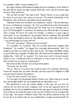It is complete, I think. I hope it satisfies you."

Her anger shivered itself unuttered against that iron dominance of his. Before it her spirit left her utterly, her high courage ebbed like water, and she became again the prey of fear and horror.

"Oh, not that! not that!" she cried to him. "Mercy! Mercy! as you would hope for mercy in your need, have mercy on me now." He looked sardonically at Ser Pantaleone, who sat his horse, benumbed in body and in brain.

"Madonna Fulvia does not flatter you, Pantaleone," said he. "She has little fancy for you as a bridegroom, it appears. Yet, fool, you believed her when she promised to take you to husband. You believed her! Ha! What was it Fra Serafino said of you?" He fell thoughtful. "I remember! He found you too full in the lips to be trusted with a woman. He knows his world, Fra Serafino. A cloister is a good coign of observation. So you succumbed to her promises! But be comforted. She shall fulfil them, where she thought to cheat you. She shall take you to that white breast of hers —you and the plague you carry with you."

"Oh, God!" she panted. "Will you wed me to death?"

"Is it possible," he wondered, "that you can find death more repulsive than Pantaleone? Yet consider," he begged her, reasoning dispassionately, "that I do naught by you that you would not have done by me." He began with infinite caution to peel off the heavy gauntlet of buffalo hide with which he had handled that deathdealing tube. "After all," he resumed, "if to keep your word is beyond measure odious to you—a family trait with you, Madonna, as I have cause to know—I may show you the way to escape its consequences."

She looked at him, but there was no hope in her glance.

"You mock me!" she cried.

"Not so. There is a way that some would account to be consistent with honour. Cancel the bargain that you made with him, and thus cancel the obligation to fulfil your part and to submit to his embrace."

"Cancel it? How cancel it?" she asked.

"Is it not plain? By surrendering Matteo Orsini to me. Deliver him up to me this day, and the night shall be free from nuptials that are distasteful to you."

She understood at once the satanic subtlety of this man; she saw how far removed he was from any petty vengeance such as she had suspected him to be gratifying; she was but an insignificant pawn in the deep game he played; her feelings were to him no more than the means to the one end of which never for an instant had he lost sight—the capture of Matteo Orsini. That was all that mattered to him, and he was not to be turned aside by any considerations of anger towards herself. He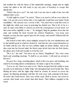had terrified her with the threat of this unutterable marriage, simply that he might render her pliant to his will, ready to pay any price of treachery to escape that ghastly fate.

"Deliver him up to you?" she said, and it was her turn to smile at last, but with infinitely bitter scorn.

"Could aught be easier?" he asked. "There is no need to tell me even where he lurks. I do not ask you to betray him, or do aught that would hurt your tender Orsini sensibilities." His sarcasm was a sword of fire. "You need but to send him word of the plight into which your essay in poisoning has landed you. That is all. As he is a man, he must come hither to ransom you from the consequences of your deed. Let him come before nightfall, or else—" he shrugged, flung his gauntlets down into the mud, and nodded his head towards the stricken Pantaleone—"you keep your bargain; you pay the price agreed upon for his escape, and myself I shall provide the nuptial banquet."

She looked at him with a deep malignity aroused by his own relentlessness and by the hateful suavity in which he cloaked it. And then her wits roused themselves to do battle with his own. She saw how subtlety might yet defeat subtlety. And as the idea crept into her fevered mind, the blood came slowly back into her livid cheeks, her glance grew bold and resolute as it met his own.

"Be it so," she said. "You leave me no choice, Magnificent." Her voice came harsh and something mocking. "It shall be as you desire. I will send my servant to him now."

He gave her a long, searching glance which at first was grave and doubting, and ended by becoming almost contemptuous. He made a sign to his cavaliers.

"Let us on, sirs. Here is no more to do." But he stooped from his saddle to issue an order in an undertone to Della Volpe who throughout had stood beside him. Then flicking his horse with the slight whip which he carried, he moved on across the square, his fluttering attendants with him. He rode away with contempt in his heart. He knew this Orsini brood. They were all the same. Bold to devise, but craven to execute; their brains were stouter than their hearts. Their stiffness crumpled at the touch.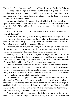ERECT and stiff upon her horse sat Madonna Fulvia, her eyes following the Duke as he rode away across the square, to vanish down the street that opened out of it. She remained thus, bemused, half-dazed, indifferent to the gaping crowd that by now surrounded her, but keeping its distance out of respect for the disease with which Pantaleone was accounted laden.

She was roused at length by a groom dressed in black with a bull wrought in red upon the breast of his doublet, who stepped forward to take her reins, whilst at the same time Della Volpe addressed her, his tone respectful but his single eye contemptuous.

"Madonna," he said, "I pray you go with us. I have my lord's commands for your entertainment."

She looked at him, sneering at first at the euphemism he had employed by which to convey to her that she was a prisoner. But something in that veteran's rugged face struck the sneer from her lips. Two things she read in that countenance: the first, that he was honest; the second, that he contemned her action.

Her glance grew troubled, and it fell away from him. "Do you lead the way then, sir," she said. "My equerry here accompanies me, I think." And she indicated Mario, who sat his horse rigidly behind her, a dumb anguish in his dark eyes.

"Naturally, Madonna, since he is to be your messenger. Forward, Giasone," he commanded, and upon that, the groom leading her horse, Della Volpe striding grimly beside her and Mario riding as grimly in her wake, she moved forward towards the Communal Palace whither by Cesare's orders they were taking her.

As for the wretched Pantaleone, she scarce bestowed another thought upon him. He had been no more than a pawn in this game of hers, even as she was become one now in the deeper game of the Duke's. He had served his miserable turn, though not quite as she had intended. In view of the resolve she had taken, it was unlikely that she would be troubled with him again, she thought.

She had observed, though with but faint interest, that a half-dozen arbalisters had charge of him. These men, under the command of an antient, showed no relish for their task of apprehending one who was so armed that without raising a finger he could fling death about him. Accordingly they kept their distance. They made a wide ring about their prisoner, each with a quarrel laid to his arbalest, and thus they urged him away, threatening to shoot him if he were disobedient.

When at last he had been removed in this fashion, a man in the Borgia livery came forward with a flaming torch to within a couple of yards of the pestilential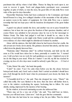parchment that still lay where it had fallen. Thence he flung his torch upon it, nor went to recover it again. Torch and plague-laden parchment were consumed together, in spite of which, so runs the story, the good folk of Città della Pieve went wide of the spot for days thereafter.

Meanwhile Madonna Fulvia had been conducted to the Communal, and found herself housed in a long, low-ceilinged chamber of the mezzanine of the old palace, an austere room in the matter of equipment, for Città della Pieve was a modest township that had not kept pace with the luxurious development of the great Italian **States** 

A guard was placed outside the door, and another was set to pace beneath her windows; but at least she was given the freedom of that spacious chamber, and of course Mario was admitted to her presence since he was to be her messenger to Matteo Orsini. The Duke had judged it well that it should be so, since to the testimony of such letters as she might write Mario would add the confirmation of his own evidence of a fact which might be disbelieved if related by another.

Alone with his mistress, this frail child whom he had known from her cradle, the old servant now broke down utterly. His grimness deserted him utterly, and the tears rolled down his ghastly furrowed face.

"Madonna mine! Madonna mine!" he sobbed brokenly, and held out his old arms as if he would have taken her to them, paternally to comfort her. "I warned you. I told you here was no work for such gentleness as yours. I implored you to let me do this thing in your stead. What do I matter? I am old; my life has reached its evening; my loss of a few days more would be nobody's gain. But you . . . O God of Pity!"

"Calm, Mario! Be calm," she bade him gently.

"Calm?" he cried. "Can I be calm when before you lies the choice between betrayal and death, and, Gesù! such a death. Had I carried an arbalist I should have put a bolt through his devil's heart when he pronounced your doom; the fiend, the monster!"

"A beautiful devil he is," she said. Then she dropped her voice. "Mario!" she called him softly. Her eyes flashed to the door, then she drew still farther from it, over to the window overlooking the square, beckoning him to follow. He went silently, staring, impressed by the mystery of her bearing.

By the window, in lowered murmuring accents she addressed him.

"There may yet be a way out of this," she said. "You shall bear no letters, because you will need none. Listen now." And she gave him her commands.

By the time she had done he was staring at her, his jaw fallen. Then he stirred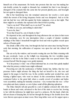himself out of his amazement. He broke into protests that she was but making her ruin doubly certain; he sought to dissuade her, reminded her that it was through a disregard of his counsels that she came into her present ghastly pass, and besought her not again to disregard them.

But in her headstrong way she remained unmoved, her resolve a rock upon which the torrent of his loving eloquence broke and was dissipated. And so in the end she had her way with him against his better judgment, even as last night. That there might be no mistake she repeated all to him in brief at parting.

"And to my lord? What shall I say to my lord?" he asked.

"As little as you can, and nothing to alarm him."

"I am to lie, then."

"Even that if need be, out of charity to him."

He departed at last, and throughout the long afternoon she sat alone in that room of the mezzanine, save for one interruption when a couple of slender vermilion striplings of the Duke's household brought her food and wine in golden vessels upon salvers of beaten gold.

She drank a little of the wine, but though she had not eaten since leaving Pievano early that morning, the suffocation of suspense was upon her and she refused all food.

She sat on by the window, and towards evening she saw the Duke returning with his gay cavalcade. Later, as the twilight was deepening, the two vermilion pages returned to bid her in the Duke's name to the supper that was spread below. She excused herself. But the pages were gently insistent.

"It is his potency's wish," one of them informed her, in a tone that quietly implied that what his potency wished none might withstand.

Perceiving not only the uselessness of further denial, but, further, that her very presence below might advance the thing she had set herself to do, she rose and signed to the pages to lead the way. In the corridor another pair awaited her, each bearing a lighted taper, who went on ahead. In this ceremonious fashion was she conducted below to the great hall, where a courtly crowd of cavaliers and ladies were assembled, making her instantly conscious—very woman that she was—of her own plain and dusty raiment, so out of place amid all this glittering splendour.

The Duke himself, tall and graceful in a suit of sulphur-coloured silk with silver bands at throat and waist, advanced to the foot of the stairs to receive her, bowing to her with the deference he might have used to a princess. By the hand, which she did not dream of denying him, he led her through the throng to the double doors that were thrown open upon an inner room. Here long tables were set for supper upon a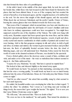dais that formed the three sides of a parallelogram.

At the table's head, in the middle of the short upper limb, he took his seat with her beside him, whilst those who had trooped in after them found for themselves the places that had been allotted them. It was as if the company had but awaited the arrival of herself as of an honoured guest, and the vengeful mockery of it stabbed her to the soul. Yet she strove that naught of this should appear, and she succeeded. White-faced she sat between Valentinois and the portly Capello, Orator of Venice, braving the curious glances that were flashed towards her from every side.

That room of the Communal, which in normal times was bare and cheerless as a barn, had been transmogrified under the deft hands of Cesare's familiars until none who knew its ordinary appearance could now have recognized it. You might have supposed yourself in one of the chambers of the Vatican. The walls were hung with costly arras, Byzantine carpets had been spread upon the stone floor, and the tables themselves gleamed and flashed with broidered naperies, vessels of gold and silver, costly crystal and massive candlesticks in which candles of painted and scented wax were burning. Add to this that gorgeous company in silk and velvet, in cloth of gold and silver, in ermines and miniver, the women in gem-encrusted bodices and jewelled hair-nets, the flock of splendidly liveried servants below the dais, the cloud of fluttering pages, and you will understand how Madonna Fulvia reared far from the world of courts in the claustral seclusion of Pievano, was dazzled by the spectacle.

From a fretted gallery above the doorway came a sound of lutes, archlutes and viols, and under cover of the music—his voice so melodious that it almost seemed to sing to it—the Duke addressed her.

"I rejoice for you, Madonna," he said, "that here is spread no nuptial feast."

She looked at him, and shivered slightly as she turned away again.

"It would break my heart," he pursued on that murmuring, caressing note of his that lent his voice a wooing quality, "it would break my heart to see so much beauty delivered into the arms of foul infection. Hence do I fervently pray that Matteo Orsini comes to-night."

"And for no other reason?" she asked him scornfully, stung by what seemed to her such stark hypocrisy.

He smiled, his beautiful sombre eyes enveloping her white face in their regard. "I confess the other," he admitted, "but I swear as I am living man and worship all things lovely, the reason that I gave weighs the heavier." He sighed. "It is to save you that I pray Matteo Orsini may come to-night."

"He will come," she answered him. "Have no doubt of that."

"He owes no less to his manhood," he said quietly. Then turned his attention to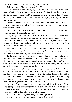more immediate matter. "You do not eat," he reproved her.

"I should choke, I think," she answered frankly.

"A cup of wine at least," he urged, and signed to a cellarer who bore a gold vessel of soft Puglia wine. But, seeing her gesture of refusal, he put forth a hand to stay the servant's pouring. "Wait," he said, and beckoned a page to him. "A mossagate cup for Madonna Fulvia, here," he bade the stripling, and the page vanished upon his errand.

Madonna's lip curled a little. "There is no need for the precaution," she said for moss-agate cups were said to burst if poison touched them—"I neither suspect venom nor do I fear it."

"So much I might have known," he answered, "since you have displayed yourself so subtly learned in the uses of it."

He spoke quietly and gravely, but at the words she felt herself go hot and cold at once. A scarlet wave suffused her face, then ebbed, to leave it deathly pale. His words made her perhaps realize that she had no just cause for grievance; she was a poisoner caught *flagrante*, and the steely treatment he meted out to her in his silken fashion was no more than her desert.

Back came the page with the gleaming moss-agate cup, which he set down before her. The waiting cellarer brimmed it at a sign from him, and his glance now inviting her she drank to steady her sudden weakness.

But the meats they placed before her continued unheeded, nor did she thereafter heed the Duke when he leaned aside to mock her still with that dread gentleness of his. Her staring eyes were set expectantly upon the doors at the room's end. It waxed late, and her impatience mounted. Why did they not come, and thus put an end to the unbearable strain of suspense that racked her very soul?

Came pages now with silver basins, ewers, and napkins. Gallants and ladies dipped their hands and washed their fingers against the serving of the sweetmeats, and then without warning—but obeying, no doubt, the orders that the Duke had left —those portals upon which Madonna's eyes had so long been fastened swung open, and between two men-at-arms in steel she beheld her clay-faced equerry, the faithful Mario, haggard and dust-stained, returned at last.

The hum of conversation sank down and was stilled as the sturdy fellow advanced up the long room between the tables and came, still flanked by his guards, to stand immediately before the Duke. Not to the Duke, however, but to Madonna Fulvia did he address himself when at length he spoke.

"Madonna, I have done your bidding. I have brought Ser Matteo."

A silence followed and a pause, ended at last by Cesare's short laugh.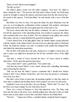"Body of God! Did he need bringing?"

"He did, my lord."

The Duke's glance swept over the noble company. "You hear," he called to them, raising his voice. "You perceive the lofty spirit of these Orsini. An Orsini must needs be brought to ransom his mistress and kinswoman from the fate decreed her." He turned to the equerry. "Fetch him hither," he said shortly, with a wave of his fine hand.

But Mario was slow to obey. Not upon the Duke but upon Madonna were his eyes set, as if awaiting her confirmation of that command. She nodded, whereupon he turned and strode down the room again upon his errand and so out.

The doors closed after him, but the silence continued. No man or woman there but felt the oppression of the impending drama, but awaited in suspense the climax and conclusion that were close at hand. The very minstrels in the gallery had ceased their music, and not a sound disturbed the general brooding hush.

Cesare leaned back in his high gilded chair, his slender fingers toying delicately with the strands of his auburn beard, his narrowed eyes glancing aslant at Madonna Fulvia. He found her manner very odd. It contained some quality that intrigued him, and eluded his miraculous penetration.

She sat there with ashen face and wide, staring eyes; so might a corpse have sat, and a corpse you might have deemed her but for the convulsive heave of her slight bosom.

And then a sound of voices beyond the door—of voices raised in sudden altercation—broke upon the general expectancy.

"You cannot enter!" came a gruffshout. "You cannot take . . ."

And then they heard Mario's voice, harsh, vibrant and compelling, interrupting and overbearing the objector.

"Did you not hear the Duke's express commands that I should bear Matteo Orsini to him? I have Matteo Orsini here, and I but obey his potency's commands. Out of my way, then."

But other voices broke in upon him, all speaking together so that they made no more than a confused and bawling chorus whose purport was not to be discerned.

Suddenly Cesare rose in his place, his eyes flaming. "What's this?" he cried. "By the Host! am I kept waiting? Set me wide those doors!"

There was a scurry of lacqueys to obey that imperious voice. The Duke sank back into his chair as the doors were violently pulled open. Beyond it a line of a halfdozen men-at-arms made a screen that concealed whatever lay behind them.

"My lord . . ." began one of these, a grizzled antient, raising his hand in appeal.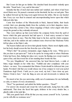But Cesare let him get no further. His clenched hand descended violently upon the table. "Stand back, I say, and let him enter."

Instantly that line of steel-clad men melted and vanished, and where it had been stood Mario now. He paused a moment on the threshold, his face set and grim. Then he stalked forward up the long room again between the tables. But no one heeded him. Every eye was fixed in amazed and uncomprehending horror upon that which followed after him.

Came four brothers of the Misericordia in black, funereal habits, their heads cowled, their eyes gleaming faintly from the eyeholes cut in their shapeless vizors. Among them they carried a bier, whose trappings of black velvet edged with silver swept the ground as they solemnly advanced.

They were midway up that room before the company broke from the spell of horror which this grim spectacle had laid upon it. A loud outcry seemed to burst from every throat at once. Then the Duke leapt to his feet, and the whole company with him, and in the sudden stir and confusion none observed that Madonna Fulvia left her place at the Duke's side.

The bearers halted and set down their ghastly burden. Mario stood slightly aside, lest his body should screen the bier from the eyes of the Duke.

"What's this?" his potency demanded, anger ringing in his voice. "What jest is this you dare to put upon me?" And as he spoke he swung aside to where Madonna Fulvia had been, then, finding her place now vacant, his flaming eyes swept round in quest of her, and discovered her at last standing there beside the bier.

"No jest, Magnificent," she answered him, her head thrown back, a smile of bitter, tragic triumph on her white face. "Faithful and utter compliance with your behest—no more. You commanded that Matteo Orsinishould be delivered into your hands. Provided I did that you would release me of my compact to wed your jackal Pantaleone degli Uberti. I hold you to your word, my lord. I have done my part. Matteo Orsini is here." And she flung an arm out and downwards to indicate the bier.

He stared at her, his eyes narrowing, oddly out of countenance for one habitually so calm, so master of every circumstance.

"Here?" he questioned, and added the further question—"Dead?"

For answer she stooped and swept the velvet pall aside, laying bare the coffin underneath. That done she faced him again, defiance in her every slender line, a ghastly smile on her pale lips.

"Bid your guards hack off the lid that you may assure yourself 'tis he. I promise you he will offer no resistance now."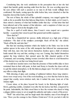Considering him, she took satisfaction in the perception that at last she had wiped that hateful, gently mocking smile from his face. He was scowling upon her, his eyes ablaze with such a passion as no man in all Italy would willingly have confronted. His hands, resting upon the table before him, were clenched so that the knuckles showed like knobs of marble.

The rest of them, the whole of that splendid company, was ranged against the walls as far as possible from that hideous thing below. In their minds, as in Cesare's, there stirred a memory of what had befallen earlier that day—of that letter that had been infected and of the manner of that infection—and a suspicion of what was yet to follow began to form in the thoughts of all.

Thus for a spell of awful silence, then Cesare's voice rasped out a question harshly—a question that voiced in part that general and terrible suspicion:

"How died he?"

Came like a thunderbolt her answer, shrilly delivered on a high note of fierce exaltation—"He died of the smallpox yesternight. Hack off the lid," she added. "Hack off the lid, and take him."

But that last mocking invitation which she hurled at the Duke was lost in the sudden uproar in the noise of the wild stampede that followed her announcement. Mad with fear, men who had shown themselves fearless upon a field of stricken battle turned this way and that, seeking a way out. Cursing, they hurled themselves against the long windows that opened upon the little claustral garden of the Communal, and screaming, fainting women crowded after them to avail themselves of this shortest way out that was being forced open.

It would have needed more even than the presence of that terrible duke to have restrained them in their wild panic, in their mad frenzy to breathe the clean cold air, to quit this tainted atmosphere, to fly this hideous plague-spot. Nor did Cesare make any effort to delay their flight.

With shivering of glass and crashing of splintered timbers those long windowdoors were swept away. Out of the room headlong, as a river that has burst its dam, surged that courtly, terror-stricken mob; into it rushed the pure, keen air of the January night.

Cesare alone, at his place beyond the board, in the flickering light of windblown, guttering candles, remained even after the last lackey had fled, conquered by his panic. Indomitable, the Duke stood there to face the woman who dared to bring a plague-ridden corpse to set at naught his authority and make a mock of his power.

"Well?" she asked him, and her laugh made him shudder, man of iron though he was. "Have you the courage to face Matteo Orsini now? Or do you lack it still, for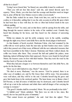all that he is dead?"

"Living I never feared him," he blazed out, unworthily it must be confessed.

"Then you will not fear him dead," said she, and turned fiercely upon her equerry. "Here, Mario, you who have had the scourge and therefore need no longer fear it, prize off this lid. Give Matteo room to strike even in death."

But the Duke waited for no more. Panic took him, too; and he was known to confess to it thereafter, adding that it was the only occasion in all his life upon which he had been face to face with fear, he who so often had looked death in the eyes without quailing.

"Blood of God!" he cried, and on that fierce oath he sprang from the table, and flung through the nearest window in the wake of his vanished court. Outside they heard him shouting for his horse, and they heard too the clamour of answering voices.

Within ten minutes he and his noble company were in the saddle, scudding through the night away from Castel della Pieve and the dread plague it harboured.

As that thunder of hoofs receded, Madonna Fulvia, who had remained by the coffin with no word spoken, bade the men take up their burden once more. Laden with it they passed out of that room, all littered with the now unheeded treasures that had been assembled in the Duke's honour. Madonna and Mario walked ahead, the coffin was borne after them. They crossed the hall and quitted the palace, none hindering, indeed all fleeing before their approach. Horses were found for herself and Mario; the bearers came on foot with their burden. Thus they took the road by the marshes back to Pievano in the dark.

When they had put a league or so between themselves and Città della Pieve, she spoke for the first time.

"How was it with Giuberti to-day, Mario?" she asked.

"He died at noon, Madonna," was the answer. "God be praised, there is no other case of smallpox yet, and by His Grace there will be none. Our precautions were well taken, and they will be to the end. Colomba herself dug his grave and gave him burial deep in the enclosed garden. The lazar-house was in flames when I left Pievano, so that all source of infection may be destroyed, and Colomba herself will set up a tent in the enclosure and abide there until all danger of her carrying the scourge is overpast."

"The good Colomba shall be rewarded, Mario. We are profoundly in her debt."

"A faithful soul," Mario admitted. "But there was no risk to her, since, like myself, she too has paid the price of immunity."

"That cannot lessen our gratitude," she said. And then she sighed. "Poor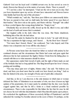Giuberti! God rest his loyal soul! A faithful servant ever, he has served us even in death. Heaven has blessed us in the matter of servants, Mario. There is yourself . . ."

"I? I am but a clod," he interrupted. "I had not the wit to trust you to-day. Had you been dependent upon my service all must have miscarried and Heaven knows what fatality had been the end of this adventure."

"Which reminds me," said she, "that these poor fellows are unnecessarily laden. We have no pursuit to fear, and we shall make the better speed if we ease them of their burden." She drew rein as she spoke, and Mario with her. "Enough!" she called to those cowled figures that swung along behind her. "Empty it out."

Obediently they set down the coffin, forced up the lid, tilted it over, and rolled out the load of earth and stones that it contained.

She laughed softly in the dark when this was done. But Mario shuddered, bethinking him of the risk she had taken.

"God and His saints be thanked he did not dare to look," he said with fervour. "He has a reputation for high courage, and I feared. . . . By the Host! how I feared!"

"Not more than I feared, Mario," she confessed, "but I also hoped; and if the chance was a desperate one it was still the only chance."

At Pievano some hours later she found her father so racked with anxiety by her continued absence and the circumstance that Mario had come and gone again that afternoon that he had summoned the fugitive Matteo Orsini from his hiding-place to consult with him as to what measures should be taken.

Her appearance ended their travail of spirit, and the sight of them made an end of the fortitude that had so long upheld her. She flung herself upon her lover's breast, panting and trembling.

"You may sleep quiet now of nights, Matteo mine," she said. "He believes you dead, and fears you dead more than he could ever have feared you living." And on that she fainted in his arms, her strength of body and ofspirit alike exhausted.

And that, so far as I can discover, is the only instance in which man or woman defeated the Duke of Valentinois in an encounter of wits; nor does it lessen my high opinion of his penetration, for it must surely be admitted that the dice were heavily cogged against him, and that he fell a victim to a fraud rendered possible by circumstances. There is also responsible for this failure the fact that for once he did not choose his tool with that discrimination which Macchiavelli enjoins upon princes. He overlooked the significance of those excessively full lips of Pantaleone's and left unheeded the warning Fra Serafino uttered on the score of them. Or perhaps, on the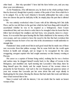other hand . . . But why speculate? I have laid the facts before you, and you may draw your own inferences.

As for Pantaleone, if he still interests you, he fared on the whole perhaps better than he deserved, though that is purely a matter of the point of view from which he is to be judged. For, as the Lord Almerico's favourite philosopher has said, a man does not choose the part he shall play in life, he simply plays the part that is allotted to him.

He was entirely overlooked when Cesare with all his following left Città della Pieve, and he was left there in the gaol into which he had been flung until it should be ascertained whether he was to be required as a bridegroom. Anon Cesare remembered him, and was about to order him to be strangled when he learnt that the fellow had developed the smallpox and had been, very properly, taken to a lazarhouse. It is recorded that upon hearing this the Duke shuddered at the memory of his own escape, and was content to leave the rascal to the fate that had overtaken him —perhaps because he knew of no one who in the circumstances would undertake to strangle him.

Pantaleone's lusty youth stood him in such good stead that he made one of those rare recoveries from that pitiless scourge. But he came forth into the world again broken in health and strength, and no longer to be recognized for the same swaggering, arrogant captain who had sought sanctuary on that January evening at Pievano.

His career as a captain of fortune being ended, realizing that he was a broken and useless man, he dragged himself wearily back to the village of Laveno in the Bolognese, and stumbled one April morning into Leocadia's wine-shop; there he flung himself upon the charity and the ample bosom of the woman whom in prosperity he had forsaken. And such is the ever-forgiving and generous nature of your true woman that Leocadia put her arms about him and wept silently in thanksgiving for his return, blessing the disease that had made him weak and hideous since it had restored him to her.

Since it sorted well with his interest, I do not doubt that he made an honest woman of her.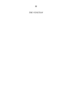*THE VENETIAN*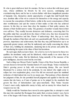H<sup>E</sup> who is great shall never lack for enemies. He has to reckon first with lesser great ones, whose ambitions he thwarts by his own success, outstripping and overshadowing them; and he has to reckon further with those insignificant parasites of humanity who, themselves utterly unproductive of aught that shall benefit their race, destitute alike of the wit to conceive for themselves or the energy and capacity to execute the conceptions of their betters, writhe in the secret consciousness of their utter worthlessness and spit the venom of their malice at him who has achieved renown. In this they no more than obey the impulses of their paltry natures, the dictates of their foolish narrow vanity. The greatness of another wounds them in their own self-love. They readily become detractors and defamers, conceiving that if in the public mind they can pull down the object of their envy, they have lessened the gulf between themselves and him. Fluent—if undeceiving—liars, they go to work through the medium of that their sole and very questionable gift. They lie of their own prowess, importance and achievement, that thus they may puff themselves up to an apparently greater stature, and they lie maliciously and cruelly concerning the object of their envy, belittling his attainments, slandering him in his private and public life, and smothering his repute in the slime of their foul inventions.

By such signs shall you know them—for a fool is ever to be known by those two qualities: his inordinate vanity and his falsehood, which usually is no more than an expression of that vanity. But his falsehood, being naturally of the measure of his poor intelligence, deceives none but his own kind.

Such a thing was Messer Paolo Capello, Orator of the Most Serene Republic, a servant chosen to forward the Venetian hatred of Cesare Borgia. Venice watched the Duke's growing power in Italy with ever-increasing dismay. She saw herself threatened by a serious rival in the peninsula, by one indeed who might come to eclipse her own resplendent glory, even if he did not encroach upon her mainland territories of which indeed she was by no means sure. That jealousy of hers distorted her judgment of him, for she permitted herself judgment and applied to him the only canons that she knew, as if men of genius are to be judged by the standards that govern the lives of haberdashers and spice-merchants. Thus Venice became Cesare's most crafty, implacable enemy in Italy, and an enemy for whose hand no weapon was too vile.

Gladly would the Venetians have moved in arms against him, to attempt to crush this man who snatched the Romagna from under their covetous traders' eyes; but in view of the league with France they dared not. Yet what they dared they did. They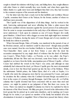sought to disturb his relations with King Louis, and failing there, they sought alliances with other States to which normally they were hostile, and when there again they failed, thanks to a guile more keen and intelligent than their own, they had recourse to the common weapons of the assassin and the slanderer.

For the latter task they had a ready tool in that ineffable and worthless Messer Capello, sometime their Orator at the Vatican; for the former, another of whom we shall hear more presently.

This Capello was of the slipperiness of all slimy things. And he worked in the dark, burrowing underground and never affording the Duke a plain reason that should have justified extreme measures against the sacred person of an ambassador. How he came to escape assassination in the early days of his infamous career I have never understood. I look upon its omission as one of Cesare Borgia's few really great blunders. A hired bravo with a dagger on some dark night might have stemmed that source of foulness, leaving the name of Cesare Borgia and of every member of his family less odious to posterity.

When Giovanni Borgia, Duke of Gandia, was murdered in the pursuit of one of his frivolous amours, and no murderer could be discovered—though many possible ones were named, from his own brother Gioffredo to Ascanio Sforza, the Cardinal Vice-Chancellor—there came at last from Venice a year after the deed the accusation unsupported by any single shred of evidence that the deed of fratricide was Cesare's. When Pedro Caldes—or Perrotto, as he was called—the Pope's chamberlain, fell into the Tiber and was drowned, came from Venice a lurid tale supplied as we know from the fertile, unscrupulous pen of Messer Capello—of how Cesare had stabbed the wretch in the Pope's very arms; and although no man admittedly had witnessed the deed, yet Messer Capello gave the most circumstantial details, even to how the blood had spurted up into the face of his Holiness. When the unfortunate Turkish prince, the Sultan Djem, died of a colic at Naples, it is Capello who starts the outrageous story that he was poisoned by Cesare, and again he circulates the like calumny when the Cardinal Giovanni Borgia succumbed to a fever in the course of a journey through Romagna. And if this were all—or if all the calumny that Capello invented had been concerned with no more than steel and poison—we might be patient in our judgment of him. But there was worse, far worse. There was indeed no dunghill of calumny too foul to be exploited by him in the interests of the Most Serene. His filthy pen grew, fevered in the elaboration of the lewd gossip that he picked up in curial ante-chambers, and in marking out Cesare Borgia for its victim, it yet spared no member of his family but included all in the abominations it invented or magnified. Most of them have passed into history where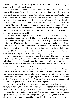they may be read, but not necessarily believed. I will not sully this fair sheet nor your decent mind with their recapitulation.

Thus was it that Messer Paolo Capello served the Most Serene Republic. But because his services, frenzied though they were, seemed slow to bear the fruit which the Most Serene so ardently desired, other and more direct methods than those of calumny were resolved upon. The Venetians took this resolve in mid-October of the year 1500 of the Incarnation and VIII of the Papacy of Roderigo Borgia, who ruled from the Chair of St. Peter as Alexander VI; and what urged them to it was to see Pandolfo Malatesta, whom they had protected, driven out of his tyranny of Rimini, and that tyranny of his, which they had coveted, pass by right of conquest—based upon certain legal papal rights—into the possession of Cesare Borgia, further to swell his dominions and his might.

The Most Serene Republic conceived that the hour had come for sharper measures than such as were afforded her by the scurrilous gleanings and inventions of her Orator. As her agent in this sinister affair she employed a patrician who held the interests of Venice very dear; a man who was bold, resolute and resourceful, and whose hatred of the Duke of Valentinois was notoriously so intense as to seem an almost personal matter. This man—the Prince Marcantonio Sinibaldi—she dispatched to Rimini as her envoy-extraordinary for the express purpose, ostensibly, of conveying her lying felicitations to the Duke upon his conquest.

As if to emphasize the peaceful and friendly character of his mission, Sinibaldi was accompanied by his princess, a very beautiful and accomplished lady of the noble house of Alviano. The pair made their appearance in Rimini surrounded by a pomp and luxury of retinue that was extraordinary even for the pompous and wealthy Republic which they represented.

The princess was borne in a horse-litter carried by two milk-white Barbary jennets, whose embroidered trappings of crimson velvet swept the ground. The litter itself was a gorgeous construction, gilded and painted like a bride's coffer and hung with curtains that were of cloth of gold, upon each of which was woven in red the device of the winged lion of St. Mark. About this litter swarmed a host of pages, all of them lads of patrician estate, in the livery of the Republic.

There were mounted Nubian swordsmen in magnificent barbaric garments, very terrifying of aspect; there were some dozen turbaned Moorish slaves on foot, and finally there was a company of a score of arbalisters on horseback as a bodyguard of honour for the splendid prince himself. The prince, a handsome, resplendent figure, towered upon a magnificent charger with a groom trotting afoot at either of his stirrups. After him came a group of his personal familiars—his secretary, his venom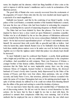taster, his chaplain and his almoner, which last flung handfuls of silver coins at the mob to impress it with his master's munificence and to excite its acclamations of his illustrious person.

The good folk of Rimini who were scarcely recovered from the excitements of the pageantry of Cesare's State entry into the city were dazzled and dazed again by a spectacle of so much magnificence.

Sinibaldi was housed—and this by the contriving of our friend Capello—in the palace of the Lord Ranieri, a sometime member of the banished Malatesta's council, but none the less one of those who had been loudest in welcoming the conqueror Cesare, acclaiming him in a speech of surpassing eloquence as Rimini's deliverer.

The Duke had not been deluded by these fine phrases. Far from it, he was inspired by them to have a close watch set upon Malatesta's sometime councillor. Neither was he at all deluded by the no less fine phrases of felicitations addressed him on behalf of the Most Serene by her envoy extraordinary Sinibaldi. He knew too much—for he had received superabundant proof—of Venice's real attitude towards himself. He answered them with words fully as graceful and fully as hollow. And when he learnt that, under himself, Ranieri was to be Sinibaldi's host in Rimini, that both these nimble phrase-makers were to lie under one roof, he bade his secretary Agabito see to it that the vigilance under which that palace was already kept should be increased.

To meet Sinibaldi it must be confessed that Ranieri—a portly, florid gentleman with a bright and jovial blue eye, the very antithesis in appearance to the conspirator of tradition—had assembled an odd company. There was Francesco d'Alviano, a younger brother of that famous soldier, Bartolomeo d'Alviano, than whom it was notorious that the Duke had no more implacable enemy; there was the young Galeazzo Sforza of Catignola, bastard brother to Giovanni Sforza, the divorced husband of Cesare's lovely sister Lucrezia, lately dispossessed by the Duke of his tyranny of Pesaro; and there were four others, three patricians, who are of little account, and lastly Pietro Corvo, that notorious, plebeian Forlivese scoundrel who under the name of Corvinus Trismegistus had once to his undoing practised magic. In spite of all that already he suffered by it he could not refrain from thrusting himself into the affairs of the great and seeking to control the destinies of princes.

Now no man knew better than the astute and watchful Duke of Valentinois the art of discovering traitors. He did not wait for them to reveal themselves by their actions—for he knew that by then it might be too late to deal with them. He preferred to unmask their conspiracies whilst they were maturing. And of all the methods that he employed the one to which he trusted most, the one which most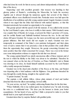often had done his work for him in secrecy and almost independently of himself, was that of the decoy.

Suspecting—and with excellent grounds—that treason was hatching in that gloomy palace of Ranieri's, overlooking the Marecchia, he bade his secretary Agabito put it abroad through his numerous agents that several of the Duke's prominent officers were disaffected towards him. Particular stress was laid upon the disaffection of an ambitious and able young captain named Angelo Graziani, towards whom it was urged that the Duke had behaved with marked injustice, so that this Graziani notoriously but awaited an opportunity to be avenged.

This gossip spread with the speed of all vile rumours. It was culled in the taverns by the Lord Ranieri's spies, who bore it swiftly to their master. With Graziani's name was coupled that of Ramiro de Lorqua, at present the Duke's governor of Cesena, and for awhile Ranieri and Sinibaldi hesitated between the two. In the end their choice fell upon Graziani. De Lorqua was the more powerful man and wielded the greater influence. But their needs did not require so much. Graziani was now temporarily in command of the Duke's own patrician bodyguard, and their plans were of such a nature that it was precisely a man in that position who could afford them the opportunity they sought. Moreover, the gossip concerning Graziani was more positive than that which concerned De Lorqua. There was even in the former case some independent evidence to support the tale that was abroad.

The young captain himself was utterly unconscious alike of these rumours and of the test to which his fidelity to the Duke was about to be submitted. Therefore he was amazed when on the last day of October, as Prince Sinibaldi's visit to Rimini was drawing to its close, he found himself suddenly accosted by the Lord Ranieri with a totally unexpected invitation.

Graziani was in the ducal ante-chamber of the Rocca at the time, and Ranieri was departing after a brief audience with his Highness. Our gentleman threaded his way through the courtly throng, straight to the captain's side.

"Captain Graziani," he said.

The captain, a tall, athletic fellow, whose plain raiment of steel and leather detached him from his silken surroundings, bowed stiffly.

"At your service, my lord," he replied, addressing Ranieri thus for the first time.

"Prince Sinibaldi, who is my exalted guest, has remarked you," he said, lowering his voice to a confidential tone. "He does you the honour to desire your better acquaintance. He has heard of you, and has I think a proposal to make to you that should lead to your rapid advancement."

Graziani taken thus by surprise flushed with gratified pride.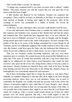"But I am the Duke's servant," he objected.

"A change may commend itself to you when you learn what is offered," replied Ranieri. "The prince honours you with the request that you wait upon him at my house at the first hour of night."

A little dazzled and flustered by the invitation, Graziani was surprised into accepting it. There could be no harm, no disloyalty to his Duke, he reasoned in that brief moment of thought, in hearing what might be this proposal. After all the exchange of service was permissible in a soldier of fortune. He bowed his acknowledgment.

"I will obey," he said, whereupon with a nod and a smile Ranieri went his ways.

It was only afterwards when Graziani came to consider the matter more closely that suspicion and hesitation were aroused in him. Ranieri had said that the prince had remarked him. How should that have happened since, as he now reflected, he had never been in Sinibaldi's presence? It was odd, he thought; and his thoughts, having started upon such a train as this, made swift progress. He knew enough of the politics of his day to be aware of the feelings entertained for Cesare Borgia by all Venetians; and he was sufficiently equipped with worldly wisdom to know that a man who, like Ranieri, could fawn upon the Duke who had dethroned that Malatesta in whose favour and confidence he had so lately stood, was not a man to be trusted.

Thus you see Graziani's doubts becoming suspicions; and very soon those suspicions grew to certainty. He scented treason in the proposal that Sinibaldi was to make him. If he went, he would most probably walk into a trap from which there might be no withdrawal; for when traitors reveal themselves they cannot for their own lives'sake spare the life of one who, being invited, refuses to become a party to that treason. Already Graziani saw himself in fancy with a hole in his heart, his limp body floating seaward down the Marecchia on the ebbing tide. Ranieri's house, he bethought him, was conveniently situated for such measures.

But if these forebodings urged him to forget his promise to wait upon Prince Sinibaldi, yet ambition whispered to him that after all he might be the loser through perceiving shadows where there was no real substance. Venice was in need of condottieri; the Republic was wealthy and paid her servants well; in her service the chances of promotion might be more rapid than in Cesare Borgia's, since already almost every captain of fortune in Italy was serving under the banner of the Duke. It was possible that in this business there might be no more than the Lord Ranieri had stated. He would go. Only a coward would remain absent out of fears for which grounds were not clearly apparent. But only a fool would neglect to take his measures for retreat or rescue in case his suspicions should be proved by the event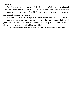well-founded.

Therefore when on the stroke of the first hour of night Captain Graziani presented himself at the Ranieri Palace, he had ambushed a half-score of men about the street under the command of his faithful antient Barbo. To Barbo at parting he had given all the orders necessary.

"If I am in difficulties or in danger I shall contrive to smash a window. Take that for your signal, assemble your men, and break into the house at once. Let one of your knaves go round and watch the windows overlooking the Marecchia, in case I should be forced to give the signal from that side."

These measures taken he went to meet the Venetian envoy with an easy mind.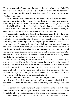THE young condottiero's tread was firm and his face calm when one of Sinibaldi's turbaned Moorish slaves, into whose care he had been delivered by the lackey who admitted him, ushered him into the long low room of the mezzanine where the Venetian awaited him.

He had deemed the circumstance of the Moorish slave in itself suspicious; it seemed to argue that in this house of the Lord Ranieri's the prince was something more than guest since his servants did the offices of ushers. And now, as he stood on the threshold blinking in the brilliant light of the chamber, and perceived that in addition to the prince and the Lord Ranieri there were six others present, he conceived it certain that his worst suspicion would be here confirmed.

This room into which he now stepped, ran through the entire depth of the house, so that its windows overlooked the street at one end and the River Marecchia, near the Bridge of Augustus, at the other. It had an air at once rich and gloomy; the walls were hung with sombre tapestries, the carpets spread upon the floor of wood mosaics were of a deep purple that was almost black, and amid its sparse furnishings there was a deal of ebony looking the more funereal by virtue of its ivory inlays. It was lighted by an alabaster-globed lamp set high upon the ponderous overmantel and by silver candle-branches on the long table in mid-apartment about which the company was seated when Graziani entered. An enormous fire was roaring on the hearth, for the weather had lately set in raw and cold.

As the door was softly closed behind Graziani, and as he stood adjusting his eyes to the strong light, the Lord Ranieri stepped forward with purring words of welcome, too cordial from one in his lordship's position to one in Graziani's. With these he conducted the captain towards the table. From his seat at the head of it rose a tall and very stately gentleman with a long olive countenance that was rendered the longer by a brown pointed beard, who added a welcome of his own to the welcome which the Lord Ranieri had already uttered.

He was dressed all in black, but with a rare elegance, and upon his breast flashed a medallion of diamonds worth a nobleman's ransom. Graziani did not require to be told that this was Prince Sinibaldi, the envoy-extraordinary of the Most Serene.

The condottiero bowed low, yet with a soldierly stiffness and a certain aloofness in his bearing that he could not quite dissemble. He bowed, indeed, as a swordsman bows to his adversary before engaging, and his countenance remained grave and set.

Ranieri drew up a chair for him to the table at which the other six remained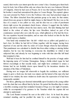seated, their twelve eyes intent upon the new-comer's face. Graziani gave them back look for look, but of them all the only one whose face he new was Galeazzo Sforzak of Catignola, whom he had seen at Pesaro; for it was this Galeazzo himself who in his brother's stead had surrendered the place to Cesare Borgia. The captain's glance was next arrested by Pietro Corvo the Forlivese who once had practised magic in Urbino. The fellow detached from this patrician group as he must, for that matter, detach from any group in which he might chance to find himself. His face was as the face of a corpse; it was yellow as wax, and his skin was as a skin of parchment drawn tight across his prominent cheek-bones, whence it sagged into the hollow cheeks and fell in wrinkles about the lean sinewy neck. His lank thinning hair had faded to the colour of ashes; his lips were bloodless; indeed no part of his countenance seemed alive save only the eyes, which glittered as if he had the fever. He was repulsive beyond description, and no man who looked on him for the first time could repress a shudder.

One hand only remained him—his left—which was as yellow and gnarled as a hen's foot. Its fellow he had left in Urbino together with his tongue, having been deprived of one and the other by order of Cesare Borgia whom he had defamed. That punishment was calculated to disable him from either writing or uttering further slanders; but he was fast learning to overcome the disabilities to which it had subjected him, and already he was beginning to write with that claw-like left hand that remained to him.

Well had it been for him had he confined himself to the practice of magic under his imposing name of Corvinus Trismegistus. Being a fertile-witted rogue he had thriven exceedingly at that rascally trade, and might have continued to amass a fortune had he not foolishly drawn upon himself by his incautious slanders the attention of the Duke of Valentinois.

Having now no tongue left wherewith to beguile the credulous, nor sufficient magic to grow a fresh one, his trade was ruined, and his hatred of the man who had ruined it was virulent, the more virulent no doubt since his expression of it had been temporarily curtailed.

His fierce, glittering eyes fastened mistrustfully upon Graziani as the young soldier took the chair that was offered him by his host. He parted his bloodless lips to make a horrible croaking sound that reminded Graziani of frogs on a hot night of summer, whilst he accompanied it by gestures to the Venetian which the captain did not attempt to understand.

The Lord Ranieri resumed his seat at the table's foot. At its head the prince remained standing, and he pacified the mute by a nod conveying to him the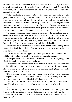assurance that he was understood. Then from the breast of his doublet, two buttons of which were unfastened, the Venetian drew a small crucifix beautifully wrought in ivory upon gold. Holding it between his graceful, tapering fingers, he addressed the condottiero solemnly.

"When we shall have made known to you the reason for which we have sought your presence here to-night, Messer Graziani," said he, "it shall be yours to determine whether you will join hands with us, and lend us your aid in the undertaking which we have in mind. Should you elect not to do so, be your reason what it may, you shall be free to depart as you have come. But first you must make solemn oath engaging yourself neither by word spoken or written, nor yet by deed, to divulge aught to any man of what may be revealed to you of our designs."

The prince paused, and stood waiting. Graziani reared his young head, and he could almost have laughed outright at this discovery of how shrewd and just had been the suspicions that had assailed him. He looked about him slowly, finding himself the goal of every eye, and every countenance alive with a mistrust and hostility that nothing could quiet short of that oath demanded of him.

It comforted him in that moment to think of Barbo and his knaves waiting below in case they should be needed. If Graziani knew men at all, he would be likely to need them very soon, he thought.

Sinibaldi leaned forward supporting himself upon his left hand, whilst with his right he gently pushed the crucifix down the table towards the captain.

"First upon that sacred symbol of Our Redeemer . . ." he was beginning, when Graziani abruptly thrust back his chair and rose.

He knew enough. Here for certain was a conspiracy against the State or against the life of his lord the Duke of Valentinois. It needed no more words to tell him that. He was neither spy nor informer, yet if he heard more and then kept secret he would himself be a party to their treason.

"My lord prince," he said, "here surely is some mistake. What you may be about to propose to me I do not know. But I do know—for it is abundantly plain—that it is no such proposal as my Lord Ranieri had led me to expect."

There was a savage incoherent growl from the mute, but the others remained watchfully silent, waiting for the soldier to proceed, since clearly he had not yet done.

"It is not my way," he proceeded gravely, "to thrust myself blindly into any business, and make oath upon matters that are unknown to me. Suffer me therefore to take my leave of you at once. Sirs," he included the entire company in his bow, "a happy night."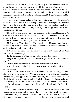He stepped back from the table clearly and firmly resolved upon departure, and on the instant every man present was upon his feet and every hand was upon a weapon. They were rendered desperate by their realization of the mistake that had been made. That mistake they must repair in the only way that was possible. Ranieri sprang away from the foot of the table, and flung himself between the soldier and the door, barring his exit.

Checked thus, Graziani looked at Sinibaldi, but the smile upon the Venetian's saturnine countenance was not reassuring. It occurred to the captain that the time had come to break a window as a signal to Barbo, and he wondered would they prevent him from reaching one. First, however, he made appeal to Ranieri who stood directly in his way.

"My lord," he said, and his voice was firm almost to the point of haughtiness, "I came hither in friendliness, bidden to your house with no knowledge of what might await me. I trust to your honour, my lord, to see that I depart in like case—in friendliness, and with no knowledge of what is here toward."

"No knowledge?" said Ranieri, and he laughed shortly. His countenance had lost by now every trace of its habitual joviality. "No knowledge, eh? But suspicions, no doubt, and these suspicions you will voice . . ."

"Let him take the oath," cried the clear young voice of Galeazzo Sforza. "Let him swear to keep silent upon . . ."

But the steely accents of Sinibaldi cut in sharply upon that speech.

"Do you not see, Galeazzo, that we have misjudged our man? Is not his temper plain?"

Graziani, however, confined his glance and his insistence to Ranieri.

"My lord," he said again, "it lies upon your honour that I shall go forth in safety. At your bidding . . ."

His keen ears caught a stealthy sound behind him, and he whipped round sharply. Even as he turned Pietro Corvo, who had crept up softly, leapt upon him, fierce as a rat, his dagger raised to strike—intending thus to make an end. Before Graziani could move to defend himself the blade had descended full upon his breast. Encountering there the links of the shirt of mail he wore beneath his quilted doublet —for he had omitted no precautions—it broke off at the hilt under the force that drove it.

Then Graziani seized that wretched wisp of humanity by the breast of his mean jacket, and dashed him violently across the room. The mute hurtled into Alviano, who stood midway between the table and one of the windows. Alviano, thrown off his balance by the impact, staggered in his turn and reeled against an ebony pedestal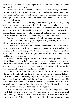surmounted by a marble cupid. The cupid, thus dislodged, went crashing through the casement into the street below.

Now this was more than Graziani had intended, but it was certainly no more than he could have desired. The signal to Barbo had been given, and no one present any the wiser. It heartened him. He smiled grimly, whipped out his long sword, swung his cloak upon his left arm, and rushed thus upon Ranieri, forced for the moment to leave his back unguarded.

Ranieri, unprepared for the onslaught, and startled by its suddenness, swung aside, leaving the captain a clear way. But Graziani was not so mad as to attempt to open the door. He knew well that whilst he paused to seize and raise the latch a halfdozen blades would be through his back before the thing could be accomplished. Instead, having reached the door, he swung round, and setting his back to it, faced that murderous company as it swooped down upon him with naked weapons.

Five men confronted him immediately. Behind them stood Sinibaldi, his sword drawn against the need to use it, yet waiting meanwhile, preferring that such work should be done by these underlings of his.

Yet though they were five to one, Graziani's sudden turn to face them, and his poised preparedness, gave them a moment's pause. In that moment he reckoned up his chances. He found them slight but not quite hopeless, since all that was incumbent on him was to ward their blows and gain some instants until Barbo and his men could come to his assistance.

Another moment and they had closed with him, their whirling blades athirst for his life. He made the best defence that a man could make against such an onslaught, and a wonderful defence it was. He was well-trained in arms as in all bodily exercises, supple of joint, quick of movement, long of limb and with muscles that were allsteel and whipcord—indeed a very pentathlos.

He warded as much with his cloaked arm as with his sword, but he had no chance, nor for that matter any thought, of taking the offensive in his turn. He knew that a lunge or thrust or cut at any single one of them, even if successful, must leave an opening through which he would be cut down ere he could make recovery. He would attack when Barbo came, and he would see to it then that not one of these cowardly assassins, of these dastardly traitors, was left alive. Meanwhile he must be content to ward, praying God that Barbo did not long delay.

For some moments fortune favoured him, and his shirt of mail proved his best friend. Indeed it was not until Alviano's sword-blade was shivered in a powerful lunge that caught Graziani full in the middle of the body, that those gentlemen realized that the condottiero's head was the only part of him that was vulnerable. It was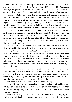Sinibaldi who told them so, shouting it fiercely as he shouldered aside the now disarmed Alviano, and stepped into the place from which he thrust him. With death in his eyes the prince now led the attack upon that man who made so desperate a defence without chance of breaking ground or lessening the number of his assailants.

Suddenly Sinibaldi's blade licked in and out again with lightning swiftness in a feint that culminated in a second thrust, and Graziani felt his sword arm suddenly benumbed. To realize what had happened and to readjust the matter was with the captain the work of one single thought. He caught his sword in his left hand, that so he might continue his defence, even as Sinibaldi by a turn of the wrist made a cutting stroke at his bare head. Perforce Graziani was slow to the parry; the fraction of a second lost in transferring his sword to the left hand and the further circumstance that his left arm was hampered by the cloak he had wound about it, left too great an advantage with Sinibaldi. Yet Graziani's blade, though too late to put the other's aside, was yet in time to break the force of the blow as it descended. The edge was deflected, but not enough. If it did not open his skull as was intended, at least it dealt him a long slanting scalp-wound.

The condottiero felt the room rock and heave under his feet. Then he dropped his sword, and leaning against the wall, whilst his assailants checked to watch him, he very gently slithered down it and sat huddled in a heap on the floor, the blood from his wound streaming down over his face. Sinibaldi shortened his sword, intent upon making quite sure of his victim by driving the steel through his windpipe. But even as he was in the act of aiming the stroke, he was suddenly arrested by the horrible vehement outcry of the mute, who had remained at the broken window, and by a thunder of blows that fell simultaneously upon the door below accompanied by a sudden call to open.

That sound smote terror into the conspirators. It aroused them to a sense of what they were doing, and brought to their minds the thought of Cesare Borgia's swift and relentless justice which spared no man, patrician or plebeian. And so they stood limply stricken, at gaze, their ears straining to listen, whilst below the blows upon the door were repeated more vehemently than before.

Ranieri swore thickly and horribly. "We are trapped, betrayed!"

Uproar followed. The eight plotters looked this way and that, as if seeking a way out, each gave counsels and asked questions in a breath, none heeding none, until at last the mute having compelled their attention by his excited croaks, showed them the road of escape.

He crossed the length of the room at a run, and nimble as a cat, he leapt upon a marble table that stood before the casement overlooking the river, from which the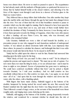house rose almost sheer. He never so much as paused to open it. The acquaintance he had already made with the methods of Borgia justice so quickened his terrors to a frenzy that he hurled himself bodily at the closed window, and shivering it by the force of the impact went through it and down in a shower of broken glass to the black icy waters below.

They followed him as sheep follow their bellwether. One after another they leapt upon the marble table; and thence through the gap he had made they plunged down into the river. Not one of them had the wit in that breathless moment to pause to consider which way the tide might be running. Had it chanced to have been upon the ebb it must have swept them out to sea, and none of them would further have troubled the destinies of Italy. Fortunately for them, however, it was flowing; and so it bore them upwards towards the Bridge of Augustus, where they were able unseen to effect a landing—all save Pietro Corvo, the mute, who was drowned, and Sinibaldi, who remained behind.

Like Graziani, Sinibaldi too wore a shirt of mail beneath his doublet, as a precaution proper in one who engaged in such hazardous methods of underground warfare. It was indeed an almost inveterate habit with him. Less impetuous than those others, he paused to calculate his chances, and bethought him that it was odds this armour would sink him in the flood. So he stayed to doff it first.

Vainly had he called upon the others to wait for him. Ranieri had answered him standing upon the table ready for the leap.

"Wait? Body of God! Are you mad? Is this a time to wait?" Yet he delayed to explain the precise and urgent need to depart. "We must run no risk of capture. For now more than ever must the thing be done, or we are all dead men—and it must be done to-night as was planned. Excess of preparation has gone near to undoing us. We could have contrived excellently without that fool," and he jerked a thumb towards Graziani, "as I told your excellency. And we shall contrive no less excellently without him as it is. But contrive we must, else, I say again, we are dead men—all of us." And upon that he went through the window and down into the water, after the others, with a thudding splash.

With fingers that haste made clumsy, Sinibaldi tugged at the buttons of his doublet, hampered by having tucked his sword under his arm. But scarcely had Ranieri vanished into the night than the door below was flung inward with a crash. There followed a sound of angry voices, as the servants of the household were thrust roughly aside, and ringing steps came clattering up the stairs.

Sinibaldi, still tugging at the buttons of his doublet, sprang desperately towards the window, and wondered for a moment whether he should take the risk of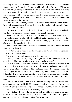drowning. But even as he stood poised for the leap, he remembered suddenly the immunity he derived from the office that was his. After all, as the envoy of Venice he was inviolable, a man upon whom no finger was to be laid by any without provoking the resentment of the Republic. He had been over anxious. He had nothing to fear where nothing could be proved against him. Not even Graziani could have said enough to imperil the sacred person of an ambassador, and it was odds that Graziani would never say anything again.

So he sheathed his sword, readjusted his doublet and composed himself. Indeed he actually went the length of opening the door to the invaders, calling to guide them:

"This way! This way!"

They swarmed in, all ten of them, the grizzled antient at their head, so furiously that they bore the prince backwards, and all but trampled on him.

Barbo checked them in mid-chamber, and looked round bewildered, until his eyes alighted upon his fallen, blood-bedabbled captain huddled at the foot of the wall. At the sight he roared like a bull to express his anger, what time his followers closed about the saturnine Venetian.

With as great dignity as was possible to a man at such a disadvantage, Sinibaldi sought to hold them off.

"You touch me at your peril," he warned them. "I am Prince Marcantonio Sinibaldi, the Envoy of Venice."

The antient swung half round to answer him, snarling:

"Were you Prince Lucifer, Envoy of Hell, you should still account for what was doing here and how my captain came by his hurt. Make him fast!"

The men-at-arms obeyed with a very ready will, for Graziani was beloved of all that rode with him. It was in vain that the Venetian stormed and threatened, pleaded and protested. They treated him as if they had never heard tell of the sacredness with which the person of an ambassador is invested. They disarmed him, bound his wrists behind him, like any common malefactor's, and thrust him contumeliously from the room down the stairs and so, without hat or cloak, out into the murky wind-swept street.

Four of them remained above at the antient's bidding, whilst he himself went down upon his knees beside his fallen captain to look to his condition. And at once Graziani began to show signs of life. Indeed he had shown that he was not dead the moment the door had closed after the departing men.

Supported now by Barbo he sat up, and with his left hand smeared away some of the blood that almost blinded him, and looked dully at his antient, who grunted and swore to express the joyous reaction from his despair.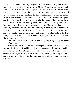"I am alive, Barbo," he said, though his voice came feebly. "But, Body of God! you were no more than in time to find me so. Had you been a minute later you would have been too late for me—aye, and perhaps for the Duke too." He smiled faintly. "When I found that valour would no longer avail me I had recourse to craft. It is well to play the fox when you cannot play the lion. With this gash over the head and my face smeared in blood, I pretended to be done for. But I was conscious throughout, and it is a grim thing, Barbo, consciously to take the chance of death without daring to lift a finger to avert it lest thereby you hastened it on. I . . ." he gulped, and his head hung down, showing that his strength was ebbing. Then he rallied desperately, almost by sheer force of will. There was something he must say, ere everything was blotted out as he felt it would be soon. "Get you to my Lord Duke, Barbo. Make haste! Tell him that here was some treason plotting . . . something that is to be done to-night . . . that will still be done by those who escaped. Bid him look to himself. Hasten, man. Say I . . ."

"Their names! Their names!" cried the antient urgently, seeing his captain on the point of swooning.

Graziani reared his head again, and slowly opened his dull eyes. But he did not answer. His lids drooped, and his head lolled sideways against his antient's shoulder. It was as if by an effort of sheer will he had but kept a grip of his senses until he could utter that urgent warning. Then, his duty done, he relinquished that painful hold, and allowed himself to slip into the peace and the shadows of unconsciousness, exhausted.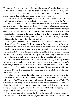THE great need for urgency, the chief reason why "the thing" must be done that night, as the Lord Ranieri had said before he dived from his window into the river, lay in the circumstance that it was the Duke's last night in the city of Rimini. On the morrow he marched with his army upon Faenza and the Manfredi.

It had therefore seemed proper to the councillors and patricians of Rimini to mark their entire submission to his authority by a banquet in his honour at the Palazzo Pubblico. At this banquet were assembled all Riminese that were noble or notable, and a great number of repatriated patricians, the *fuorusciti* whom upon one pretext or another the hated Malatesta tyrant had driven from his dominions that he might enrich himself by the confiscation of their possessions. Jubilantly came they now with their ladies to do homage to the Duke who had broken the power and delivered the State from the thraldom of the iniquitous Pandolfaccio, assured that his justice would right to the full the wrongs which they had suffered.

Present, too, were the envoys and ambassadors of several Italian powers sent to felicitate Cesare Borgia upon this latest conquest. But it was in vain that the young Duke turned his hazel eyes this way and that in quest of Marcantonio Sinibaldi, the princely envoy-extraordinary of the Most Serene Republic. The envoy-extraordinary was nowhere to be seen in that courtly gathering, and the Duke, who missed nothing and who disliked leaving riddles unsolved—particularly when they concerned a State that was hostile to himself—was vexed to know the reason of this absence.

It was the more remarkable since Prince Sinibaldi's lady, a stately blonde woman, whose stomacher was a flashing cuirass of gems, was seated near Cesare's right hand, between the sober black velvet of the President of the Council and the flaming scarlet of the handsome Cardinal-legate, thus filling the position to which she was entitled by her lofty rank and the respect due to the great Republic which her husband represented.

Another whose absence the Duke might have remarked was, of course, the Lord Ranieri, who had excused himself, indeed, to the president upon a plea of indisposition. But Valentinois was too much concerned with the matter of Sinibaldi's whereabouts. He lounged in his great chair, a long, supple incarnation of youth and vigour, in a tight-fitting doublet of cloth of gold, with jewelled bands at neck and wrists and waist. His pale, beautiful face was thoughtful, and his tapering fingers strayed ever and anon to the tips of his tawny silken beard.

The banquet touched its end, and the floor of the great hall was being cleared by the seneschal to make room for the players sent from Mantua by the beautiful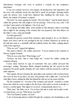Marchioness Gonzaga who were to perform a comedy for the company's delectation.

It was not comedy, however, but tragedy, all unsuspected, that impended, and the actor who suddenly strode into that hall to speak its prologue, thrusting rudely aside the lackeys who would have hindered him, misliking his wild looks, was Barbo, the antient of Graziani's company.

"My lord," he cried, panting for breath. "My lord Duke!" And his hands fiercely cuffed the grooms who still sought to bar his passage. "Out of my way, oafs! I tell you that I must speak to his highness. Out of my way!"

The company had fallen silent, some startled by this intrusion, others conceiving that it might be the opening of the comedy that was prepared. Into that silence cut the Duke's voice, crisp and metallic:

"Let him approach!"

Instantly the grooms ceased their resistance, glad enough to do so, for Barbo's hands were heavy and he was prodigal in the use of them. Released, he strode up the hall and came to a standstill, stiff and soldierly before the Duke, saluting almost curtly in his eagerness.

"Who are you?" rapped his highness.

"My name is Barbo," the soldier answered. "I am an antient in the condotta of Messer Angelo Graziani."

"Why do you come thus? What brings you?"

"Treason, my lord—that is what brings me," roared the soldier, setting the company all agog.

Cesare alone showed no sign of excitement. His eyes calmly surveyed this messenger, waiting. Thereupon Barbo plunged headlong into the speech he had prepared. He spoke gustily, abruptly, his voice shaken with the passion he could not quite suppress.

"My captain, Messer Graziani, lies speechless and senseless with a broken head, else were he here in my place, my lord, and perhaps with a fuller tale. I can but tell what little I know, adding the little that himself he told me ere his senses left him.

"By his command we—ten men of his company and myself—watched a certain house into which he went to-night at the first hour, with orders to break in should we receive a certain signal. That signal we received. Acting instantly upon it we . . ."

"Wait, man," the Duke cut in. "Let us have this tale in order and in plain words. A certain house, you say. What house was that?"

"The Lord Ranieri's palace, my lord."

A stir of increasing interest rustled through the company, but dominating it, and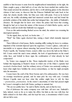audible to him because it came from his neighbourhood immediately on his right, the Duke caught a gasp, a faint half-cry of one who has been startled into sudden fear. That sound arrested his attention, and he shot a swift sidelong glance in the direction whence it had come, to discover that the Princess Sinibaldi had sunk back in her chair, her cheeks deadly white, her blue eyes wide with panic. Even as he looked and saw, his swiftly calculating mind had mastered certain facts and had found the probable solution of the riddle that earlier had intrigued him—the riddle of Sinibaldi's absence. He thought that he knew now where the prince had been that evening, though he had yet to learn the nature of this treason of which Barbo spoke, and in which he could not doubt that Sinibaldi was engaged.

Even as this understanding flashed across his mind, the antient was resuming his interrupted narrative.

"At the signal, then, my lord, we broke into . . ."

"Wait!" the Duke again checked him, raising a hand which instantly imposed silence.

There followed a brief pause, Barbo standing stiffly waiting for leave to continue, impatient of the restraint imposed upon his eagerness. Cesare's glance, calm and so inscrutable as to appear almost unseeing, had passed from the princess to Messer Paolo Capello, the Venetian Orator, seated a little way down the hall on the Duke's left. Cesare noted the man's tense attitude, the look of apprehension on his round white face, and beheld in those signs the confirmation of what already he had conjectured.

So Venice was engaged in this. Those implacable traders of the Rialto were behind this happening at Ranieri's house in which one of the Duke's captains had received a broken head. And the ordinary envoy of Venice was anxiously waiting to learn what might have befallen the envoy-extraordinary, so that he might promptly take his measures.

Cesare knew the craft of the Most Serene and of its ambassadors. He was here on swampy treacherous ground, and he must pick his way with care. Certainly Messer Capello must not hear what this soldier might have to tell, for then —*præmonitus*, *præmunitus*. In the orator's uncertainty of what had passed might lie Cesare's strength to deal with Venice, perhaps to unmask her.

"We are too public here," he said to Barbo shortly, and on that he rose.

Out of deference the entire company rose with him—all save one. Sinibaldi's lady, indeed, went so far as to make the effort, but faint as she was with fear, her limbs refused to do their office, and she kept her seat, a circumstance which Cesare did not fail to note.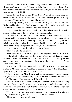He waved a hand to the banqueters, smiling urbanely. "Sirs, and ladies," he said, "I pray you keep your seats. It is not my desire that you should be disturbed by this." Then he turned to the President of the Council. "If you, sir, will give me leave apart a moment with this fellow . . ."

"Assuredly, my lord, assuredly!" cried the President nervously, flung into confusion by this deference from one of the Duke's exalted quality. "This way, Magnificent. This closet here. . . . You will be private."

Stammering, fluttering, he had stepped down the hall, the Duke following, and Barbo clanking after them. The President opened a door, and drawing aside, he bowed low and waved the Duke into a small ante-chamber.

Cesare passed in with Barbo following. The door closed after them, and a murmur reached them of the babble that broke forth beyond it.

The room was small, but richly furnished, possibly against the chance of its use being desired by his highness. The middle of its tessellated floor was occupied by a table with massively carved supporting cupids, near which stood a great chair upholstered in crimson velvet. The room was lighted by a cluster of wax candles in a candle-branch richly wrought in the shape of a group of scaling titans.

Cesare flung himself into the chair, and turned to Barbo.

"Now your tale," he said shortly.

Barbo threw wide at last the floodgates of his eagerness, and let his tale flow forth. He related in fullest detail the happenings of that night at Ranieri's palace, repeating faithfully the words that Graziani had uttered, and concluding on the announcement that he had captured at least one of the conspirators—the Prince Marcantonio Sinibaldi.

"I trust that in this I have done well, my lord," the fellow added with some hesitation. "It seemed no less than Messer Graziani ordered. Yet his Magnificence spoke of being an ambassador of the Most Serene. . . ."

"The devil take the Most Serene and her ambassadors," flashed Cesare, betrayed into it by his inward seething rage. On the instant he suppressed allshow of feeling. "Be content. You have done well," he said shortly.

He rose, turned his back on the antient, and strode to the uncurtained gleaming windows. There he stood a moment, staring out into the starlit night, fingering his beard, his brow dark with thought. Then he came slowly back, his head bowed, nor did he raise it until he stood again before the antient.

"You have no hint—no suspicion of the nature of this conspiracy? Of what is this thing they were planning and are still to attempt to-night?" he asked.

"None, my lord. I have said allI know."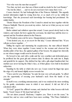"Nor who were the men that escaped?"

"Nor that, my lord, save that one of them would no doubt be the Lord Ranieri."

"Ah, but the others . . . and we do not even know how many there were . . ."

Cesare checked. He had bethought him of the Princess Sinibaldi. This urgently needed information might be wrung from her, or as much of it as lay within her knowledge. That she possessed such knowledge her bearing had proclaimed. He smiled darkly.

"Desire Messer the President of the Council to attend me here together with the Princess Sinibaldi. Then do you await my orders. And see to it that you say no word of this to any."

Barbo saluted and withdrew upon that errand. Cesare paced slowly back to the window, and waited, his brow against the cool pane, his mind busy until the door reopened and the President ushered in the Princess.

The President came avid for news. Disappointment awaited him.

"I but desired you, sir, as an escort for this lady," Cesare informed him. "If you will give us leave together . . ."

Stifling his regrets and murmuring his acquiescence, the man effaced himself. When they were alone together Cesare turned to the woman and observed the deathly pallor of her face, the agitated gallop of her bosom. He judged her shrewdly as one whose tongue would soon be loosed by fear.

He bowed to her, and with a smile and the very courtliest and deferential grace he proffered her the great gilt and crimson chair. In silence she sank into it, limply and grateful for its support. She dabbed her lips with a gilt-edged handkerchief, her startled eyes never leaving the Duke's face, as if their glance were held in fascinated subjection.

Standing by the table at which she now sat, Cesare rested his finger-tips upon the edge of it, and leaned slightly across towards her.

"I have sent for you, Madonna," he said, his tone very soft and gentle, "to afford you the opportunity of rescuing your husband's neck from the hands of my strangler."

In itself it was a terrifying announcement, and it was rendered the more terrifying by the gentle, emotionless tones in which it was uttered. It did not fail of its calculated effect.

"O God!" gasped the afflicted woman, and clutched her white bosom with both hands. "Gesù! I knew it! My heart had told me."

"Do not alarm yourself, Madonna, I implore you. There is not the cause," he assured her, and no voice could have been more soothing. "The Prince Sinibaldi is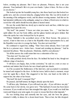below, awaiting my pleasure. But I have no pleasure, Princess, that is not your pleasure. Your husband's life is in your own hands. I place it there. He lives or dies as you decree."

She looked up into his beautiful young face, into those hazel eyes that looked too gentle now, and she cowered abjectly, cringing before him. She was left in doubt of the meaning of his ambiguous words, and his almost wooing manner. And this too he had intended; deliberate in his ambiguity, using it as a flame of fresh terror in which to scorch her will, until it should become pliant as heated metal.

He saw the scarlet flush rise slowly up to stain her neck and face, whilst her eyes remained fixed upon his own.

"My lord!" she panted. "I know not what you mean. You . . ." And then her spirit rallied. He saw her body stiffen, and her glance harden and grow defiant. But when she spoke her voice betrayed her by its quaver.

"Prince Sinibaldi is the accredited envoy of the Most Serene. His person is sacred. A hurt to him were as a hurt to the Republic whose representative he is, and the Republic is not slow to avenge her hurts. You dare not touch him."

He continued to regard her, smiling. "That I have done already. Have I not said that he is a prisoner now—below here—bound and awaiting my pleasure." And he repeated his phrase. "But my pleasure, Madonna, shall be your pleasure."

Yet all the answer she could return him was a reiteration of her cry:

"You dare not! You dare not!"

The smile perished slowly from his face. He inclined his head to her, though not without a tinge of mockery.

"I will leave you happy, then, in that conviction," he said on a note at once so sardonic and sinister that it broke her new-found spirit into shards.

As if he accepted the fruitlessness of the interview, and accounted it concluded, he turned and stepped to the door. At this her terror, held in check a moment, swept over her again like a flood. She staggered to her feet, one hand on the table to support her, the other at her breast.

"My lord! My lord! Amoment! Pity!"

He paused, and half-turned, his fingers already upon the latch.

"I will have pity, Madonna, if you will teach me pity—if you will show me pity." He came back to her slowly, very grave now. "This husband of yours has been taken in treason. If you would not have him strangled this night, if you would ever hold him warm and living in your arms again, it is yours to rescue him from what impends."

He was looking deep and earnestly into her eyes, and she bore the glance, returned it wildly, in silence for a dozen heart-beats. Then at last, her lids dropped.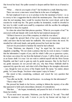She bowed her head. Her pallor seemed to deepen until her flesh was as if turned to wax.

"What . . . what do you require of me?" she breathed in a small, fluttering voice.

There was never a man more versed than he in the uses of ambiguity.

He had employed it now so as to produce in her the maximum of terror—so as to convey to her a suggestion that he asked the maximum price. Thus when he made clear his real meaning, there would be reaction from her worst dread, and in that reaction he would trap her. The great sacrifice he demanded, would be dwarfed in her view by relief, would seem small by comparison with the sacrifice his ambiguity had led her to fancy he required.

So when she asked that faint piteous question, "What do you require of me?" he answered swift and sharply with words that he had rendered unexpected:

"All that is known to you of this conspiracy in which he was taken."

He caught the upward flash of her eyes; their look of amazement, almost of relief, and knew that he had made her malleable. She swayed where she stood. He steadied her with ready hands, and gently pressed her back into her chair.

And now he proceeded to hammer the metal he had softened.

"Come, Madonna, use dispatch, I beg," he urged her, his voice level but singularly compelling. "Do not strain a patience that has its roots in mercy. Consider that the information I require of you, and for which I offer you so generous a price, the torture can extract for me from this husband of yours. I will be frank with you as at an Easter shrift. It is true I do not wish to embroil myself with the Most Serene Republic, and that I seek to gain my ends by gentle measures. But, by the Host! if my gentle measures do not prevail with you, why then Prince Sinibaldi shall be squeezed dry upon the rack, and what is left of him flung to the stranglers afterwards —aye, though he were an envoy of the Empire itself. My name," he ended, almost grimly, "is Cesare Borgia. You know what repute I enjoy in Venice."

She stared at him, considering, confused, and voiced the very question that perplexed her.

"You offer me his life—his life and freedom—in exchange for this information?"

"That is what I offer"

She pressed her hands to her brows, seeking to fathom the mystery of an offer that appeared to hold such extraordinary elements of contradiction.

"But then . . ." she began, tremulously, and paused for lack of words in which to frame her doubts.

"If you need more assurance, Madonna, you shall have it," he said. "You shall have the assurance of my oath. I swear to you by my honour and my hope of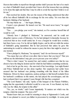Heaven that neither in myself nor through another shall I procure the hurt of so much as a hair of Sinibaldi's head, provided that I know all of the treason that was plotting to be done this night and that thus I may be able to avoid the trap that I believe is set for me."

That resolved her doubts. She saw the reason of the thing; understood that after all he but offered Sinibaldi's life in exchange for his own safety. Yet even then she hesitated, thinking of her husband.

"He may blame me . . ." she began, faltering.

Cesare's eyes gleamed. He leaned over her. "He need never know," he urged her insidiously.

"You . . . you pledge your word," she insisted, as if to convince herself that all would be well.

"Already have I pledged it, Madonna," he answered, and he could not altogether repress a note of bitterness. For he had pledged it reluctantly, because he conceived that no less would satisfy her. It was a bargain he would have avoided, had there been a way. For he did not lightly forgive, and he did not relish the notion of Sinibaldi's going unpunished. But he had perceived that unless he gave this undertaking he would be without the means to parry the blow that might be struck at any moment.

"I have pledged it, Madonna," he repeated, "and I do not forswear myself."

"You mean that you will not even allow him to know that you know? That you will but use the information I may give you to procure your own safety?"

"That is what I mean," he assured her, and waited, confident now that he was about to have the thing he desired and for which he had bidden something recklessly.

And at last he got the story—the sum total of her knowledge. Last night Ranieri and Prince Sinibaldi had sat late alone together. Her suspicions had earlier been aroused that her husband was plotting something with this friend of the fallen Malatesta. Driven by these suspicions, jealous perhaps to find herself excluded from her husband's confidence in this matter, she had played the eavesdropper, and she had overheard that it was against Cesare Borgia's life that they conspired.

"The Lord Ranieri," she said, "spoke of this banquet at the Palazzo Pubblico, urging that the opportunity it afforded would be a rare one. It was Ranieri, my lord, who was the villain, the tempter in this affair."

"Yes, yes, no doubt," said Cesare impatiently. "It matters not which was the tempter, which the tempted. The story of it!"

"Ranieri knew that you would be returning to sleep at Sigismondo's Castle, and that it was planned to escort you thither in procession by torchlight. At some point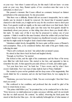on your way—but where I cannot tell you, for this much I did not learn—at some point on your way, then, Ranieri spoke of two crossbow-men that were to be ambushed, to shoot you."

She paused a moment. But Cesare offered no comment, betrayed no faintest perturbation at the announcement. So she proceeded.

"But there was a difficulty. Ranieri did not account it insuperable, but to make doubly sure he desired it should be removed. He feared that if mounted guards chanced to ride beside you, it might not be easy for the crossbow-men to shoot past them. Foot-guards would not signify, as the men could shoot over their heads. But it was necessary, he held, to make quite sure that none but foot-guards should be immediately about your person, so that riding clear above them you should offer a fair mark. To make sure of this it was that he proposed to seduce one of your captains—I think it would be this man Graziani, whom the soldier told you had been wounded. Ranieri was satisfied that Graziani was disaffected towards your highness, and that he might easily be bought to lend a hand in their enterprise."

Valentinois smiled slowly, thoughtfully. He knew quite well the source of Ranieri's rash assumption. Then, as he considered further, that smile of his grew faintly cruel, reflecting his mind.

"That is allI overheard, my lord," she added after an instant's pause.

He stirred at that: threw back his head and laughed shortly.

"Enough, as God lives," he snorted.

She looked at him, and the sight of his countenance and the blaze of his tawny eyes filled her with fresh terror. She started to her feet, and appealed to him to remember his oath. At that appeal he put aside all trace of wrath, and smiled again.

"Let your fears have rest," he bade her. "I have sworn, and by what I have sworn I shall abide. Nor I nor man of mine shall do hurt to Prince Sinibaldi."

She wanted to pour out her gratitude and her deep sense of his magnanimity. But words failed her for a moment, and ere she had found them, he was urging her to depart.

"Madonna, you were best away, I think. You are overwrought. I fear that I have tried you sorely."

She confessed to her condition, and professed that she would be glad of his leave to return home at once.

"The prince shall follow you," he promised her, as he conducted her to the door. "First, however, we shall endeavour to make our peace with him, and I do not doubt but that we shall succeed. Be content," he added, observing the fresh panic that stared at him from her blue eyes—for she suddenly bethought her of what manner of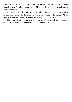peace it was Cesare's wont to make with his enemies. "He shall be treated by me with all honour. I shall endeavour by friendliness to win him from these traitors who have seduced him."

"It is so—it is so!" she exclaimed, seizing with avidity upon that excuse which he so generously implied for the man who would have contrived his murder. "It was none of his devising. He was lured to it by the evil counsels of others."

"How can I doubt it, since you assure me of it?" he replied with an irony so subtle that it escaped her. He bowed, and opened the door.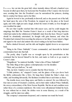FOLLOWING her out into the great hall, where instantly silence fell and a hundred eyes became levelled upon them, he beckoned the President of the Council, who hovered near, awaiting him. Into the President's care he surrendered the princess, desiring him to conduct her thence and to her litter.

Again he bowed to her, profoundly in farewell, and as she passed out of the hall, her hand upon the arm of the President, he stepped up to his place at the board again, and with a light jest and a laugh, invited the return of mirth, as if no thought or care troubled his mind.

He saw that Capello watched him with saucer eyes, and he could imagine the misgivings that filled the Venetian Orator's heart as a result of that long interview which had ended in the withdrawal of Sinibaldi's lady from the feast. Messer Capello should be abundantly entertained, he thought with grim humour, and when the President had returned from escorting the princess to her litter, Cesare raised a finger and signed to the steel-clad antient who stood waiting as he had been bidden.

Barbo clanked forward, and the talk and laughter rippled down to an expectant hush.

"Bring in the Prince Sinibaldi," Cesare commanded, and therewith he fetched consternation back into that hall.

The portly, slimy Capello was so wrought upon by his perturbation at this command that he heaved himself to his feet, and made so bold as to go round to Cesare's chair.

"Magnificent," he muttered fearfully, "what is this of Prince Sinibaldi?"

The Duke flung at him a glance contemptuously over his shoulder.

"Wait, and you shall see," he said.

"But, my lord, I implore you to consider that the Most Serene . . ."

"A little patience, sir," snapped Cesare, and the glance of his eyes drove back the flabby ambassador like a blow. He hung there behind the Duke's chair, very white, and breathing labouredly. His fleshiness troubled him at such times as these.

The double doors were flung open, and Barbo re-entered. He was followed by four men-at-arms of Graziani's condotta, and in their midst walked Prince Sinibaldi, the envoy-extraordinary of the Most Serene Republic. But his air and condition were rather those of a common malefactor. His wrists were still pinioned behind his back; he was without hat or cloak; his clothes were in some disarray, as a result of his struggles, and his mien was sullen.

The company's amazement deepened, and a murmur ran round the board.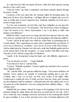At a sign from the Duke the guards fell back a little from their prisoner, leaving him face to face with Cesare.

"Untie his wrists," the Duke commanded, and Barbo instantly slashed through the prince's bonds.

Conscious of the eyes upon him, the Venetian rallied his drooping spirits. He flung back his head, drew himself up, a tall figure full now of dignity and scorn, his eyes set boldly upon Cesare's impassive face. Suddenly, unbidden, he broke into a torrent of angry speech.

"Is it by your commands, my lord duke, that these indignities are put upon the inviolable person of an envoy?" he demanded. "The Most Serene whose mouthpiece I have the honour to be, whose representative I am, is not likely to suffer with patience such dishonour."

Within the Duke's reach stood an orange that had been injected with rose attar to be used as a perfume ball. He took it up in his long fingers and delicately sniffed it.

"I trust," said he in that quiet voice which he could render so penetrating and so sweetly sinister, "that I apprehend you amiss when I apprehend that you threaten. It is not wise to threaten us, excellency—not even for an envoy of the Most Serene." And he smiled upon the Venetian, but with such a smile that Sinibaldi quailed and lost on the instant much of his fine arrogance—as many another bold fellow had done when face to face with the young Duke of Valentinois.

Capello in the background wrung his hands and with difficulty suppressed a groan.

"I do not threaten, my lord . . ." began Sinibaldi.

"I am relieved to hear it," said the Duke.

"I protest," Sinibaldi concluded. "I protest against the treatment I have received. These ruffianly soldiers . . ."

"Ah," said the Duke, and again he sniffed his orange. "Your protest shall have all attention. Never suppose me capable of overlooking anything that is your due. Continue, then, I beg. Let us hear, my lord, your version of the night's affair. Condescend to explain the error of which you have been the victim, and I promise you the blunderers shall be punished. I will punish them the more gladly since it is in my nature not to like blunderers. You were saying that these ruffianly soldiers . . . But continue, pray."

Sinibaldi did not continue. Instead he began at the beginning of the tale he had prepared during the ample leisure that had been accorded him for the task. And it was a crafty tale, most cunningly conceived, and based as all convincing tales should be upon actualities. It was, in fact, precisely such a tale as Graziani might have told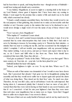had he been there to speak, and being therefore true—though not true of Sinibaldi would bear testing and should carry conviction.

"I was bidden, Magnificent, in secret to-night to a meeting held at the house of my Lord Ranieri, whose guest it happens that I have been since my coming to Rimini. I went urged by the promise that a matter of life and death was to be dealt with, which concerned me closely.

"I found a small company assembled there, but before they would reveal to me the real purpose of that gathering, they desired me to make an irrevocable oath that whether or not I became a party to the matters that were to be disclosed to me, I would never divulge a single word of it nor the name of any of those whom I met there.

"Now I am not a fool, Magnificent."

"Who implies it?" wondered Cesare aloud.

"I am not a fool, and I scented treason instantly, as they knew I must. It is to be assumed that by some misconception they had come to think that I had ends to serve by listening to treason, by becoming a party to it. Therein lay their mistake—a mistake that was near to costing me my life, and has occasioned me this indignity of which I complain. I will not trouble your magnificence with my personal feelings. They matter nothing. I am an envoy, and just as I know and expect what is due to me, so do I know and fulfil what is due from me. These fools should have considered that more fully. Since they did not . . ."

"God give us patience!" broke in the Duke. "Will you go over that again? This is mere oratory, sir. Your tale, sir—your tale. Let the facts plead for you."

Sinibaldi inclined his head with dignity.

"Indeed, your highness is right—as ever. To my tale then. Where was I? Ah, yes!

"When an oath of that nature was demanded of me I would at once have drawn back. But I perceived that already I had gone too far in thoughtlessly joining that assembly and that they would never suffer me to depart again and spread the alarm of what was doing there. They dared not for their lives' sake. So much was clear. Therefore, for my own life's sake, and in self-defence I took the oath imposed. But having taken it, I announced plainly that I desired to hear no more of any plot. I warned them that they were rash in having set their hands to any secret business, and that if—as I conceived—it had for aim your highness's hurt then they were more than rash since your magnificence has as many eyes as Argus. Upon that I begged them to suffer me to depart since I was sworn to silence.

"But men of their sort are easily fearful of betrayal, and do not lay much store by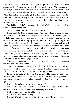oaths. They refused to consent to my departure, protesting that I was bent upon denouncing them. From words we passed soon enough to blows. They set upon me, and a fight ensued in which one of them fell to my sword. Then the noise of our brawling brought in a patrol—but for which it is odds I should have left my life there. When these soldiers broke in the plotters flung themselves from a window into the river, whilst I remained, having naught to fear since I was innocent of all evil. It was thus that I alone came to be taken by these fellows who would listen to no assurances I offered them."

From behind the Duke's chair came a deep sigh of relief uttered by the quaking Capello. He advanced a step.

"You see, my lord, you see . . ." he was beginning.

"Peace, man!" the Duke bade him sharply. "Be assured I see as far as any man, and need not borrow your eyes to help me, Ser Capello." Then turning again to Sinibaldi, and speaking very courteously, "My lord," he said, "it grieves me you should have been mishandled by my soldiery. But I trust to your generosity to see that until we had this explanation, the appearances were against you; and you will acquit us, I am sure, of any discourtesy to the Most Serene. Let me add even that in the case of any one less accredited than yourself, or representing a power upon whose friendship I did not so implicitly depend as I do upon that of Venice," (he said it with all the appearance of sincerity and with no slightest trace of irony), "I might be less ready to accept that explanation, and I might press for the names of the men who, you are satisfied, were engaged in treason."

"Those names, Magnificent, already I should have afforded you but for the oath that binds me," answered Sinibaldi.

"That too I understand; and so, my lord, out of deference and to mark my esteem of you and of the Republic you represent, I do not ask a question you might have a difficulty in answering. Let us forget this unhappy incident."

But at that the antient, who loved Graziani as faithful hound its master, was unable longer to contain himself. Was the Duke mad, to accept so preposterous a tale—to swallow this lying fabrication as smoothly and easily as if it were a sugared egg.

"My lord," he broke in, "if what he says is true . . ."

"If?" cried Cesare. "Who dares to doubt it? Is he not Prince Sinibaldi and the envoy of the Most Serene? Who will cast a doubt upon his word?"

"I will, my lord," answered the soldier stoutly.

"By the Host! now here's audacity."

"My lord, if what he says is true then it follows that Messer Graziani was a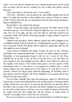traitor—for it was Messer Graziani who was wounded in that brawl, and he would have us believe that the man he wounded was one of those that plotted with his innocence."

"That, quite clearly, is what he has said," Cesare replied.

"Why then," said Barbo, and he plucked the rude buffalo gauntlet from his left hand, "I say that who says that is a liar, whether he be a prince of Venice or a prince of hell." And he raised the glove he had plucked from his hand, clearly intending to fling it in Sinibaldi's face.

But the Duke's voice checked the intention.

"Hold!" it bade him sharply; and instantly he paused. The Duke looked at him with narrowing eyes. "You all but did a thing that might have cost you very dear," he said. "Get out of my sight, and take your men with you. But hold yourself at my commands outside. We will talk of this again, perhaps to-night, perhaps to-morrow, Messer Barbo. Go!"

Chilled by tone and glance, Barbo stiffened, saluted, then with a malignant scowl at Sinibaldi, clanked down the hall and out, counting himself as good as hanged, yet more concerned with the foul slander uttered against his captain than with any fate that might lie in store for himself.

Cesare looked at Sinibaldi, and smiled. "Forgive the lout," he said. "Honesty, and fidelity to his captain prompted him. To-morrow he shall be taught his manners. Meanwhile, of your graciousness forget it with the rest. A place for the Prince Sinibaldi here at my side. Come, my lord, let me play host to you, and make you some amends for the rude handling you have suffered. Never blame the master for the stupidity of his lackeys. The Council whose guest I am have spread a noble entertainment. Here is a wine that is a very unguent for wounded souls—a whole Tuscan summer has been imprisoned in every flagon of it. And there is to be a comedy—delayed too long by these untoward happenings. Sir President, what of these players sent from Mantua? The Prince Sinibaldi is to be amused, that he may forget how he has been vexed."

You see Prince Sinibaldi, then, limp with amazement, shaken by relief from his long tension, scarcely believing himself out of his terrible position, wondering whether perhaps all this were not a dream. He sank into the chair that was placed for him at the Duke's side, he drank of the wine that at the Duke's bidding was poured for him by one of the scarlet lackeys. And then, even as he drank, he almost choked upon the sudden fresh fear that assailed him with the memory of certain stories of Capello's concerning Cesare's craft in the uses of poisons.

But even as in haste he set down his cup and half-turned, he beheld the lackey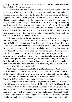pouring wine from the same beaker for the venom-taster who stood behind the Duke's chair, and so he was reassured.

The players followed, and soon the company's attention was engrossed entirely by the plot of the more or less lewd comedy they performed. But Sinibaldi's thoughts were anywhere but with the play. He was considering all that had happened, and most of all his present condition and the honour done him by the Duke as a measure of amends for the indignities he had endured. He was a man of sanguine temperament, and gradually his mistrust was dissipated by the increasing conviction that the Duke behaved thus towards him out of dread of the powerful Republic whose representative he was. Hence was he gradually heartened to the extent of conceiving a certain measure of contempt for this Valentinois of such terrible repute, and a certain assurance even that Ranieri and the others would yet carry out the business that had been concerted.

And meanwhile Cesare, beside him, sitting hunched in his chair, his chin in his hand, his eyes intent upon the players, was conscious of as little of the comedy as was Sinibaldi. Had the company been less engrossed its members might have observed how set remained the Duke's countenance, and how vacant. Like Sinibaldi he, too, was concerned, to the exclusion of all else, with the thing that was to be done that night. He was wondering, too, how far the Most Serene itself might have a hand in this murderous affair, how far Sinibaldi might be an agent sent to do this assassin's work. He bethought him of how at every step in his career, and in every way within her power, Venice had betrayed her implacable hostility; he remembered how she had gone to work with the insidious weapons of intrigue and slander to embroil him now with France, now with Spain, and how by arms and money she had secretly reinforced his enemies against him.

Was Sinibaldi, then, but the hand of the Republic in this matter? Plainly it must be so, since Sinibaldi personally could have no cause to seek his life. Sinibaldi then had all the resources of the Republic behind him. He was a tool that must be broken, both because he had lent himself to this infamous treachery, and because in breaking him would lie Cesare's best answer to the Venetian trader-princes.

Yet although he saw plainly what was to do, the means of doing it were none so plain. He must pick his way carefully through this tangle, lest it should enmesh him and bring him down. Firstly he had pledged his princely word that he would do no hurt to Sinibaldi. If possible he would observe the letter of that promise; as for the spirit of it, it were surely unreasonable to expect him to respect that also. Secondly to destroy Sinibaldi without destroying with him his confederates were to leave the treachery not only alive but quickened into activity by the spur of revenge; in such a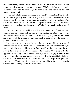case his own danger would persist, and if the arbalest-bolt were not loosed at him to-night it might come to-morrow or the next day. Thirdly, in dealing with this pack of Venetian murderers he must so go to work as to leave Venice no case for grievance at the result.

So far as Sinibaldi himself was concerned, it must be remembered that the tale he had told so publicly and circumstantially was impossible of refutation save by Graziani—and Graziani was insensible and might not live to refute it, whilst even if he did, it would be but the word of Graziani—a captain of fortune, one of a class never deemed over scrupulous—against the word of Sinibaldi—a patrician and a prince of Venice.

There you have the nice problem by which Cesare found himself confronted and which he considered whilst with unseeing eyes he watched the antics of the players; and you will agree that the solution of it was matter enough to justify his absorption and to call for all the *ingegno* which Macchiavelli, a connoisseur in the matter, so profoundly admired in the Duke.

Light came to him towards the comedy's conclusion. The grim mask of concentration that he had worn was suddenly relaxed, and for a moment his eyes sparkled with almost wicked humour. He flung himself back in his chair, and listened now to the epilogue spoken by the leader of the company. At its close he led the applause by detaching from his girdle a heavy purse, and flinging it down to the players to mark his own appreciation of their efforts. Then he turned to Sinibaldi, to discuss with him a comedy of which neither had much knowledge. He laughed and jested with the Venetian as with an equal, overwhelming him by the courtly charm in which no man of his day could surpass the Duke.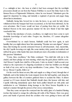CAME midnight at last—the hour at which it had been arranged that the torchlight procession should set out from the Palazzo Pubblico to escort the Duke back to the famous Rocca of Sigismondo Malatesta, where he was housed. Valentinois gave the signal for departure by rising, and instantly a regiment of grooms and pages hung about him in attendance.

Sinibaldi, facing him, bowed low to take his leave, to go seek his lady whose withdrawal from the banquet had been occasioned, as he had been informed, by his own adventure. But Cesare would not hear of parting from him yet awhile. He thanked Heaven in his most gracious manner for the new friend it had that night vouchsafed him.

"But for this mischance of yours, excellency, we might never have come to such desirable knowledge of each other. Forgive me, therefore, if I cannot altogether deplore it."

Overwhelmed by so much honour, Sinibaldi could but bow again, in such humility that you might almost hear him murmuring "Domine non sum dignus!" almost fancy him beating his secretly armoured breast in self-abasement. And, meanwhile, the oily Capello hovering ever nigh, like some tutelary deity, purred and smirked and rubbed his gross white hands that anon should pen more obscenities in defamation of this gracious Valentinois.

"Come, then, excellency," the Duke continued. "You shall ride with me to the citadel, and there pledge our next meeting, which may the gods please shall be soon. And Messer Capello here shall be of the party. I take no denial. I shall account your refusal as the expression of a lingering resentment at what has befallen you through no fault of my own, and to my deep mortification. Come, prince. They are waiting for us. Messer Capello, follow us."

On the word he thrust an arm, lithe and supple as a thing of steel, through that of Sinibaldi, and in this fashion the twain stepped down the hall together, and along the gallery between the files of courtiers gathered there to acclaim the Duke. It almost seemed as if Cesare desired that Sinibaldi should share this honour with him, and Capello following immediately upon their heels puffed himself out with pride and satisfaction to see Valentinois doing homage to the Most Serene Republic in so marked a manner through the person of her envoy-extraordinary.

Thus they came out upon the courtyard into the ruddy glare of a hundred flaming torches that turned to orange the yellowing old walls of the Palazzo. Here was great press and bustle of grooms about the cavaliers who were getting to horse and still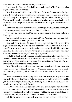more about the ladies who were climbing to their litters.

It was here that Cesare and Sinibaldi were met by a pair of the Duke's vermilion pages bearing his cloak and cap.

Now it happened that the cloak, which was fashioned from the skin of a tiger, heavily laced with gold and reversed with yellow satin, was as conspicuous as it was rare and costly. It was a present that the Sultan Bajazet had sent the Borgia out of Turkey, and Cesare had affected it since the cold weather had set in, not only out of his inherent love of splendour, but also for the sake of the great warmth which it afforded.

As the stripling stood before him now presenting that very gorgeous mantle, the Duke swung suddenly upon Sinibaldi, standing at his elbow.

"You have no cloak, my lord!" he cried in deep concern. "No cloak, and it is a bitter night."

"A groom shall find me one, Magnificent," the Venetian answered, and halfturned aside to desire Capello give the order for him.

"Ah, wait," said Cesare. He took the lovely tiger skin from the hands of his page. "Since not only in these my new dominions, but actually out of loyalty to myself it was that you lost your cloak, suffer me to replace it with this, and at the same time to offer you an all unworthy token of the esteem in which I hold your excellency and the Serene Republic which you represent."

Sinibaldi fell back a single step, and one of the pages told afterwards that on his face was stamped the look of one in sudden fear. He looked deep into the Duke's smiling eyes and perhaps he saw there some faint trace of the mockery which he had fancied that he detected in his smooth words.

Now Sinibaldi, as you will have seen by the promptitude and thoroughness with which he adapted to himself the story of Graziani's misadventure, was a crafty subtle-witted gentleman, quick to draw inferences where once a clue was afforded him.

As he met now that so faintly significant smile of Cesare's, as he pondered the faintly significant tone in which the Duke had spoken, and as he considered the noble gift that was being proffered him, understanding came to him swift, sudden and startling as a flash of lightning in the night.

The Duke had never been deceived by his specious story; the Duke knew the truth; the Duke's almost fawning friendliness—which he, like a fool, had for a while fancied to be due to the Duke's fear of Venice—had been so much make-believe, so much mockery, the play of cat with mouse, the prelude to destruction.

All this he understood now, and saw that he was trapped—and trapped,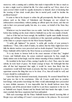moreover, with a cunning and a subtlety that made it impossible for him so much as to utter a single word to defend his life. For what could he say? How, short of an open avowal which would be equally destructive to himself, short of declaring that the wearing of that cloak would place him in mortal peril, could he decline the proffered honour?

It came to him in his despair to refuse the gift peremptorily. But then gifts from princes such as the Duke of Valentinois and Romagna are not refused by ambassadors-extraordinary without putting an affront upon the donor, and that not only in their own personal quality but also, in a sense, on behalf of the State they represent.

Whichever way he turned there was no outlet. And the Duke smiling ever stood before him, holding out the cloak which to Sinibaldi was as the very mantle of death.

And as if this had not been enough, the ineffable Capello must shuffle forward, smirking and rubbing his hands in satisfaction at this supremely gratifying subjection of the Duke to a proper respect for the Most Serene Republic.

"A noble gift, highness!" he purred, "a noble gift; worthy of your potency's munificence." Then, with a shaft of malice, he added, that the Duke might know how fully his ulterior motives were perceived and no doubt despised: "And the honour to Prince Sinibaldi will be held by the Most Serene as an honour to herself."

"It is my desire to honour both in the exact measure of their due," laughed Cesare, and Sinibaldi alone, his senses rendered superacute by fear, caught the faintly sinister note in that laugh, read the sinister meaning of those amiable words.

He trembled in the heart of him, cursing Capello for a fool. Then, since he must submit, he took heart of grace. He found courage in hope. He bethought him that after all that had happened that night, it would be more than likely that the conspirators would hold their hands at present, that they would postpone to a more opportune season the thing that was to be done. If so, then all would be well, and Cesare should be confounded yet.

Upon that hope he fastened tenaciously, desperately. He assured himself that he had gone too fast in his conclusions. After all, Cesare could have no positive knowledge; with positive knowledge the Duke would unhesitatingly have proceeded to more definite measures. It was impossible that he should harbour more than suspicions, and all his present intent would be to put those suspicions to the test. If, as Sinibaldi now hoped, Ranieri and his friends held their hands that night, Cesare must conclude that those suspicions had been unfounded.

With such reasonings did the Prince Sinibaldi hearten himself, knowing little of Borgia ways and nothing of Cesare's sworn promise to the princess. He recovered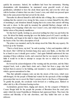quickly his assurance. Indeed, his vacillation had been but momentary. Meeting dissimulation with dissimulation, he murmured some graceful words of deep gratification, submitted to have the cloak thrust upon him, and even the velvet cap with its bordure of miniver that was also Cesare's own, and which was pressed upon him on the same pretext that had served for the cloak.

Thereafter he allowed himself to drift with the tide of things, like a swimmer who, realizing that the current is too strong for him, ceases to torture himself by the effort of stemming it, and abandons himself, hoping that in its course that current will bring him safe to shore. In this spirit he mounted the splendid Barbary charger with its sweeping velvet trappings which also was Cesare's own, and which became now a further token of his princely munificence.

Yet that fool Capello, looking on, perceived nothing but what was put before his eyes. He licked his faintly sneering lips over this further proof of Cesare's servility to the Republic, and began in his mind to shape the phrases in which he would rejoice the hearts of the Ten with a description of it all.

The prince was mounted, and by his stirrup stood the Duke like any equerry. He looked up at the Venetian.

"That is a lively horse, my lord," he said at parting, "a fiery and impulsive child of the desert. But I will bid my footmen hang close upon your flanks, so that they will be at hand in case it should grow restive." And again Sinibaldi understood the true meaning of those solicitous words, and conceived that he was meant to realize how futile it would be in him to attempt to escape the test to which he was to be submitted.

He bowed his acknowledgment of the warning and the provision, and the Duke stepped back, took a plain black cloak and a black hat from a page who had fetched them in answer to his bidding, and mounted a very simply equipped horse which a groom surrendered to him.

Thus that splendid company rode out into the streets of the town, which were still thronged, for the people of Rimini had waited for the spectacle of this torchlight procession that was to escort the Duke's potency back to the Rocca of Sigismondo. To gratify the people, the cavalcade went forward at a walking pace, flanked on either side by a file of footmen bearing torches.

Acclamations greeted them, ringing and sincere, for the conquest of Rimini by Cesare Borgia held for the people the promise of liberation from the cruel yoke under which the tyrant Pandolfaccio Malatesta had oppressed them. They knew the wisdom and liberality of his rule elsewhere, and they hailed him now as their deliverer.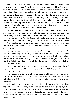"Duca! Duca! Valentino!" rang the cry, and Sinibaldi was perhaps the only one in the cavalcade who remarked that the cry arose in a measure as he himself came into view, that it was at himself—travestied in Cesare's barbaric splendour—that the people looked as they shouted and waved their caps. And so it was, for there were few indeed in those lines of sightseers who perceived that the tall man in the tigerskin mantle and scarlet and miniver bonnet riding that sumptuously caparisoned horse—the most splendid figure in all that splendid cavalcade—was not the Duke of Valentinois whom they acclaimed; fewer still were there to pay much heed to the man in the black cloak and heavy hat who came next, a few paces behind, riding beside the Orator of Venice, who bestrode a white mule.

Thus the procession made its way across the wide square of the Palazzo Pubblico, and down a narrow street into the main way that runs east and west almost straight across the city from the Bridge of Augustus to the Porta Romana.

At the corner of the Via della Rocca, such was the clamour of the sightseers that none heard the twice repeated twang of an arbalest-cord. Indeed the first intimation the Duke received that the thing he expected had come to pass was when the cavalier in the tiger-skin cloak was suddenly seen to crumple forward upon the neck of his charger.

Instantly the grooms sprang to seize the bridle and support the limp figure of its rider. Those following Cesare—Capello foremost amongst them—reined in upon the instant; and a sudden awestricken silence fell upon the assembled crowd, when, notwithstanding the efforts of the grooms, the man whom they imagined to be Cesare Borgia rolled sideways from the saddle into the arms of those below, an arbalestbolt through his brain.

That moment of silent panic was succeeded by an awful cry, a wail which in itself expressed the public fear of the awful vengeance that might follow upon the city:

"The Duke is dead!"

And then in answer to that cry, by some unaccountable magic—as it seemed to the people—there in his stirrups stood the Duke himself, his head bare, his tawny hair glowing ruddily in the torchlight, his brazen voice dominating the din and confusion.

"It is murder!" he proclaimed, and added fiercely the question, "Who has done this foul deed?" Then he flung an arm towards the corner house on his right. "In there!" he shouted to his halberdiers who came thrusting towards him through the crowd. "In, I say, and on your lives see that not a man escapes you. It is the Envoy of Venice whom they have murdered, and they shall pay for it with their necks, whoever they may be."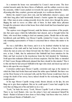In a moment the house was surrounded by Cesare's men-at-arms. The door crashed inwards under the fierce blows of halberds, and the soldiers went in to take the assassins, whilst Cesare pushed on towards the open square before the citadel, all pouring after him, courtiers, grooms and people, in a vociferous disorder.

Before the citadel Cesare drew rein, and his halberdiers cleared a space, and with their long pikes held horizontally formed a barrier against the surging human tide. Other men-at-arms coming presently down the street clove through the press, flinging the mob in waves on either side of them. In their midst these pikemen brought five prisoners taken in that house from which death had been launched upon Prince Sinibaldi.

The captives were dragged forward, amid the furious execrations of the people, into that open space which the halberdiers had cleared, and so brought before the Duke, who stood there waiting to deal out summary justice. Beside him on his mule, bewildered, pale and flabby, was Messer Capello, retained by Cesare, since as the only remaining representative of Venice it concerned him to witness this matter to its end.

He was a dull fellow, this Orator, and it is to be doubted whether he had any explanation of the truth until he had looked into the faces of those five wretches whom the men-at-arms now thrust forward into the Duke's awful presence. It was now, at last, I think, that he understood that Sinibaldi had been mistaken for the Duke and had received in his treacherous brain the bolt intended for Valentinois. Swift upon that realization followed an obvious suspicion. Had the Duke so intended it? Had Cesare Borgia deliberately planned that there should be this mistake? Was it to this end that he had arrayed Sinibaldi in the tiger-skin cloak and ducal cap and set him to ride upon his own charger?

Conviction settled upon Messer Capello; conviction and rage at the manner in which the Duke had fooled them and turned the tables upon Sinibaldi. But there was yet the Most Serene to be reckoned with, and the Most Serene would know how to avenge the death of her envoy; heavy indeed should be the reckoning the Republic would present.

In his rage Messer Capello swung round, threats already on his lips, his arm flung out to give them emphasis. But ere he could speak Cesare had caught by the wrist that out-flung arm of his and held it as in a vice.

"Look," he bade the envoy. "Look, Messer Capello! Look at those prisoners. There is my Lord Ranieri, who was the prince's host and announced himself his friend—Ranieri of all men to have done so foul a thing! And those other two, both of them professed friends of Sinibaldi's, too."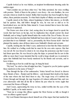Capello looked as he was bidden, an incipient bewilderment thrusting aside his sudden anger.

"And consider me yet those other two," the Duke persisted, his voice swelling with passion. "Both of them in the prince's own livery—his own familiars, his own servants whom no doubt he trusted. Belike their treachery has been bought by these others, these patrician assassins. To what black depths of villainy can man descend!"

Capello stared at the Duke, almost beginning to believe him sincere, so fervidly had he spoken. But, dull fellow though he was, he was not so dull as to be hoodwinked now, nor did the Duke intend it. Cesare desired him to know the truth, yet to know it unuttered.

The Orator saw clear at last. And, seeing clear, he no longer dared to speak the words that had been on his lips, lest by implication they should convict the dead Sinibaldi, and so bring Capello himself under the wrath of the Ten of Venice. He saw it crystal clear that to proclaim that Sinibaldi had been slain in Cesare's place were to proclaim that it was Sinibaldi—and so, presumably, the Most Serene itself—that had planned the murder, since all those taken were Sinibaldi's friends and servants.

Capello, looking into the Duke's eyes, understood at last that the Duke mocked him. He writhed in a boiling wrath that he must for his own sake repress. But that was not all. He was forced to drain to its very dregs the poisonous cup that Cesare had thrust upon him. He was forced to play the dupe; to pretend that he saw in this affair no more than Cesare intended that the world at large should see; to pretend to agree that Sinibaldi had been basely murdered by his friends and servants, and to leave it there.

Swallowing as best he could his rage, he hung his head.

"My lord," he cried so that all might hear him, "I appeal to you for justice against these murderers in the name of Venice!"

Thus through the lips of her ambassador, Venice herself was forced to disown these friends of hers—Ranieri and his fellows—and demand their death at the hands of the man whom she had hired them to slay. The tragic irony of it stabbed the Orator through and through, the rage begotten of it almost suffocated him, and was ever afterwards with him all his life to inform his pen when he wrote aught that concerned the House of Borgia.

And Cesare, appreciating the irony no less, smiled terribly into the eyes of the ineffable Capello, as he made answer:

"Trust me to avenge this offence against the Most Serene as fully as though it were an offence against myself."

My Lord Ranieri thereupon shook himself out of the stupor that had numbed his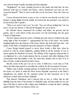wits when he found Capello deserting and disowning him.

"Magnificent!" he cried, straining forward in the hands that held him, his face distorted with rage at Capello and Venice, whose abandoned cat's-paw he now conceived himself. "There is more in this that you do not know. Hear me! Hear me first!"

Cesare advanced his horse a pace or two, so that he was directly over the Lord Ranieri. Leaning slightly from his saddle, he looked into the patrician's eyes much as he had looked into Capello's.

"There is no need to hear you," he said. "You can tell me nothing that I do not know. Go get you shriven. I will send the hangman for you at dawn."

He wheeled about, summoned his cavaliers and ladies, his grooms and his guards, and so rode ahead of that procession over the drawbridge into the great Citadel of Sigismondo.

The first citizens about the streets of Rimini upon the morrow beheld in the pale wintry light of that November 2—appropriately the Day of the Dead—five bodies dangling limply from the balcony of the house whence the bolts had been shot—the justice of the Duke of Valentinois upon the murderers of Prince Sinibaldi!

Cesare Borgia himself paused to survey those bodies a little later, when he passed by with his armed multitudes, quitting Rimini in all the panoply of war to march against the Manfredi of Faenza. The subtlety of his vengeance pleased him. It was lightened by a vein of grim humour that he savoured with relish, thinking of the consternation and discomfiture of the Ten when they should come to hear of it, as hear of it they would in detail from their Orator.

But the cream of the jest was yet to come. It followed a week later at Forli, where the Duke had paused to assemble his condotte for the investment of Faenza.

Thither came Capello, seeking audience on behalf of the Council of Ten. He was the bearer of a letter in which the Most Serene Republic expressed to the Duke's magnificence her thanks for the summary justice he had measured out to the murderers of their beloved Prince Sinibaldi.

That pleased Valentinois, and it pleased him no less to reflect that he had faithfully kept the letter of his promise to Sinibaldi's lady, and that neither he nor any man of his had so much as laid a finger upon Sinibaldi to avenge the latter's plotting against himself. There was humour in that, too.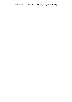*Printed at The Chapel River Press, Kingston, Surrey.*